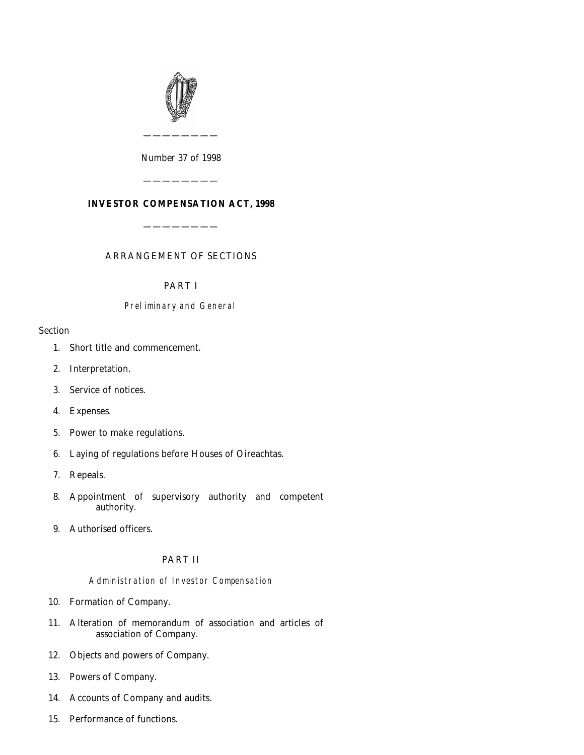

*Number* 37 *of* 1998

————————

# **INVESTOR COMPENSATION ACT, 1998**

————————

————————

ARRANGEMENT OF SECTIONS

# PART I

## Preliminary and General

### Section

- [1. Short title and commencement.](#page-4-0)
- [2. Interpretation.](#page-4-0)
- [3. Service of notices.](#page-10-0)
- [4. Expenses.](#page-10-0)
- [5. Power to make regulations.](#page-11-0)
- [6. Laying of regulations before Houses of Oireachtas.](#page-11-0)
- [7. Repeals.](#page-11-0)
- [8. Appointment of supervisory authority and competent](#page-11-0) authority.
- [9. Authorised officers.](#page-11-0)

### PART II

# Administration of Investor Compensation

- [10. Formation of Company.](#page-12-0)
- [11. Alteration of memorandum of association and articles of](#page-13-0) association of Company.
- [12. Objects and powers of Company.](#page-13-0)
- [13. Powers of Company.](#page-14-0)
- [14. Accounts of Company and audits.](#page-14-0)
- [15. Performance of functions.](#page-14-0)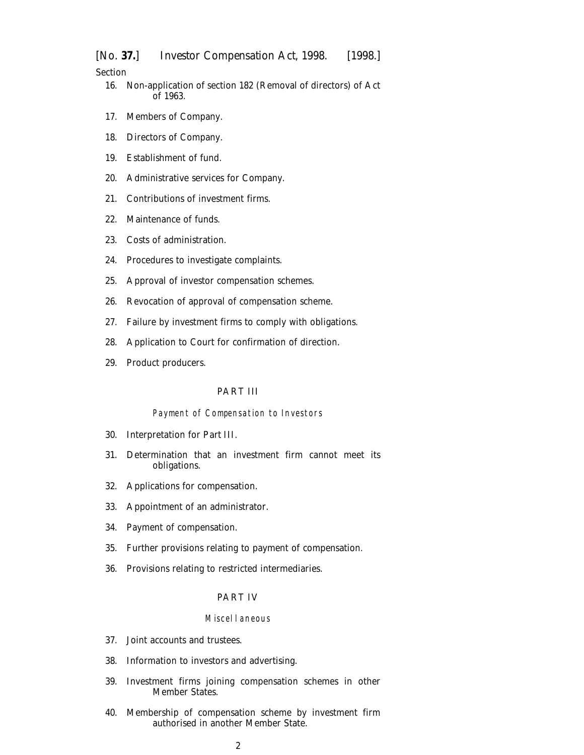Section

- [16. Non-application of section 182 \(Removal of directors\) of Act](#page-14-0) of 1963.
- [17. Members of Company.](#page-14-0)
- [18. Directors of Company.](#page-14-0)
- [19. Establishment of fund.](#page-15-0)
- [20. Administrative services for Company.](#page-16-0)
- [21. Contributions of investment firms.](#page-16-0)
- [22. Maintenance of funds.](#page-17-0)
- [23. Costs of administration.](#page-17-0)
- [24. Procedures to investigate complaints.](#page-18-0)
- [25. Approval of investor compensation schemes.](#page-18-0)
- [26. Revocation of approval of compensation scheme.](#page-19-0)
- [27. Failure by investment firms to comply with obligations.](#page-19-0)
- [28. Application to Court for confirmation of direction.](#page-20-0)
- [29. Product producers.](#page-22-0)

### PART III

### Payment of Compensation to Investors

- [30. Interpretation for](#page-22-0) *Part III*.
- [31. Determination that an investment firm cannot meet its](#page-24-0) obligations.
- [32. Applications for compensation.](#page-25-0)
- [33. Appointment of an administrator.](#page-25-0)
- [34. Payment of compensation.](#page-26-0)
- [35. Further provisions relating to payment of compensation.](#page-27-0)
- [36. Provisions relating to restricted intermediaries.](#page-28-0)

### PART IV

### Miscellaneous

- [37. Joint accounts and trustees.](#page-29-0)
- [38. Information to investors and advertising.](#page-30-0)
- [39. Investment firms joining compensation schemes in other](#page-30-0) Member States.
- [40. Membership of compensation scheme by investment firm](#page-31-0) authorised in another Member State.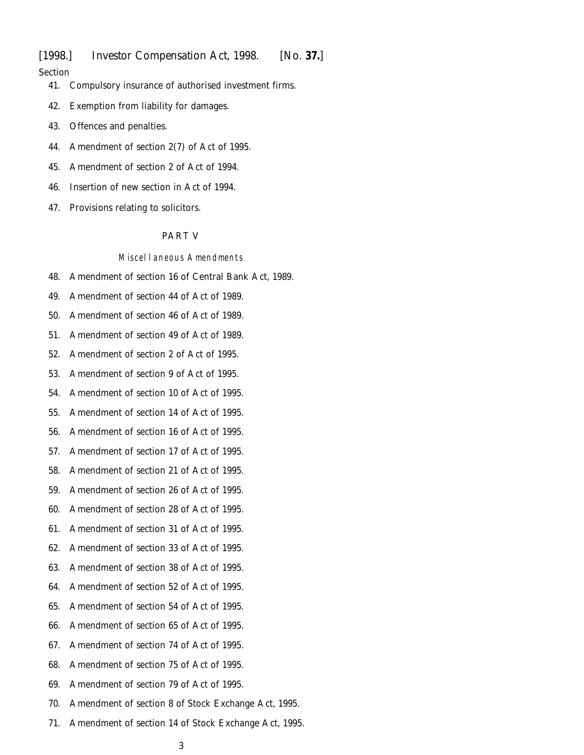### Section

- [41. Compulsory insurance of authorised investment firms.](#page-32-0)
- [42. Exemption from liability for damages.](#page-33-0)
- [43. Offences and penalties.](#page-33-0)
- [44. Amendment of section 2\(7\) of Act of 1995.](#page-35-0)
- [45. Amendment of section 2 of Act of 1994.](#page-36-0)
- [46. Insertion of new section in Act of 1994.](#page-36-0)
- [47. Provisions relating to solicitors.](#page-37-0)

# PART V

#### Miscellaneous Amendments

- [48. Amendment of section 16 of Central Bank Act, 1989.](#page-39-0)
- [49. Amendment of section 44 of Act of 1989.](#page-39-0)

[50. Amendment of section 46 of Act of 1989.](#page-39-0)

[51. Amendment of section 49 of Act of 1989.](#page-39-0)

[52. Amendment of section 2 of Act of 1995.](#page-39-0)

[53. Amendment of section 9 of Act of 1995.](#page-43-0)

[54. Amendment of section 10 of Act of 1995.](#page-44-0)

[55. Amendment of section 14 of Act of 1995.](#page-45-0)

[56. Amendment of section 16 of Act of 1995.](#page-45-0)

[57. Amendment of section 17 of Act of 1995.](#page-45-0)

[58. Amendment of section 21 of Act of 1995.](#page-46-0)

[59. Amendment of section 26 of Act of 1995.](#page-46-0)

[60. Amendment of section 28 of Act of 1995.](#page-48-0)

[61. Amendment of section 31 of Act of 1995.](#page-48-0)

[62. Amendment of section 33 of Act of 1995.](#page-49-0)

- [63. Amendment of section 38 of Act of 1995.](#page-49-0)
- [64. Amendment of section 52 of Act of 1995.](#page-50-0)
- [65. Amendment of section 54 of Act of 1995.](#page-50-0)
- [66. Amendment of section 65 of Act of 1995.](#page-52-0)
- [67. Amendment of section 74 of Act of 1995.](#page-52-0)
- [68. Amendment of section 75 of Act of 1995.](#page-52-0)
- [69. Amendment of section 79 of Act of 1995.](#page-53-0)
- [70. Amendment of section 8 of Stock Exchange Act, 1995.](#page-53-0)
- [71. Amendment of section 14 of Stock Exchange Act, 1995](#page-53-0).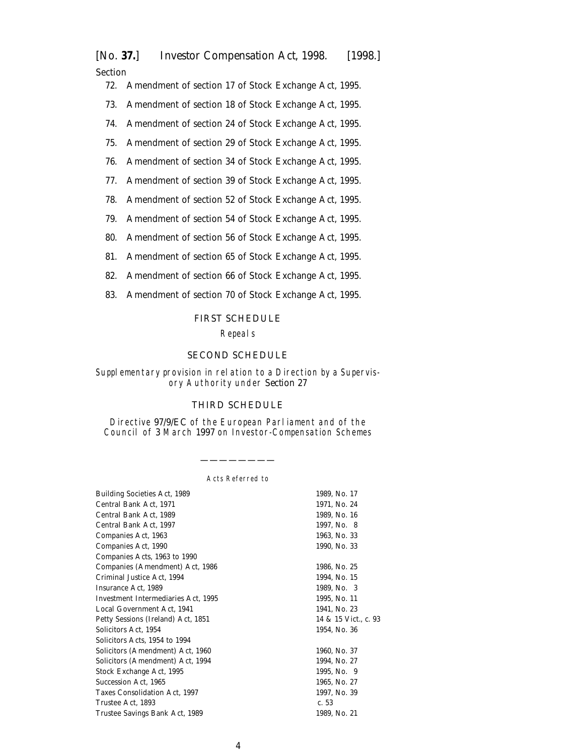- [72. Amendment of section 17 of Stock Exchange Act, 1995.](#page-54-0)
- [73. Amendment of section 18 of Stock Exchange Act, 1995.](#page-54-0)
- [74. Amendment of section 24 of Stock Exchange Act, 1995.](#page-54-0)
- [75. Amendment of section 29 of Stock Exchange Act, 1995.](#page-54-0)
- [76. Amendment of section 34 of Stock Exchange Act, 1995.](#page-55-0)
- [77. Amendment of section 39 of Stock Exchange Act, 1995.](#page-55-0)
- [78. Amendment of section 52 of Stock Exchange Act, 1995.](#page-56-0)
- [79. Amendment of section 54 of Stock Exchange Act, 1995.](#page-56-0)
- [80. Amendment of section 56 of Stock Exchange Act, 1995.](#page-58-0)
- [81. Amendment of section 65 of Stock Exchange Act, 1995.](#page-59-0)
- [82. Amendment of section 66 of Stock Exchange Act, 1995.](#page-59-0)
- [83. Amendment of section 70 of Stock Exchange Act, 1995.](#page-60-0)

#### [FIRST SCHEDULE](#page-60-0)

#### Repeals

#### [SECOND SCHEDULE](#page-60-0)

Supplementary provision in relation to a Direction by a Supervisory Authority under *Section 27*

#### [THIRD SCHEDULE](#page-61-0)

Directive 97/9/EC of the European Parliament and of the Council of 3 March 1997 on Investor-Compensation Schemes

# ———————— Acts Referred to

| Building Societies Act, 1989        | 1989, No. 17         |
|-------------------------------------|----------------------|
| Central Bank Act, 1971              | 1971, No. 24         |
| Central Bank Act, 1989              | 1989, No. 16         |
| Central Bank Act, 1997              | 1997, No. 8          |
| Companies Act, 1963                 | 1963, No. 33         |
| Companies Act, 1990                 | 1990, No. 33         |
| Companies Acts, 1963 to 1990        |                      |
| Companies (Amendment) Act, 1986     | 1986, No. 25         |
| Criminal Justice Act, 1994          | 1994, No. 15         |
| Insurance Act, 1989                 | 1989, No. 3          |
| Investment Intermediaries Act, 1995 | 1995, No. 11         |
| Local Government Act, 1941          | 1941, No. 23         |
| Petty Sessions (Ireland) Act, 1851  | 14 & 15 Vict., c. 93 |
| Solicitors Act, 1954                | 1954, No. 36         |
| Solicitors Acts, 1954 to 1994       |                      |
| Solicitors (Amendment) Act, 1960    | 1960, No. 37         |
| Solicitors (Amendment) Act, 1994    | 1994, No. 27         |
| Stock Exchange Act, 1995            | 1995, No. 9          |
| Succession Act, 1965                | 1965, No. 27         |
| Taxes Consolidation Act, 1997       | 1997, No. 39         |
| Trustee Act, 1893                   | c.53                 |
| Trustee Savings Bank Act, 1989      | 1989, No. 21         |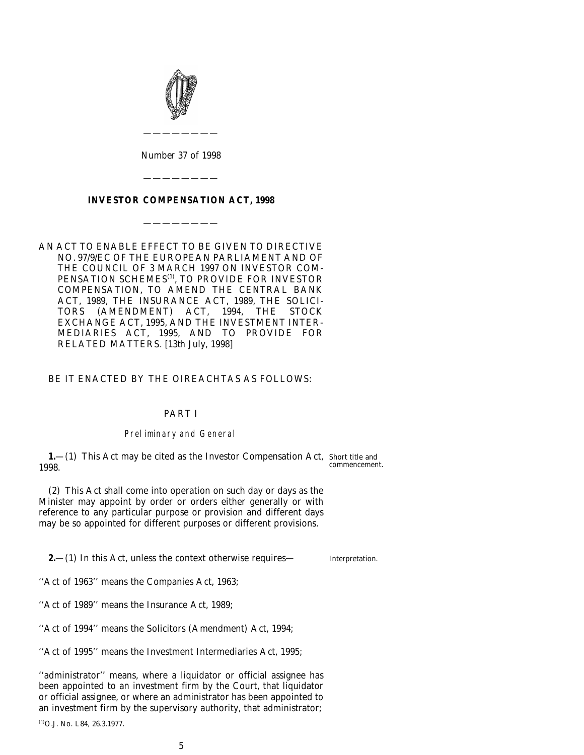<span id="page-4-0"></span>

*Number* 37 *of* 1998

————————

### **INVESTOR COMPENSATION ACT, 1998**

————————

————————

AN ACT TO ENABLE EFFECT TO BE GIVEN TO DIRECTIVE NO. 97/9/EC OF THE EUROPEAN PARLIAMENT AND OF THE COUNCIL OF 3 MARCH 1997 ON INVESTOR COM-PENSATION SCHEMES<sup>(1)</sup>, TO PROVIDE FOR INVESTOR COMPENSATION, TO AMEND THE CENTRAL BANK ACT, 1989, THE INSURANCE ACT, 1989, THE SOLICI-TORS (AMENDMENT) ACT, 1994, THE STOCK EXCHANGE ACT, 1995, AND THE INVESTMENT INTER-MEDIARIES ACT, 1995, AND TO PROVIDE FOR RELATED MATTERS. [13*th July*, 1998]

### BE IT ENACTED BY THE OIREACHTAS AS FOLLOWS:

### PART I

### Preliminary and General

**1.**—(1) This Act may be cited as the Investor Compensation Act,Short title and 1998. commencement.

(2) This Act shall come into operation on such day or days as the Minister may appoint by order or orders either generally or with reference to any particular purpose or provision and different days may be so appointed for different purposes or different provisions.

**2.**—(1) In this Act, unless the context otherwise requires—

Interpretation.

''Act of 1963'' means the Companies Act, 1963;

''Act of 1989'' means the Insurance Act, 1989;

''Act of 1994'' means the Solicitors (Amendment) Act, 1994;

''Act of 1995'' means the Investment Intermediaries Act, 1995;

''administrator'' means, where a liquidator or official assignee has been appointed to an investment firm by the Court, that liquidator or official assignee, or where an administrator has been appointed to an investment firm by the supervisory authority, that administrator;

(1)O.J. No. L84, 26.3.1977.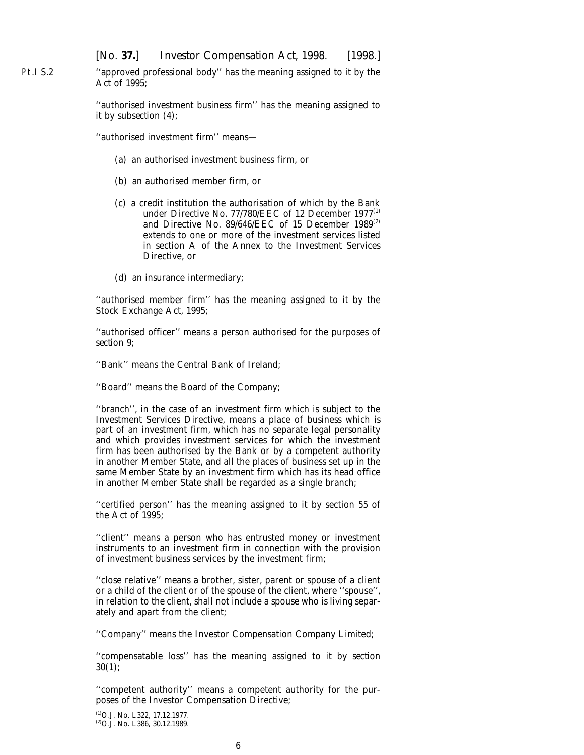''approved professional body'' has the meaning assigned to it by the Act of 1995;

''authorised investment business firm'' has the meaning assigned to it by *subsection (4)*;

''authorised investment firm'' means—

Pt.I S.2

- (*a*) an authorised investment business firm, or
- (*b*) an authorised member firm, or
- (*c*) a credit institution the authorisation of which by the Bank under Directive No. 77/780/EEC of 12 December 1977<sup>(1)</sup> and Directive No. 89/646/EEC of 15 December  $1989^{(2)}$ extends to one or more of the investment services listed in section A of the Annex to the Investment Services Directive, or
- (*d*) an insurance intermediary;

''authorised member firm'' has the meaning assigned to it by the Stock Exchange Act, 1995;

''authorised officer'' means a person authorised for the purposes of *section 9*;

''Bank'' means the Central Bank of Ireland;

''Board'' means the Board of the Company;

''branch'', in the case of an investment firm which is subject to the Investment Services Directive, means a place of business which is part of an investment firm, which has no separate legal personality and which provides investment services for which the investment firm has been authorised by the Bank or by a competent authority in another Member State, and all the places of business set up in the same Member State by an investment firm which has its head office in another Member State shall be regarded as a single branch;

''certified person'' has the meaning assigned to it by section 55 of the Act of 1995;

"client" means a person who has entrusted money or investment instruments to an investment firm in connection with the provision of investment business services by the investment firm;

''close relative'' means a brother, sister, parent or spouse of a client or a child of the client or of the spouse of the client, where ''spouse'', in relation to the client, shall not include a spouse who is living separately and apart from the client;

''Company'' means the Investor Compensation Company Limited;

''compensatable loss'' has the meaning assigned to it by *section 30(1)*;

''competent authority'' means a competent authority for the purposes of the Investor Compensation Directive;

(1)O.J. No. L322, 17.12.1977.

(2)O.J. No. L386, 30.12.1989.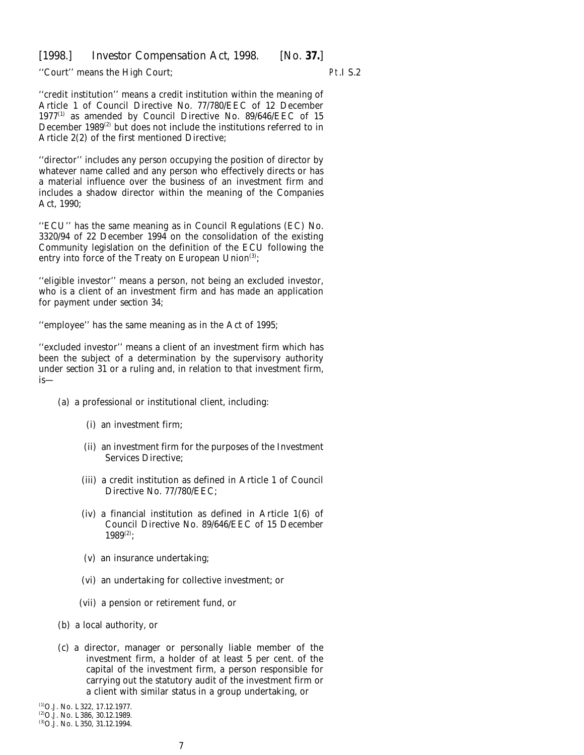''Court'' means the High Court;

Pt.I S.2

''credit institution'' means a credit institution within the meaning of Article 1 of Council Directive No. 77/780/EEC of 12 December  $1977^{(1)}$  as amended by Council Directive No. 89/646/EEC of 15 December  $1989^{(2)}$  but does not include the institutions referred to in Article 2(2) of the first mentioned Directive;

''director'' includes any person occupying the position of director by whatever name called and any person who effectively directs or has a material influence over the business of an investment firm and includes a shadow director within the meaning of the Companies Act, 1990;

''ECU'' has the same meaning as in Council Regulations (EC) No. 3320/94 of 22 December 1994 on the consolidation of the existing Community legislation on the definition of the ECU following the entry into force of the Treaty on European Union<sup>(3)</sup>;

''eligible investor'' means a person, not being an excluded investor, who is a client of an investment firm and has made an application for payment under *section 34*;

''employee'' has the same meaning as in the Act of 1995;

"excluded investor" means a client of an investment firm which has been the subject of a determination by the supervisory authority under *section 31* or a ruling and, in relation to that investment firm, is—

- (*a*) a professional or institutional client, including:
	- (i) an investment firm;
	- (ii) an investment firm for the purposes of the Investment Services Directive;
	- (iii) a credit institution as defined in Article 1 of Council Directive No. 77/780/EEC;
	- (iv) a financial institution as defined in Article 1(6) of Council Directive No. 89/646/EEC of 15 December  $1989^{(2)}$ ;
	- (v) an insurance undertaking;
	- (vi) an undertaking for collective investment; or
	- (vii) a pension or retirement fund, or
- (*b*) a local authority, or
- (*c*) a director, manager or personally liable member of the investment firm, a holder of at least 5 per cent. of the capital of the investment firm, a person responsible for carrying out the statutory audit of the investment firm or a client with similar status in a group undertaking, or

(1)O.J. No. L322, 17.12.1977. (2)O.J. No. L386, 30.12.1989.

<sup>(3)</sup>O.J. No. L350, 31.12.1994.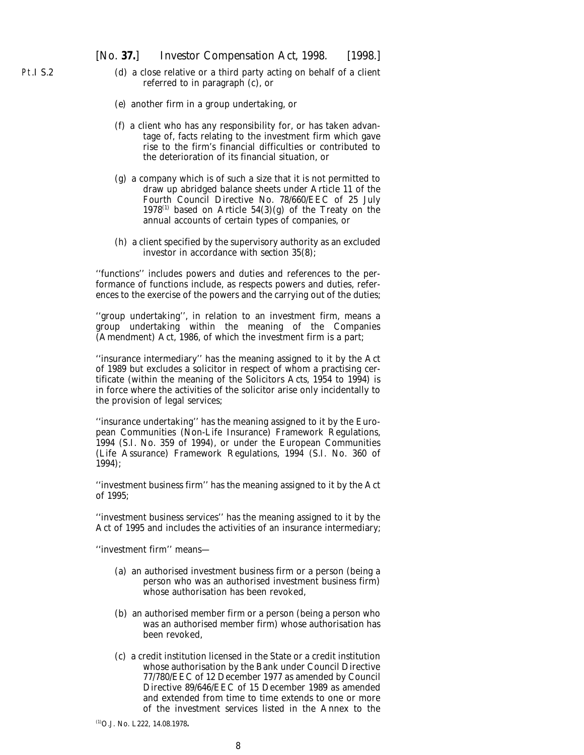- Pt.I S.2
- (*d*) a close relative or a third party acting on behalf of a client referred to in *paragraph (c)*, or
- (*e*) another firm in a group undertaking, or
- (*f*) a client who has any responsibility for, or has taken advantage of, facts relating to the investment firm which gave rise to the firm's financial difficulties or contributed to the deterioration of its financial situation, or
- (*g*) a company which is of such a size that it is not permitted to draw up abridged balance sheets under Article 11 of the Fourth Council Directive No. 78/660/EEC of 25 July 1978<sup>(1)</sup> based on Article 54(3)( $g$ ) of the Treaty on the annual accounts of certain types of companies, or
- (*h*) a client specified by the supervisory authority as an excluded investor in accordance with *section 35(8)*;

''functions'' includes powers and duties and references to the performance of functions include, as respects powers and duties, references to the exercise of the powers and the carrying out of the duties;

''group undertaking'', in relation to an investment firm, means a group undertaking within the meaning of the Companies (Amendment) Act, 1986, of which the investment firm is a part;

''insurance intermediary'' has the meaning assigned to it by the Act of 1989 but excludes a solicitor in respect of whom a practising certificate (within the meaning of the Solicitors Acts, 1954 to 1994) is in force where the activities of the solicitor arise only incidentally to the provision of legal services;

''insurance undertaking'' has the meaning assigned to it by the European Communities (Non-Life Insurance) Framework Regulations, 1994 (S.I. No. 359 of 1994), or under the European Communities (Life Assurance) Framework Regulations, 1994 (S.I. No. 360 of 1994);

''investment business firm'' has the meaning assigned to it by the Act of 1995;

''investment business services'' has the meaning assigned to it by the Act of 1995 and includes the activities of an insurance intermediary;

''investment firm'' means—

- (*a*) an authorised investment business firm or a person (being a person who was an authorised investment business firm) whose authorisation has been revoked,
- (*b*) an authorised member firm or a person (being a person who was an authorised member firm) whose authorisation has been revoked,
- (*c*) a credit institution licensed in the State or a credit institution whose authorisation by the Bank under Council Directive 77/780/EEC of 12 December 1977 as amended by Council Directive 89/646/EEC of 15 December 1989 as amended and extended from time to time extends to one or more of the investment services listed in the Annex to the

<sup>(1)</sup>O.J. No. L222, 14.08.1978**.**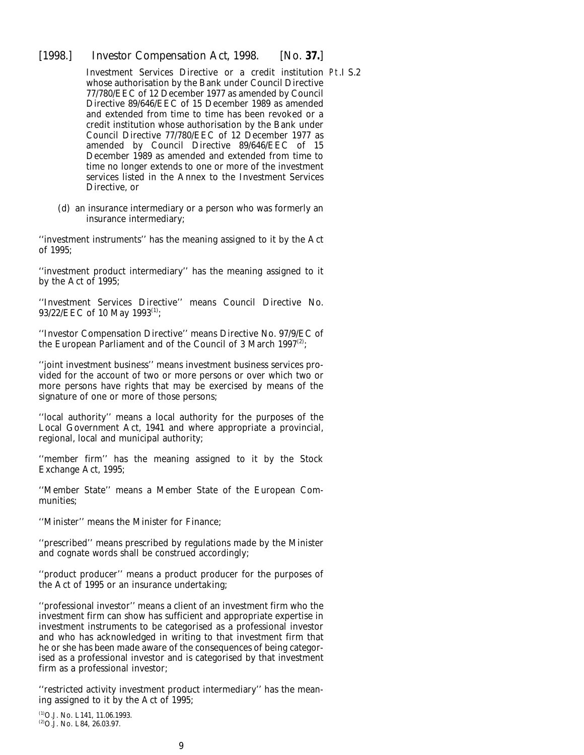Investment Services Directive or a credit institution Pt.I S.2whose authorisation by the Bank under Council Directive 77/780/EEC of 12 December 1977 as amended by Council Directive 89/646/EEC of 15 December 1989 as amended and extended from time to time has been revoked or a credit institution whose authorisation by the Bank under Council Directive 77/780/EEC of 12 December 1977 as amended by Council Directive 89/646/EEC of 15 December 1989 as amended and extended from time to time no longer extends to one or more of the investment services listed in the Annex to the Investment Services Directive, or

(*d*) an insurance intermediary or a person who was formerly an insurance intermediary;

''investment instruments'' has the meaning assigned to it by the Act of 1995;

''investment product intermediary'' has the meaning assigned to it by the Act of 1995;

''Investment Services Directive'' means Council Directive No. 93/22/EEC of 10 May 1993<sup>(1)</sup>;

''Investor Compensation Directive'' means Directive No. 97/9/EC of the European Parliament and of the Council of 3 March 1997<sup>(2)</sup>;

''joint investment business'' means investment business services provided for the account of two or more persons or over which two or more persons have rights that may be exercised by means of the signature of one or more of those persons;

''local authority'' means a local authority for the purposes of the Local Government Act, 1941 and where appropriate a provincial, regional, local and municipal authority;

''member firm'' has the meaning assigned to it by the Stock Exchange Act, 1995;

''Member State'' means a Member State of the European Communities;

''Minister'' means the Minister for Finance;

''prescribed'' means prescribed by regulations made by the Minister and cognate words shall be construed accordingly;

''product producer'' means a product producer for the purposes of the Act of 1995 or an insurance undertaking;

''professional investor'' means a client of an investment firm who the investment firm can show has sufficient and appropriate expertise in investment instruments to be categorised as a professional investor and who has acknowledged in writing to that investment firm that he or she has been made aware of the consequences of being categorised as a professional investor and is categorised by that investment firm as a professional investor;

''restricted activity investment product intermediary'' has the meaning assigned to it by the Act of 1995;

(1)O.J. No. L141, 11.06.1993. (2)O.J. No. L84, 26.03.97.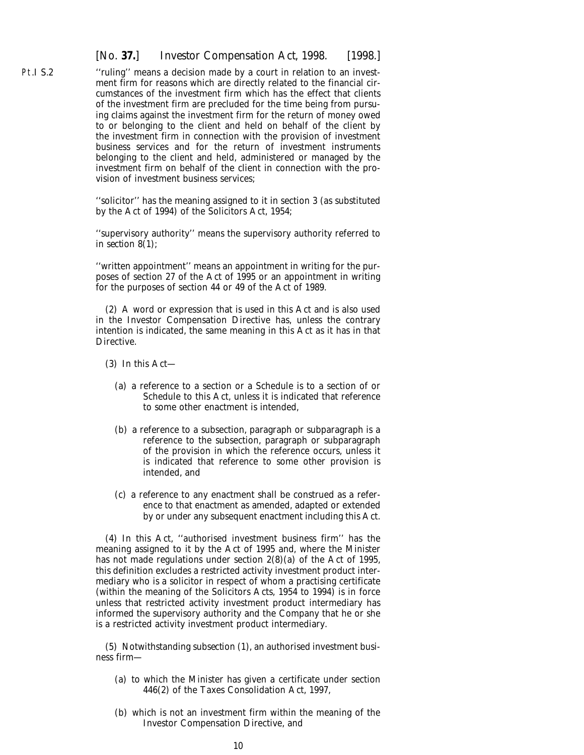Pt.I S.2 ''ruling'' means a decision made by a court in relation to an investment firm for reasons which are directly related to the financial circumstances of the investment firm which has the effect that clients of the investment firm are precluded for the time being from pursuing claims against the investment firm for the return of money owed to or belonging to the client and held on behalf of the client by the investment firm in connection with the provision of investment business services and for the return of investment instruments belonging to the client and held, administered or managed by the investment firm on behalf of the client in connection with the provision of investment business services;

> ''solicitor'' has the meaning assigned to it in section 3 (as substituted by the Act of 1994) of the Solicitors Act, 1954;

> ''supervisory authority'' means the supervisory authority referred to in *section 8(1)*;

> ''written appointment'' means an appointment in writing for the purposes of section 27 of the Act of 1995 or an appointment in writing for the purposes of section 44 or 49 of the Act of 1989.

> (2) A word or expression that is used in this Act and is also used in the Investor Compensation Directive has, unless the contrary intention is indicated, the same meaning in this Act as it has in that Directive.

- (3) In this Act—
	- (*a*) a reference to a section or a Schedule is to a section of or Schedule to this Act, unless it is indicated that reference to some other enactment is intended,
	- (*b*) a reference to a subsection, paragraph or subparagraph is a reference to the subsection, paragraph or subparagraph of the provision in which the reference occurs, unless it is indicated that reference to some other provision is intended, and
	- (*c*) a reference to any enactment shall be construed as a reference to that enactment as amended, adapted or extended by or under any subsequent enactment including this Act.

(4) In this Act, ''authorised investment business firm'' has the meaning assigned to it by the Act of 1995 and, where the Minister has not made regulations under section 2(8)(*a*) of the Act of 1995, this definition excludes a restricted activity investment product intermediary who is a solicitor in respect of whom a practising certificate (within the meaning of the Solicitors Acts, 1954 to 1994) is in force unless that restricted activity investment product intermediary has informed the supervisory authority and the Company that he or she is a restricted activity investment product intermediary.

(5) Notwithstanding *subsection (1)*, an authorised investment business firm—

- (*a*) to which the Minister has given a certificate under section 446(2) of the Taxes Consolidation Act, 1997,
- (*b*) which is not an investment firm within the meaning of the Investor Compensation Directive, and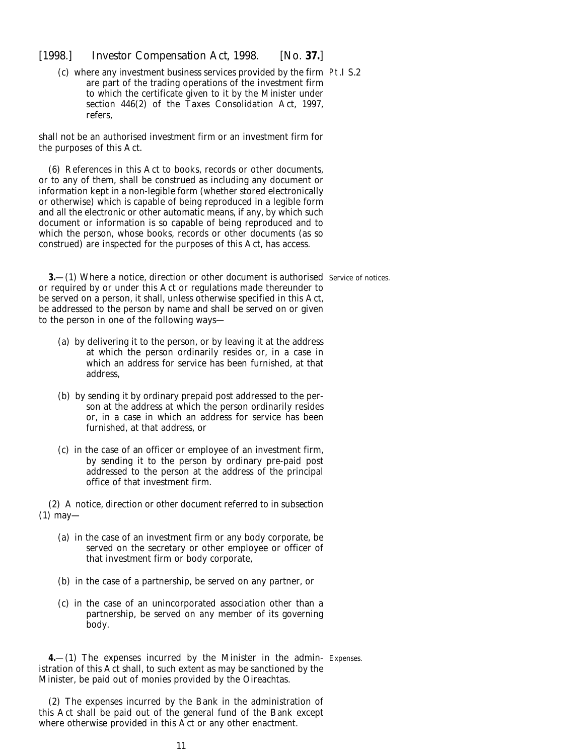<span id="page-10-0"></span>(*c*) where any investment business services provided by the firm Pt.I S.2 are part of the trading operations of the investment firm to which the certificate given to it by the Minister under section 446(2) of the Taxes Consolidation Act, 1997, refers,

shall not be an authorised investment firm or an investment firm for the purposes of this Act.

(6) References in this Act to books, records or other documents, or to any of them, shall be construed as including any document or information kept in a non-legible form (whether stored electronically or otherwise) which is capable of being reproduced in a legible form and all the electronic or other automatic means, if any, by which such document or information is so capable of being reproduced and to which the person, whose books, records or other documents (as so construed) are inspected for the purposes of this Act, has access.

**3.**—(1) Where a notice, direction or other document is authorised Service of notices. or required by or under this Act or regulations made thereunder to be served on a person, it shall, unless otherwise specified in this Act, be addressed to the person by name and shall be served on or given to the person in one of the following ways—

- (*a*) by delivering it to the person, or by leaving it at the address at which the person ordinarily resides or, in a case in which an address for service has been furnished, at that address,
- (*b*) by sending it by ordinary prepaid post addressed to the person at the address at which the person ordinarily resides or, in a case in which an address for service has been furnished, at that address, or
- (*c*) in the case of an officer or employee of an investment firm, by sending it to the person by ordinary pre-paid post addressed to the person at the address of the principal office of that investment firm.

(2) A notice, direction or other document referred to in *subsection (1)* may—

- (*a*) in the case of an investment firm or any body corporate, be served on the secretary or other employee or officer of that investment firm or body corporate,
- (*b*) in the case of a partnership, be served on any partner, or
- (*c*) in the case of an unincorporated association other than a partnership, be served on any member of its governing body.

**4.**—(1) The expenses incurred by the Minister in the admin-Expenses.istration of this Act shall, to such extent as may be sanctioned by the Minister, be paid out of monies provided by the Oireachtas.

(2) The expenses incurred by the Bank in the administration of this Act shall be paid out of the general fund of the Bank except where otherwise provided in this Act or any other enactment.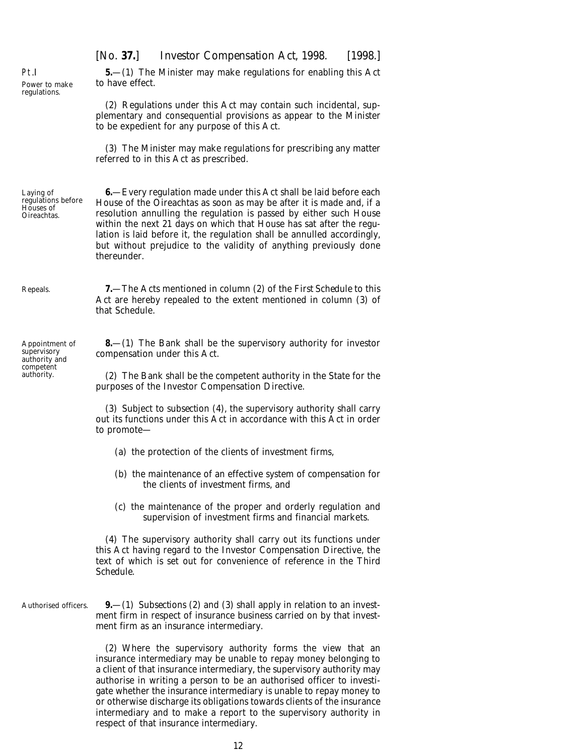<span id="page-11-0"></span>Pt.I Power to make regulations.

**5.**—(1) The Minister may make regulations for enabling this Act to have effect.

(2) Regulations under this Act may contain such incidental, supplementary and consequential provisions as appear to the Minister to be expedient for any purpose of this Act.

(3) The Minister may make regulations for prescribing any matter referred to in this Act as prescribed.

**6.**—Every regulation made under this Act shall be laid before each House of the Oireachtas as soon as may be after it is made and, if a resolution annulling the regulation is passed by either such House within the next 21 days on which that House has sat after the regulation is laid before it, the regulation shall be annulled accordingly, but without prejudice to the validity of anything previously done thereunder.

Repeals.

Laying of regulations before Houses of Oireachtas.

Appointment of supervisory authority and competent authority.

**7.**—The Acts mentioned in *column (2)* of the *First Schedule* to this Act are hereby repealed to the extent mentioned in *column (3)* of that Schedule.

**8.**—(1) The Bank shall be the supervisory authority for investor compensation under this Act.

(2) The Bank shall be the competent authority in the State for the purposes of the Investor Compensation Directive.

(3) Subject to *subsection (4)*, the supervisory authority shall carry out its functions under this Act in accordance with this Act in order to promote—

- (*a*) the protection of the clients of investment firms,
- (*b*) the maintenance of an effective system of compensation for the clients of investment firms, and
- (*c*) the maintenance of the proper and orderly regulation and supervision of investment firms and financial markets.

(4) The supervisory authority shall carry out its functions under this Act having regard to the Investor Compensation Directive, the text of which is set out for convenience of reference in the *Third Schedule*.

Authorised officers.

**9.**—(1) *Subsections (2)* and *(3)* shall apply in relation to an investment firm in respect of insurance business carried on by that investment firm as an insurance intermediary.

(2) Where the supervisory authority forms the view that an insurance intermediary may be unable to repay money belonging to a client of that insurance intermediary, the supervisory authority may authorise in writing a person to be an authorised officer to investigate whether the insurance intermediary is unable to repay money to or otherwise discharge its obligations towards clients of the insurance intermediary and to make a report to the supervisory authority in respect of that insurance intermediary.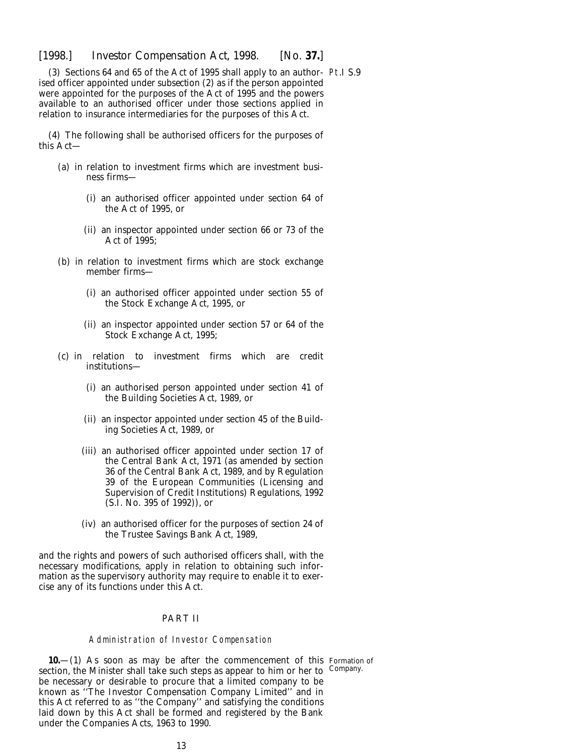<span id="page-12-0"></span>(3) Sections 64 and 65 of the Act of 1995 shall apply to an author-Pt.I S.9 ised officer appointed under *subsection (2)* as if the person appointed were appointed for the purposes of the Act of 1995 and the powers available to an authorised officer under those sections applied in relation to insurance intermediaries for the purposes of this Act.

(4) The following shall be authorised officers for the purposes of this Act—

- (*a*) in relation to investment firms which are investment business firms—
	- (i) an authorised officer appointed under section 64 of the Act of 1995, or
	- (ii) an inspector appointed under section 66 or 73 of the Act of 1995;
- (*b*) in relation to investment firms which are stock exchange member firms—
	- (i) an authorised officer appointed under section 55 of the Stock Exchange Act, 1995, or
	- (ii) an inspector appointed under section 57 or 64 of the Stock Exchange Act, 1995;
- (*c*) in relation to investment firms which are credit institutions—
	- (i) an authorised person appointed under section 41 of the Building Societies Act, 1989, or
	- (ii) an inspector appointed under section 45 of the Building Societies Act, 1989, or
	- (iii) an authorised officer appointed under section 17 of the Central Bank Act, 1971 (as amended by section 36 of the Central Bank Act, 1989, and by Regulation 39 of the European Communities (Licensing and Supervision of Credit Institutions) Regulations, 1992 (S.I. No. 395 of 1992)), or
	- (iv) an authorised officer for the purposes of section 24 of the Trustee Savings Bank Act, 1989,

and the rights and powers of such authorised officers shall, with the necessary modifications, apply in relation to obtaining such information as the supervisory authority may require to enable it to exercise any of its functions under this Act.

#### PART II

#### Administration of Investor Compensation

**10.**—(1) As soon as may be after the commencement of this Formation of section, the Minister shall take such steps as appear to him or her to <sup>Company.</sup> be necessary or desirable to procure that a limited company to be known as ''The Investor Compensation Company Limited'' and in this Act referred to as ''the Company'' and satisfying the conditions laid down by this Act shall be formed and registered by the Bank under the Companies Acts, 1963 to 1990.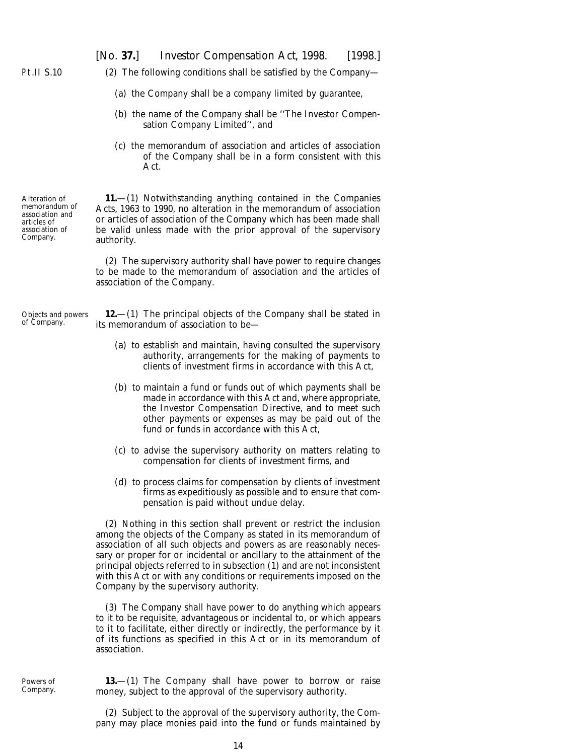<span id="page-13-0"></span>Pt.II S.10

- (2) The following conditions shall be satisfied by the Company—
	- (*a*) the Company shall be a company limited by guarantee,
	- (*b*) the name of the Company shall be ''The Investor Compensation Company Limited'', and
	- (*c*) the memorandum of association and articles of association of the Company shall be in a form consistent with this Act.

**11.**—(1) Notwithstanding anything contained in the Companies Acts, 1963 to 1990, no alteration in the memorandum of association or articles of association of the Company which has been made shall be valid unless made with the prior approval of the supervisory authority.

(2) The supervisory authority shall have power to require changes to be made to the memorandum of association and the articles of association of the Company.

Objects and powers **12.**—(1) The principal objects of the Company shall be stated in its memorandum of association to be—

- (*a*) to establish and maintain, having consulted the supervisory authority, arrangements for the making of payments to clients of investment firms in accordance with this Act,
- (*b*) to maintain a fund or funds out of which payments shall be made in accordance with this Act and, where appropriate, the Investor Compensation Directive, and to meet such other payments or expenses as may be paid out of the fund or funds in accordance with this Act,
- (*c*) to advise the supervisory authority on matters relating to compensation for clients of investment firms, and
- (*d*) to process claims for compensation by clients of investment firms as expeditiously as possible and to ensure that compensation is paid without undue delay.

(2) Nothing in this section shall prevent or restrict the inclusion among the objects of the Company as stated in its memorandum of association of all such objects and powers as are reasonably necessary or proper for or incidental or ancillary to the attainment of the principal objects referred to in *subsection (1)* and are not inconsistent with this Act or with any conditions or requirements imposed on the Company by the supervisory authority.

(3) The Company shall have power to do anything which appears to it to be requisite, advantageous or incidental to, or which appears to it to facilitate, either directly or indirectly, the performance by it of its functions as specified in this Act or in its memorandum of association.

**13.**—(1) The Company shall have power to borrow or raise money, subject to the approval of the supervisory authority.

(2) Subject to the approval of the supervisory authority, the Company may place monies paid into the fund or funds maintained by

Alteration of memorandum of association and articles of association of Company.

of Company.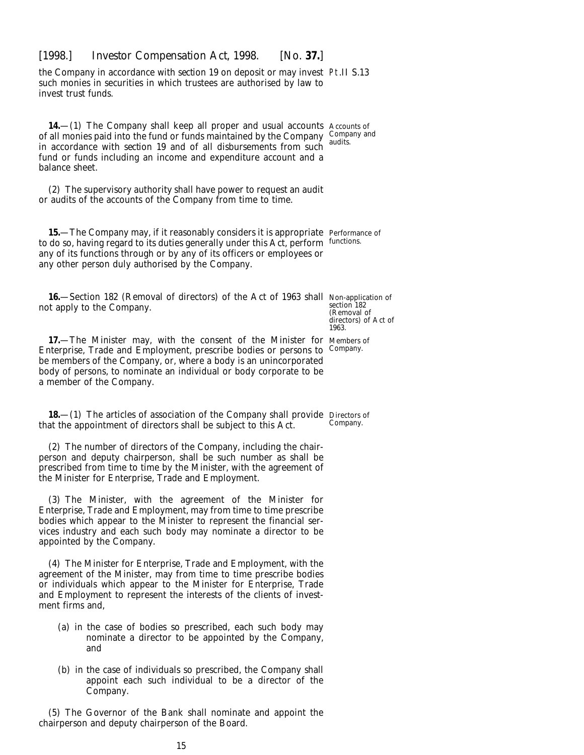<span id="page-14-0"></span>the Company in accordance with *section 19* on deposit or may invest Pt.II S.13 such monies in securities in which trustees are authorised by law to invest trust funds.

**14.** (1) The Company shall keep all proper and usual accounts Accounts of of all monies paid into the fund or funds maintained by the Company Company and in accordance with *section 19* and of all disbursements from such fund or funds including an income and expenditure account and a balance sheet.

(2) The supervisory authority shall have power to request an audit or audits of the accounts of the Company from time to time.

**15.—The Company may, if it reasonably considers it is appropriate** Performance of to do so, having regard to its duties generally under this Act, perform functions. any of its functions through or by any of its officers or employees or any other person duly authorised by the Company.

**16.**—Section 182 (Removal of directors) of the Act of 1963 shall Non-application of the Actor of the Actor of the Section 182 not apply to the Company.

**17.**—The Minister may, with the consent of the Minister for Members of Enterprise, Trade and Employment, prescribe bodies or persons to Company. be members of the Company, or, where a body is an unincorporated body of persons, to nominate an individual or body corporate to be a member of the Company.

**18**—(1) The articles of association of the Company shall provide Directors of that the appointment of directors shall be subject to this Act.

(2) The number of directors of the Company, including the chairperson and deputy chairperson, shall be such number as shall be prescribed from time to time by the Minister, with the agreement of the Minister for Enterprise, Trade and Employment.

(3) The Minister, with the agreement of the Minister for Enterprise, Trade and Employment, may from time to time prescribe bodies which appear to the Minister to represent the financial services industry and each such body may nominate a director to be appointed by the Company.

(4) The Minister for Enterprise, Trade and Employment, with the agreement of the Minister, may from time to time prescribe bodies or individuals which appear to the Minister for Enterprise, Trade and Employment to represent the interests of the clients of investment firms and.

- (*a*) in the case of bodies so prescribed, each such body may nominate a director to be appointed by the Company, and
- (*b*) in the case of individuals so prescribed, the Company shall appoint each such individual to be a director of the Company.

(5) The Governor of the Bank shall nominate and appoint the chairperson and deputy chairperson of the Board.

15

audits.

(Removal of directors) of Act of 1963.

Company.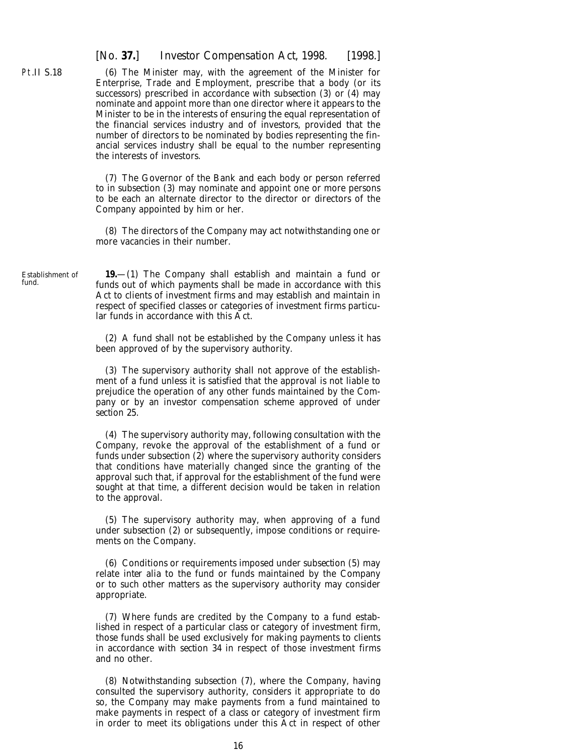(6) The Minister may, with the agreement of the Minister for Enterprise, Trade and Employment, prescribe that a body (or its successors) prescribed in accordance with *subsection (3)* or *(4)* may nominate and appoint more than one director where it appears to the Minister to be in the interests of ensuring the equal representation of the financial services industry and of investors, provided that the number of directors to be nominated by bodies representing the financial services industry shall be equal to the number representing the interests of investors.

(7) The Governor of the Bank and each body or person referred to in *subsection (3)* may nominate and appoint one or more persons to be each an alternate director to the director or directors of the Company appointed by him or her.

(8) The directors of the Company may act notwithstanding one or more vacancies in their number.

**19.**—(1) The Company shall establish and maintain a fund or funds out of which payments shall be made in accordance with this Act to clients of investment firms and may establish and maintain in respect of specified classes or categories of investment firms particular funds in accordance with this Act.

(2) A fund shall not be established by the Company unless it has been approved of by the supervisory authority.

(3) The supervisory authority shall not approve of the establishment of a fund unless it is satisfied that the approval is not liable to prejudice the operation of any other funds maintained by the Company or by an investor compensation scheme approved of under *section 25*.

(4) The supervisory authority may, following consultation with the Company, revoke the approval of the establishment of a fund or funds under *subsection (2)* where the supervisory authority considers that conditions have materially changed since the granting of the approval such that, if approval for the establishment of the fund were sought at that time, a different decision would be taken in relation to the approval.

(5) The supervisory authority may, when approving of a fund under *subsection (2)* or subsequently, impose conditions or requirements on the Company.

(6) Conditions or requirements imposed under *subsection (5)* may relate *inter alia* to the fund or funds maintained by the Company or to such other matters as the supervisory authority may consider appropriate.

(7) Where funds are credited by the Company to a fund established in respect of a particular class or category of investment firm, those funds shall be used exclusively for making payments to clients in accordance with *section 34* in respect of those investment firms and no other.

(8) Notwithstanding *subsection (7)*, where the Company, having consulted the supervisory authority, considers it appropriate to do so, the Company may make payments from a fund maintained to make payments in respect of a class or category of investment firm in order to meet its obligations under this Act in respect of other

Establishment of fund.

<span id="page-15-0"></span>Pt.II S.18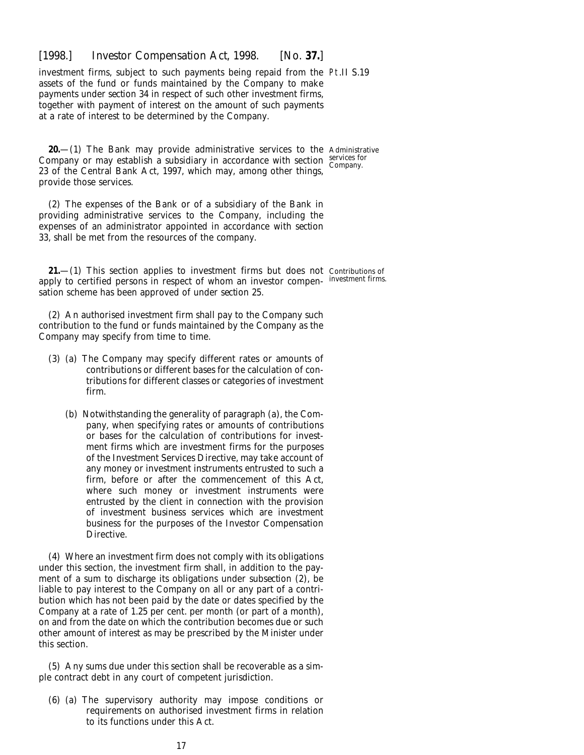<span id="page-16-0"></span>investment firms, subject to such payments being repaid from the Pt.II S.19 assets of the fund or funds maintained by the Company to make payments under *section 34* in respect of such other investment firms, together with payment of interest on the amount of such payments at a rate of interest to be determined by the Company.

**20.**—(1) The Bank may provide administrative services to the Administrative Company or may establish a subsidiary in accordance with section services for 23 of the Central Bank Act, 1997, which may, among other things, provide those services.

(2) The expenses of the Bank or of a subsidiary of the Bank in providing administrative services to the Company, including the expenses of an administrator appointed in accordance with *section 33*, shall be met from the resources of the company.

**21.**—(1) This section applies to investment firms but does not Contributions of apply to certified persons in respect of whom an investor compen- investment firms. sation scheme has been approved of under *section 25*.

(2) An authorised investment firm shall pay to the Company such contribution to the fund or funds maintained by the Company as the Company may specify from time to time.

- (3) (*a*) The Company may specify different rates or amounts of contributions or different bases for the calculation of contributions for different classes or categories of investment firm.
	- (*b*) Notwithstanding the generality of *paragraph (a)*, the Company, when specifying rates or amounts of contributions or bases for the calculation of contributions for investment firms which are investment firms for the purposes of the Investment Services Directive, may take account of any money or investment instruments entrusted to such a firm, before or after the commencement of this Act, where such money or investment instruments were entrusted by the client in connection with the provision of investment business services which are investment business for the purposes of the Investor Compensation Directive.

(4) Where an investment firm does not comply with its obligations under this section, the investment firm shall, in addition to the payment of a sum to discharge its obligations under *subsection (2)*, be liable to pay interest to the Company on all or any part of a contribution which has not been paid by the date or dates specified by the Company at a rate of 1.25 per cent. per month (or part of a month), on and from the date on which the contribution becomes due or such other amount of interest as may be prescribed by the Minister under this section.

(5) Any sums due under this section shall be recoverable as a simple contract debt in any court of competent jurisdiction.

(6) (*a*) The supervisory authority may impose conditions or requirements on authorised investment firms in relation to its functions under this Act.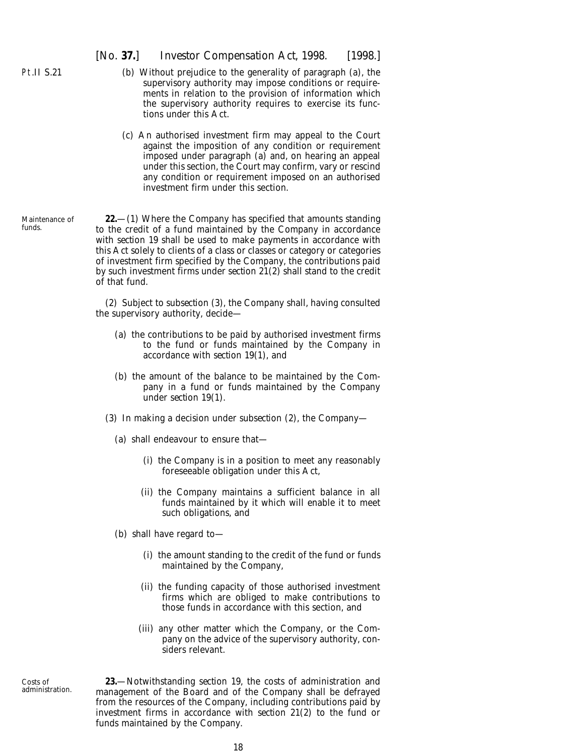- (*b*) Without prejudice to the generality of *paragraph (a)*, the supervisory authority may impose conditions or requirements in relation to the provision of information which the supervisory authority requires to exercise its functions under this Act.
- (*c*) An authorised investment firm may appeal to the Court against the imposition of any condition or requirement imposed under *paragraph (a)* and, on hearing an appeal under this section, the Court may confirm, vary or rescind any condition or requirement imposed on an authorised investment firm under this section.

**22.**—(1) Where the Company has specified that amounts standing to the credit of a fund maintained by the Company in accordance with *section 19* shall be used to make payments in accordance with this Act solely to clients of a class or classes or category or categories of investment firm specified by the Company, the contributions paid by such investment firms under *section 21(2)* shall stand to the credit of that fund.

(2) Subject to *subsection (3)*, the Company shall, having consulted the supervisory authority, decide—

- (*a*) the contributions to be paid by authorised investment firms to the fund or funds maintained by the Company in accordance with *section 19(1)*, and
- (*b*) the amount of the balance to be maintained by the Company in a fund or funds maintained by the Company under *section 19(1).*
- (3) In making a decision under *subsection (2)*, the Company—
	- (*a*) shall endeavour to ensure that—
		- (i) the Company is in a position to meet any reasonably foreseeable obligation under this Act,
		- (ii) the Company maintains a sufficient balance in all funds maintained by it which will enable it to meet such obligations, and
	- (*b*) shall have regard to—
		- (i) the amount standing to the credit of the fund or funds maintained by the Company,
		- (ii) the funding capacity of those authorised investment firms which are obliged to make contributions to those funds in accordance with this section, and
		- (iii) any other matter which the Company, or the Company on the advice of the supervisory authority, considers relevant.

Costs of administration.

**23.**—Notwithstanding *section 19*, the costs of administration and management of the Board and of the Company shall be defrayed from the resources of the Company, including contributions paid by investment firms in accordance with *section 21(2)* to the fund or funds maintained by the Company.

<span id="page-17-0"></span>Pt.II S.21

Maintenance of funds.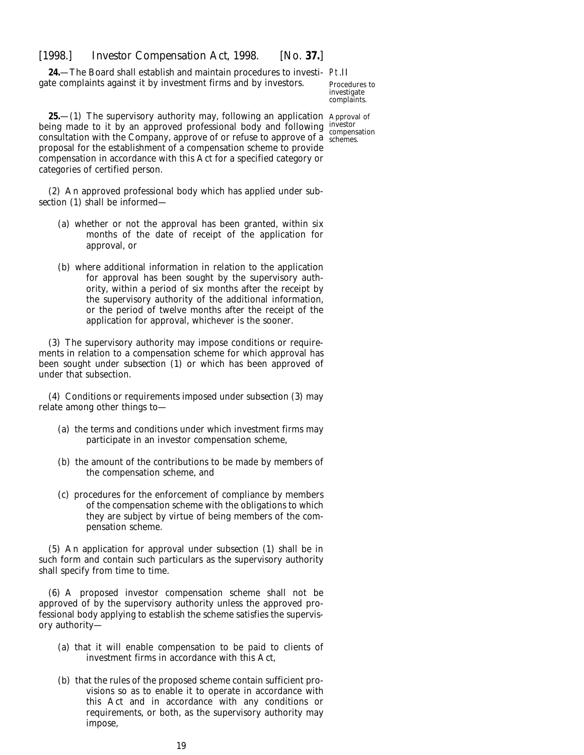<span id="page-18-0"></span>24. The Board shall establish and maintain procedures to investi- Pt.II gate complaints against it by investment firms and by investors.

Procedures to investigate complaints.

**25.**—(1) The supervisory authority may, following an application Approval of being made to it by an approved professional body and following investor compensation consultation with the Company, approve of or refuse to approve of a schemes. proposal for the establishment of a compensation scheme to provide compensation in accordance with this Act for a specified category or categories of certified person.

(2) An approved professional body which has applied under *subsection (1)* shall be informed—

- (*a*) whether or not the approval has been granted, within six months of the date of receipt of the application for approval, or
- (*b*) where additional information in relation to the application for approval has been sought by the supervisory authority, within a period of six months after the receipt by the supervisory authority of the additional information, or the period of twelve months after the receipt of the application for approval, whichever is the sooner.

(3) The supervisory authority may impose conditions or requirements in relation to a compensation scheme for which approval has been sought under *subsection (1)* or which has been approved of under that subsection.

(4) Conditions or requirements imposed under *subsection (3)* may relate among other things to—

- (*a*) the terms and conditions under which investment firms may participate in an investor compensation scheme,
- (*b*) the amount of the contributions to be made by members of the compensation scheme, and
- (*c*) procedures for the enforcement of compliance by members of the compensation scheme with the obligations to which they are subject by virtue of being members of the compensation scheme.

(5) An application for approval under *subsection (1)* shall be in such form and contain such particulars as the supervisory authority shall specify from time to time.

(6) A proposed investor compensation scheme shall not be approved of by the supervisory authority unless the approved professional body applying to establish the scheme satisfies the supervisory authority—

- (*a*) that it will enable compensation to be paid to clients of investment firms in accordance with this Act,
- (*b*) that the rules of the proposed scheme contain sufficient provisions so as to enable it to operate in accordance with this Act and in accordance with any conditions or requirements, or both, as the supervisory authority may impose,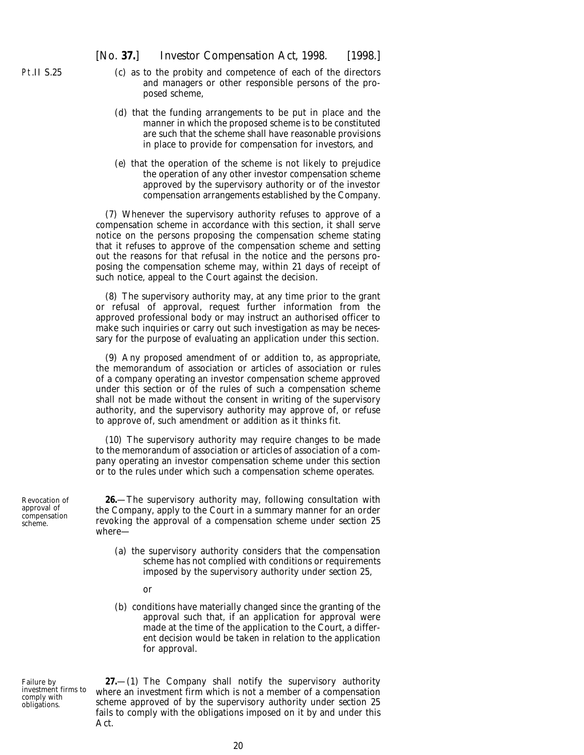<span id="page-19-0"></span>

- (*c*) as to the probity and competence of each of the directors and managers or other responsible persons of the proposed scheme,
- (*d*) that the funding arrangements to be put in place and the manner in which the proposed scheme is to be constituted are such that the scheme shall have reasonable provisions in place to provide for compensation for investors, and
- (*e*) that the operation of the scheme is not likely to prejudice the operation of any other investor compensation scheme approved by the supervisory authority or of the investor compensation arrangements established by the Company.

(7) Whenever the supervisory authority refuses to approve of a compensation scheme in accordance with this section, it shall serve notice on the persons proposing the compensation scheme stating that it refuses to approve of the compensation scheme and setting out the reasons for that refusal in the notice and the persons proposing the compensation scheme may, within 21 days of receipt of such notice, appeal to the Court against the decision.

(8) The supervisory authority may, at any time prior to the grant or refusal of approval, request further information from the approved professional body or may instruct an authorised officer to make such inquiries or carry out such investigation as may be necessary for the purpose of evaluating an application under this section.

(9) Any proposed amendment of or addition to, as appropriate, the memorandum of association or articles of association or rules of a company operating an investor compensation scheme approved under this section or of the rules of such a compensation scheme shall not be made without the consent in writing of the supervisory authority, and the supervisory authority may approve of, or refuse to approve of, such amendment or addition as it thinks fit.

(10) The supervisory authority may require changes to be made to the memorandum of association or articles of association of a company operating an investor compensation scheme under this section or to the rules under which such a compensation scheme operates.

Revocation of approval of compensation scheme.

**26.**—The supervisory authority may, following consultation with the Company, apply to the Court in a summary manner for an order revoking the approval of a compensation scheme under *section 25* where—

- (*a*) the supervisory authority considers that the compensation scheme has not complied with conditions or requirements imposed by the supervisory authority under *section 25,*
	- or
- (*b*) conditions have materially changed since the granting of the approval such that, if an application for approval were made at the time of the application to the Court, a different decision would be taken in relation to the application for approval.

Failure by investment firms to comply with obligations.

**27.**—(1) The Company shall notify the supervisory authority where an investment firm which is not a member of a compensation scheme approved of by the supervisory authority under *section 25* fails to comply with the obligations imposed on it by and under this Act.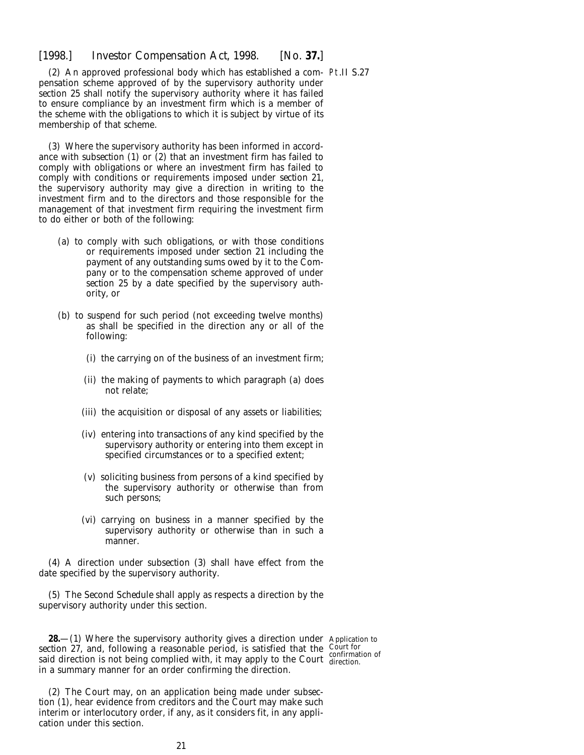<span id="page-20-0"></span>(2) An approved professional body which has established a com-Pt.II S.27 pensation scheme approved of by the supervisory authority under *section 25* shall notify the supervisory authority where it has failed to ensure compliance by an investment firm which is a member of the scheme with the obligations to which it is subject by virtue of its membership of that scheme.

(3) Where the supervisory authority has been informed in accordance with *subsection (1)* or *(2)* that an investment firm has failed to comply with obligations or where an investment firm has failed to comply with conditions or requirements imposed under *section 21*, the supervisory authority may give a direction in writing to the investment firm and to the directors and those responsible for the management of that investment firm requiring the investment firm to do either or both of the following:

- (*a*) to comply with such obligations, or with those conditions or requirements imposed under *section 21* including the payment of any outstanding sums owed by it to the Company or to the compensation scheme approved of under *section 25* by a date specified by the supervisory authority, or
- (*b*) to suspend for such period (not exceeding twelve months) as shall be specified in the direction any or all of the following:
	- (i) the carrying on of the business of an investment firm;
	- (ii) the making of payments to which *paragraph (a)* does not relate;
	- (iii) the acquisition or disposal of any assets or liabilities;
	- (iv) entering into transactions of any kind specified by the supervisory authority or entering into them except in specified circumstances or to a specified extent;
	- (v) soliciting business from persons of a kind specified by the supervisory authority or otherwise than from such persons;
	- (vi) carrying on business in a manner specified by the supervisory authority or otherwise than in such a manner.

(4) A direction under *subsection (3)* shall have effect from the date specified by the supervisory authority.

(5) The *Second Schedule* shall apply as respects a direction by the supervisory authority under this section.

**28.**—(1) Where the supervisory authority gives a direction under *section 27*, and, following a reasonable period, is satisfied that the said direction is not being complied with, it may apply to the Court direction. in a summary manner for an order confirming the direction.

Application to Court for confirmation of

(2) The Court may, on an application being made under *subsection (1)*, hear evidence from creditors and the Court may make such interim or interlocutory order, if any, as it considers fit, in any application under this section.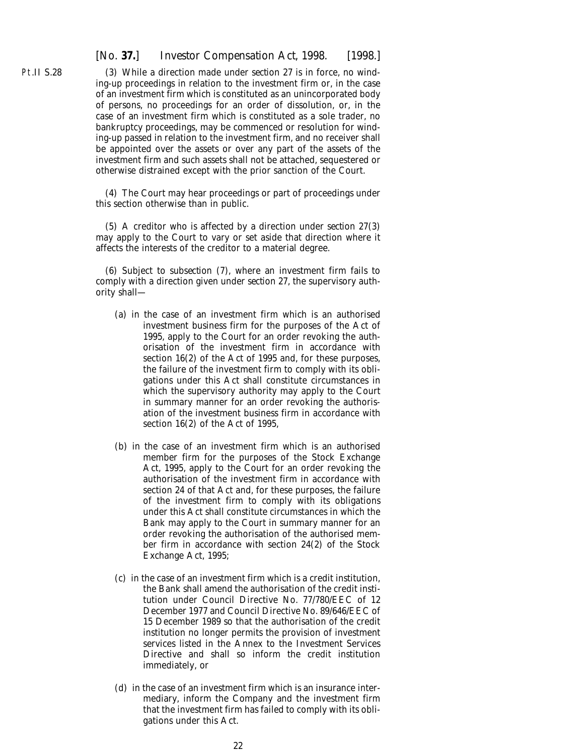Pt.II S.28

(3) While a direction made under *section 27* is in force, no winding-up proceedings in relation to the investment firm or, in the case of an investment firm which is constituted as an unincorporated body of persons, no proceedings for an order of dissolution, or, in the case of an investment firm which is constituted as a sole trader, no bankruptcy proceedings, may be commenced or resolution for winding-up passed in relation to the investment firm, and no receiver shall be appointed over the assets or over any part of the assets of the investment firm and such assets shall not be attached, sequestered or otherwise distrained except with the prior sanction of the Court.

(4) The Court may hear proceedings or part of proceedings under this section otherwise than in public.

(5) A creditor who is affected by a direction under *section 27(3)* may apply to the Court to vary or set aside that direction where it affects the interests of the creditor to a material degree.

(6) Subject to *subsection (7)*, where an investment firm fails to comply with a direction given under *section 27*, the supervisory authority shall—

- (*a*) in the case of an investment firm which is an authorised investment business firm for the purposes of the Act of 1995, apply to the Court for an order revoking the authorisation of the investment firm in accordance with section 16(2) of the Act of 1995 and, for these purposes, the failure of the investment firm to comply with its obligations under this Act shall constitute circumstances in which the supervisory authority may apply to the Court in summary manner for an order revoking the authorisation of the investment business firm in accordance with section 16(2) of the Act of 1995,
- (*b*) in the case of an investment firm which is an authorised member firm for the purposes of the Stock Exchange Act, 1995, apply to the Court for an order revoking the authorisation of the investment firm in accordance with section 24 of that Act and, for these purposes, the failure of the investment firm to comply with its obligations under this Act shall constitute circumstances in which the Bank may apply to the Court in summary manner for an order revoking the authorisation of the authorised member firm in accordance with section 24(2) of the Stock Exchange Act, 1995;
- (*c*) in the case of an investment firm which is a credit institution, the Bank shall amend the authorisation of the credit institution under Council Directive No. 77/780/EEC of 12 December 1977 and Council Directive No. 89/646/EEC of 15 December 1989 so that the authorisation of the credit institution no longer permits the provision of investment services listed in the Annex to the Investment Services Directive and shall so inform the credit institution immediately, or
- (*d*) in the case of an investment firm which is an insurance intermediary, inform the Company and the investment firm that the investment firm has failed to comply with its obligations under this Act.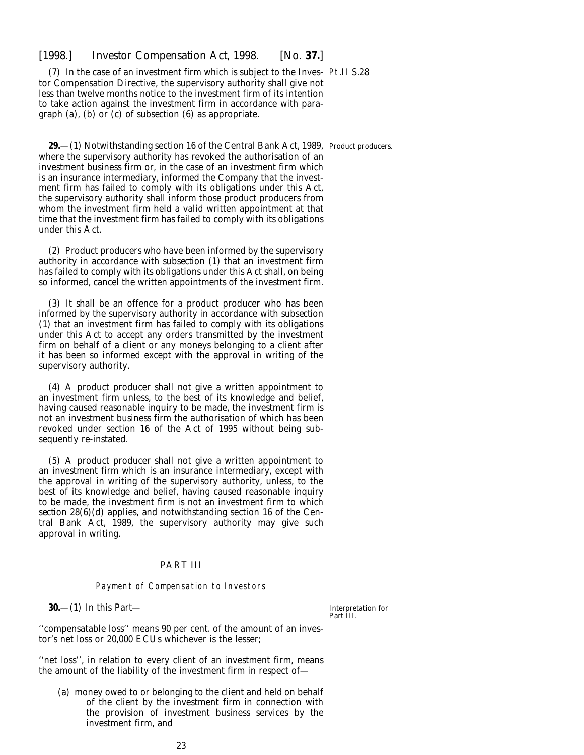<span id="page-22-0"></span>(7) In the case of an investment firm which is subject to the Inves-Pt.II S.28 tor Compensation Directive, the supervisory authority shall give not less than twelve months notice to the investment firm of its intention to take action against the investment firm in accordance with *paragraph (a)*, *(b)* or *(c)* of *subsection (6)* as appropriate.

**29.**—(1) Notwithstanding section 16 of the Central Bank Act, 1989, Product producers. where the supervisory authority has revoked the authorisation of an investment business firm or, in the case of an investment firm which is an insurance intermediary, informed the Company that the investment firm has failed to comply with its obligations under this Act, the supervisory authority shall inform those product producers from whom the investment firm held a valid written appointment at that time that the investment firm has failed to comply with its obligations under this Act.

(2) Product producers who have been informed by the supervisory authority in accordance with *subsection (1)* that an investment firm has failed to comply with its obligations under this Act shall, on being so informed, cancel the written appointments of the investment firm.

(3) It shall be an offence for a product producer who has been informed by the supervisory authority in accordance with *subsection (1)* that an investment firm has failed to comply with its obligations under this Act to accept any orders transmitted by the investment firm on behalf of a client or any moneys belonging to a client after it has been so informed except with the approval in writing of the supervisory authority.

(4) A product producer shall not give a written appointment to an investment firm unless, to the best of its knowledge and belief, having caused reasonable inquiry to be made, the investment firm is not an investment business firm the authorisation of which has been revoked under section 16 of the Act of 1995 without being subsequently re-instated.

(5) A product producer shall not give a written appointment to an investment firm which is an insurance intermediary, except with the approval in writing of the supervisory authority, unless, to the best of its knowledge and belief, having caused reasonable inquiry to be made, the investment firm is not an investment firm to which *section 28(6)(d)* applies, and notwithstanding section 16 of the Central Bank Act, 1989, the supervisory authority may give such approval in writing.

#### PART III

#### Payment of Compensation to Investors

**30.**—(1) In this Part—

Interpretation for *Part III*.

''compensatable loss'' means 90 per cent. of the amount of an investor's net loss or 20,000 ECUs whichever is the lesser;

"net loss", in relation to every client of an investment firm, means the amount of the liability of the investment firm in respect of—

(*a*) money owed to or belonging to the client and held on behalf of the client by the investment firm in connection with the provision of investment business services by the investment firm, and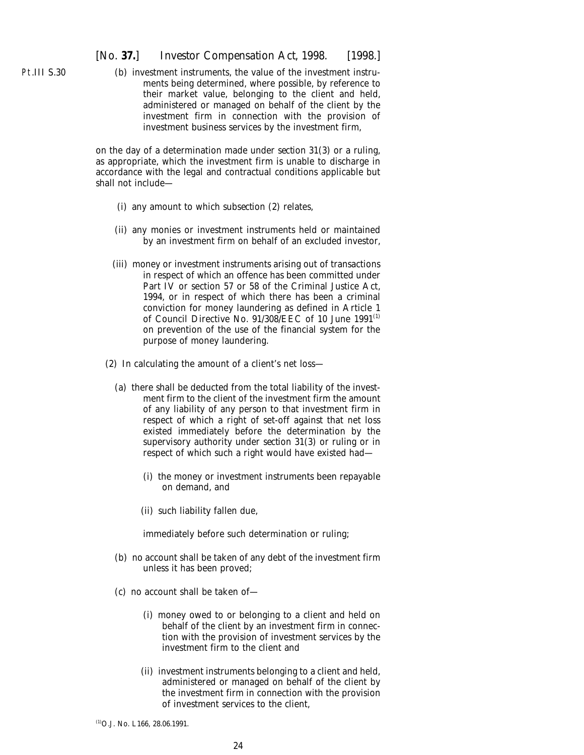Pt.III S.30

(*b*) investment instruments, the value of the investment instruments being determined, where possible, by reference to their market value, belonging to the client and held, administered or managed on behalf of the client by the investment firm in connection with the provision of investment business services by the investment firm,

on the day of a determination made under *section 31(3)* or a ruling, as appropriate, which the investment firm is unable to discharge in accordance with the legal and contractual conditions applicable but shall not include—

- (i) any amount to which *subsection (2)* relates,
- (ii) any monies or investment instruments held or maintained by an investment firm on behalf of an excluded investor,
- (iii) money or investment instruments arising out of transactions in respect of which an offence has been committed under Part IV or section 57 or 58 of the Criminal Justice Act, 1994, or in respect of which there has been a criminal conviction for money laundering as defined in Article 1 of Council Directive No. 91/308/EEC of 10 June 1991<sup>(1)</sup> on prevention of the use of the financial system for the purpose of money laundering.
- (2) In calculating the amount of a client's net loss—
	- (*a*) there shall be deducted from the total liability of the investment firm to the client of the investment firm the amount of any liability of any person to that investment firm in respect of which a right of set-off against that net loss existed immediately before the determination by the supervisory authority under *section 31(3)* or ruling or in respect of which such a right would have existed had—
		- (i) the money or investment instruments been repayable on demand, and
		- (ii) such liability fallen due,

immediately before such determination or ruling;

- (*b*) no account shall be taken of any debt of the investment firm unless it has been proved;
- (*c*) no account shall be taken of—
	- (i) money owed to or belonging to a client and held on behalf of the client by an investment firm in connection with the provision of investment services by the investment firm to the client and
	- (ii) investment instruments belonging to a client and held, administered or managed on behalf of the client by the investment firm in connection with the provision of investment services to the client,

<sup>(1)</sup>O.J. No. L166, 28.06.1991.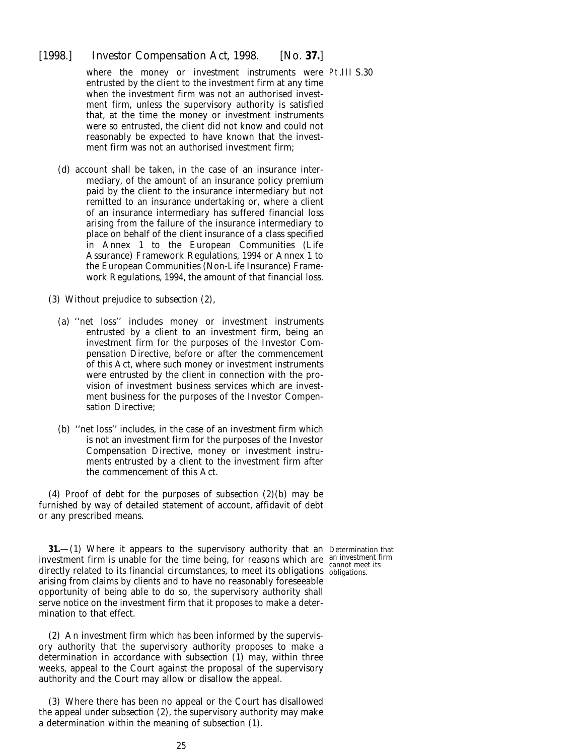<span id="page-24-0"></span>where the money or investment instruments were Pt.III S.30 entrusted by the client to the investment firm at any time when the investment firm was not an authorised investment firm, unless the supervisory authority is satisfied that, at the time the money or investment instruments were so entrusted, the client did not know and could not reasonably be expected to have known that the investment firm was not an authorised investment firm;

- (*d*) account shall be taken, in the case of an insurance intermediary, of the amount of an insurance policy premium paid by the client to the insurance intermediary but not remitted to an insurance undertaking or, where a client of an insurance intermediary has suffered financial loss arising from the failure of the insurance intermediary to place on behalf of the client insurance of a class specified in Annex 1 to the European Communities (Life Assurance) Framework Regulations, 1994 or Annex 1 to the European Communities (Non-Life Insurance) Framework Regulations, 1994, the amount of that financial loss.
- (3) Without prejudice to *subsection (2)*,
	- (*a*) ''net loss'' includes money or investment instruments entrusted by a client to an investment firm, being an investment firm for the purposes of the Investor Compensation Directive, before or after the commencement of this Act, where such money or investment instruments were entrusted by the client in connection with the provision of investment business services which are investment business for the purposes of the Investor Compensation Directive;
	- (*b*) ''net loss'' includes, in the case of an investment firm which is not an investment firm for the purposes of the Investor Compensation Directive, money or investment instruments entrusted by a client to the investment firm after the commencement of this Act.

(4) Proof of debt for the purposes of *subsection (2)(b)* may be furnished by way of detailed statement of account, affidavit of debt or any prescribed means.

**31.**—(1) Where it appears to the supervisory authority that an Determination that investment firm is unable for the time being, for reasons which are an investment firm directly related to its financial circumstances, to meet its obligations obligations. arising from claims by clients and to have no reasonably foreseeable opportunity of being able to do so, the supervisory authority shall serve notice on the investment firm that it proposes to make a determination to that effect.

(2) An investment firm which has been informed by the supervisory authority that the supervisory authority proposes to make a determination in accordance with *subsection (1)* may, within three weeks, appeal to the Court against the proposal of the supervisory authority and the Court may allow or disallow the appeal.

(3) Where there has been no appeal or the Court has disallowed the appeal under *subsection (2)*, the supervisory authority may make a determination within the meaning of *subsection (1)*.

cannot meet its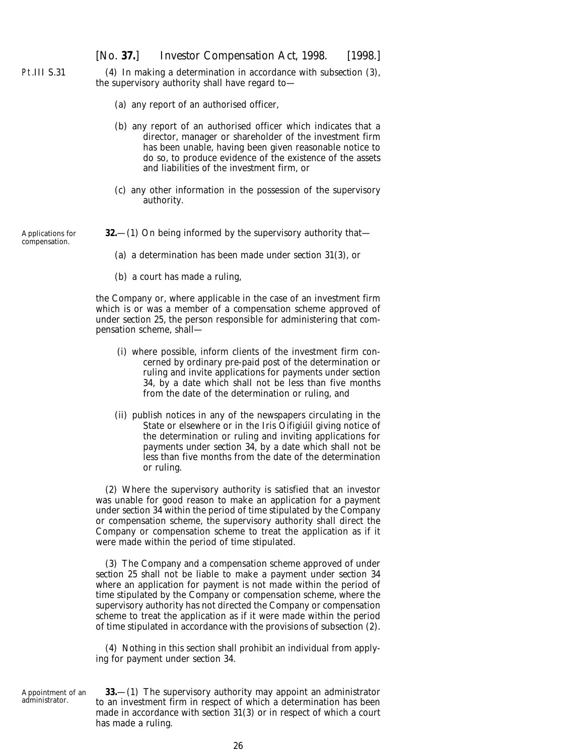<span id="page-25-0"></span>Pt.III S.31

Applications for compensation.

(4) In making a determination in accordance with *subsection (3)*, the supervisory authority shall have regard to—

- (*a*) any report of an authorised officer,
- (*b*) any report of an authorised officer which indicates that a director, manager or shareholder of the investment firm has been unable, having been given reasonable notice to do so, to produce evidence of the existence of the assets and liabilities of the investment firm, or
- (*c*) any other information in the possession of the supervisory authority.
- **32.**—(1) On being informed by the supervisory authority that—
	- (*a*) a determination has been made under *section 31(3)*, or
	- (*b*) a court has made a ruling,

the Company or, where applicable in the case of an investment firm which is or was a member of a compensation scheme approved of under *section 25*, the person responsible for administering that compensation scheme, shall—

- (i) where possible, inform clients of the investment firm concerned by ordinary pre-paid post of the determination or ruling and invite applications for payments under *section 34*, by a date which shall not be less than five months from the date of the determination or ruling, and
- (ii) publish notices in any of the newspapers circulating in the State or elsewhere or in the *Iris Oifigiúil* giving notice of the determination or ruling and inviting applications for payments under *section 34*, by a date which shall not be less than five months from the date of the determination or ruling.

(2) Where the supervisory authority is satisfied that an investor was unable for good reason to make an application for a payment under *section 34* within the period of time stipulated by the Company or compensation scheme, the supervisory authority shall direct the Company or compensation scheme to treat the application as if it were made within the period of time stipulated.

(3) The Company and a compensation scheme approved of under *section 25* shall not be liable to make a payment under *section 34* where an application for payment is not made within the period of time stipulated by the Company or compensation scheme, where the supervisory authority has not directed the Company or compensation scheme to treat the application as if it were made within the period of time stipulated in accordance with the provisions of *subsection (2)*.

(4) Nothing in this section shall prohibit an individual from applying for payment under *section 34*.

Appointment of an administrator.

**33.**—(1) The supervisory authority may appoint an administrator to an investment firm in respect of which a determination has been made in accordance with *section 31(3)* or in respect of which a court has made a ruling.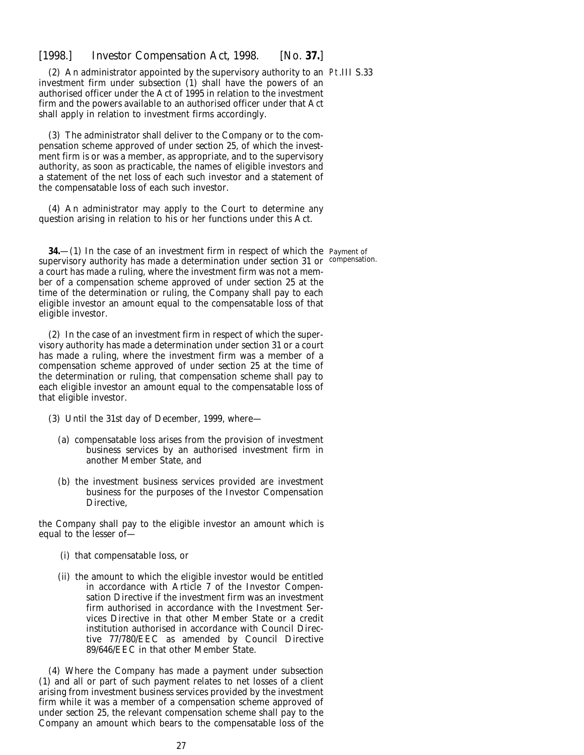<span id="page-26-0"></span>(2) An administrator appointed by the supervisory authority to an Pt.III S.33 investment firm under *subsection (1)* shall have the powers of an authorised officer under the Act of 1995 in relation to the investment firm and the powers available to an authorised officer under that Act shall apply in relation to investment firms accordingly.

(3) The administrator shall deliver to the Company or to the compensation scheme approved of under *section 25*, of which the investment firm is or was a member, as appropriate, and to the supervisory authority, as soon as practicable, the names of eligible investors and a statement of the net loss of each such investor and a statement of the compensatable loss of each such investor.

(4) An administrator may apply to the Court to determine any question arising in relation to his or her functions under this Act.

**34.**—(1) In the case of an investment firm in respect of which the Payment of supervisory authority has made a determination under *section 31* or compensation.a court has made a ruling, where the investment firm was not a member of a compensation scheme approved of under *section 25* at the time of the determination or ruling, the Company shall pay to each eligible investor an amount equal to the compensatable loss of that eligible investor.

(2) In the case of an investment firm in respect of which the supervisory authority has made a determination under *section 31* or a court has made a ruling, where the investment firm was a member of a compensation scheme approved of under *section 25* at the time of the determination or ruling, that compensation scheme shall pay to each eligible investor an amount equal to the compensatable loss of that eligible investor.

- (3) Until the 31st day of December, 1999, where—
	- (*a*) compensatable loss arises from the provision of investment business services by an authorised investment firm in another Member State, and
	- (*b*) the investment business services provided are investment business for the purposes of the Investor Compensation Directive,

the Company shall pay to the eligible investor an amount which is equal to the lesser of—

- (i) that compensatable loss, or
- (ii) the amount to which the eligible investor would be entitled in accordance with Article 7 of the Investor Compensation Directive if the investment firm was an investment firm authorised in accordance with the Investment Services Directive in that other Member State or a credit institution authorised in accordance with Council Directive 77/780/EEC as amended by Council Directive 89/646/EEC in that other Member State.

(4) Where the Company has made a payment under *subsection (1)* and all or part of such payment relates to net losses of a client arising from investment business services provided by the investment firm while it was a member of a compensation scheme approved of under *section 25*, the relevant compensation scheme shall pay to the Company an amount which bears to the compensatable loss of the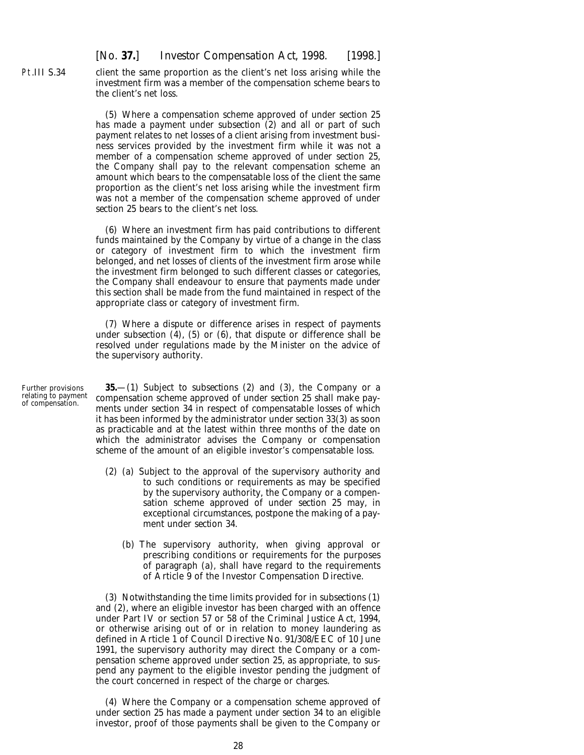<span id="page-27-0"></span>Pt.III S.34

client the same proportion as the client's net loss arising while the investment firm was a member of the compensation scheme bears to the client's net loss.

(5) Where a compensation scheme approved of under *section 25* has made a payment under *subsection (2)* and all or part of such payment relates to net losses of a client arising from investment business services provided by the investment firm while it was not a member of a compensation scheme approved of under *section 25*, the Company shall pay to the relevant compensation scheme an amount which bears to the compensatable loss of the client the same proportion as the client's net loss arising while the investment firm was not a member of the compensation scheme approved of under *section 25* bears to the client's net loss.

(6) Where an investment firm has paid contributions to different funds maintained by the Company by virtue of a change in the class or category of investment firm to which the investment firm belonged, and net losses of clients of the investment firm arose while the investment firm belonged to such different classes or categories, the Company shall endeavour to ensure that payments made under this section shall be made from the fund maintained in respect of the appropriate class or category of investment firm.

(7) Where a dispute or difference arises in respect of payments under *subsection (4)*, *(5)* or *(6)*, that dispute or difference shall be resolved under regulations made by the Minister on the advice of the supervisory authority.

Further provisions relating to payment of compensation.

**35.**—(1) Subject to *subsections (2)* and *(3)*, the Company or a compensation scheme approved of under *section 25* shall make payments under *section 34* in respect of compensatable losses of which it has been informed by the administrator under *section 33(3)* as soon as practicable and at the latest within three months of the date on which the administrator advises the Company or compensation scheme of the amount of an eligible investor's compensatable loss.

- (2) (*a*) Subject to the approval of the supervisory authority and to such conditions or requirements as may be specified by the supervisory authority, the Company or a compensation scheme approved of under *section 25* may, in exceptional circumstances, postpone the making of a payment under *section 34*.
	- (*b*) The supervisory authority, when giving approval or prescribing conditions or requirements for the purposes of *paragraph (a)*, shall have regard to the requirements of Article 9 of the Investor Compensation Directive.

(3) Notwithstanding the time limits provided for in *subsections (1)* and *(2)*, where an eligible investor has been charged with an offence under Part IV or section 57 or 58 of the Criminal Justice Act, 1994, or otherwise arising out of or in relation to money laundering as defined in Article 1 of Council Directive No. 91/308/EEC of 10 June 1991, the supervisory authority may direct the Company or a compensation scheme approved under *section 25*, as appropriate, to suspend any payment to the eligible investor pending the judgment of the court concerned in respect of the charge or charges.

(4) Where the Company or a compensation scheme approved of under *section 25* has made a payment under *section 34* to an eligible investor, proof of those payments shall be given to the Company or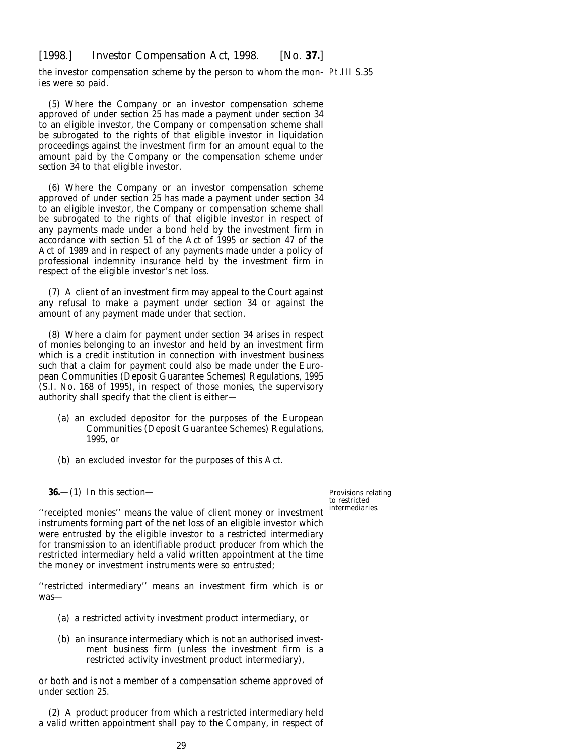<span id="page-28-0"></span>the investor compensation scheme by the person to whom the mon-Pt.III S.35 ies were so paid.

(5) Where the Company or an investor compensation scheme approved of under *section 25* has made a payment under *section 34* to an eligible investor, the Company or compensation scheme shall be subrogated to the rights of that eligible investor in liquidation proceedings against the investment firm for an amount equal to the amount paid by the Company or the compensation scheme under *section 34* to that eligible investor.

(6) Where the Company or an investor compensation scheme approved of under *section 25* has made a payment under *section 34* to an eligible investor, the Company or compensation scheme shall be subrogated to the rights of that eligible investor in respect of any payments made under a bond held by the investment firm in accordance with section 51 of the Act of 1995 or section 47 of the Act of 1989 and in respect of any payments made under a policy of professional indemnity insurance held by the investment firm in respect of the eligible investor's net loss.

(7) A client of an investment firm may appeal to the Court against any refusal to make a payment under *section 34* or against the amount of any payment made under that section.

(8) Where a claim for payment under *section 34* arises in respect of monies belonging to an investor and held by an investment firm which is a credit institution in connection with investment business such that a claim for payment could also be made under the European Communities (Deposit Guarantee Schemes) Regulations, 1995 (S.I. No. 168 of 1995), in respect of those monies, the supervisory authority shall specify that the client is either—

- (*a*) an excluded depositor for the purposes of the European Communities (Deposit Guarantee Schemes) Regulations, 1995, or
- (*b*) an excluded investor for the purposes of this Act.

**36.**—(1) In this section—

Provisions relating to restricted intermediaries.

''receipted monies'' means the value of client money or investment instruments forming part of the net loss of an eligible investor which were entrusted by the eligible investor to a restricted intermediary for transmission to an identifiable product producer from which the restricted intermediary held a valid written appointment at the time the money or investment instruments were so entrusted;

''restricted intermediary'' means an investment firm which is or was—

- (*a*) a restricted activity investment product intermediary, or
- (*b*) an insurance intermediary which is not an authorised investment business firm (unless the investment firm is a restricted activity investment product intermediary),

or both and is not a member of a compensation scheme approved of under *section 25*.

(2) A product producer from which a restricted intermediary held a valid written appointment shall pay to the Company, in respect of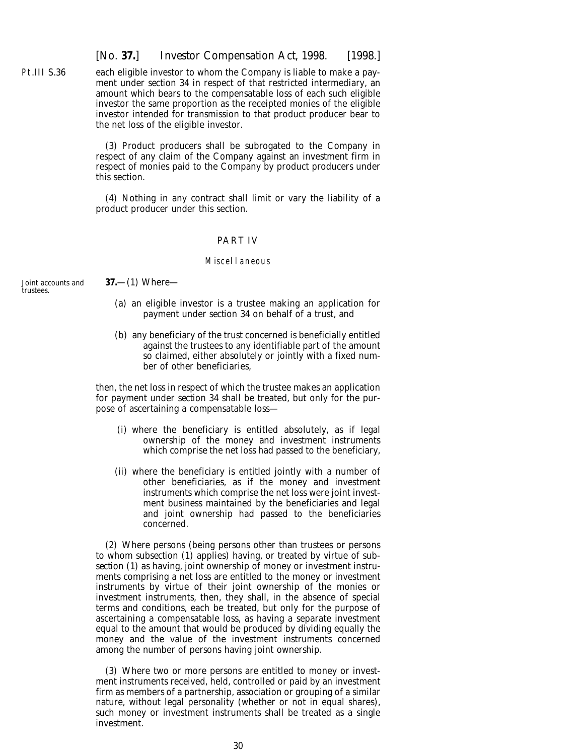<span id="page-29-0"></span>Pt.III S.36

each eligible investor to whom the Company is liable to make a payment under *section 34* in respect of that restricted intermediary, an amount which bears to the compensatable loss of each such eligible investor the same proportion as the receipted monies of the eligible investor intended for transmission to that product producer bear to the net loss of the eligible investor.

(3) Product producers shall be subrogated to the Company in respect of any claim of the Company against an investment firm in respect of monies paid to the Company by product producers under this section.

(4) Nothing in any contract shall limit or vary the liability of a product producer under this section.

### PART IV

#### Miscellaneous

Joint accounts and trustees. **37.**—(1) Where—

- (*a*) an eligible investor is a trustee making an application for payment under *section 34* on behalf of a trust, and
- (*b*) any beneficiary of the trust concerned is beneficially entitled against the trustees to any identifiable part of the amount so claimed, either absolutely or jointly with a fixed number of other beneficiaries,

then, the net loss in respect of which the trustee makes an application for payment under *section 34* shall be treated, but only for the purpose of ascertaining a compensatable loss—

- (i) where the beneficiary is entitled absolutely, as if legal ownership of the money and investment instruments which comprise the net loss had passed to the beneficiary,
- (ii) where the beneficiary is entitled jointly with a number of other beneficiaries, as if the money and investment instruments which comprise the net loss were joint investment business maintained by the beneficiaries and legal and joint ownership had passed to the beneficiaries concerned.

(2) Where persons (being persons other than trustees or persons to whom *subsection (1)* applies) having, or treated by virtue of *subsection (1)* as having, joint ownership of money or investment instruments comprising a net loss are entitled to the money or investment instruments by virtue of their joint ownership of the monies or investment instruments, then, they shall, in the absence of special terms and conditions, each be treated, but only for the purpose of ascertaining a compensatable loss, as having a separate investment equal to the amount that would be produced by dividing equally the money and the value of the investment instruments concerned among the number of persons having joint ownership.

(3) Where two or more persons are entitled to money or investment instruments received, held, controlled or paid by an investment firm as members of a partnership, association or grouping of a similar nature, without legal personality (whether or not in equal shares), such money or investment instruments shall be treated as a single investment.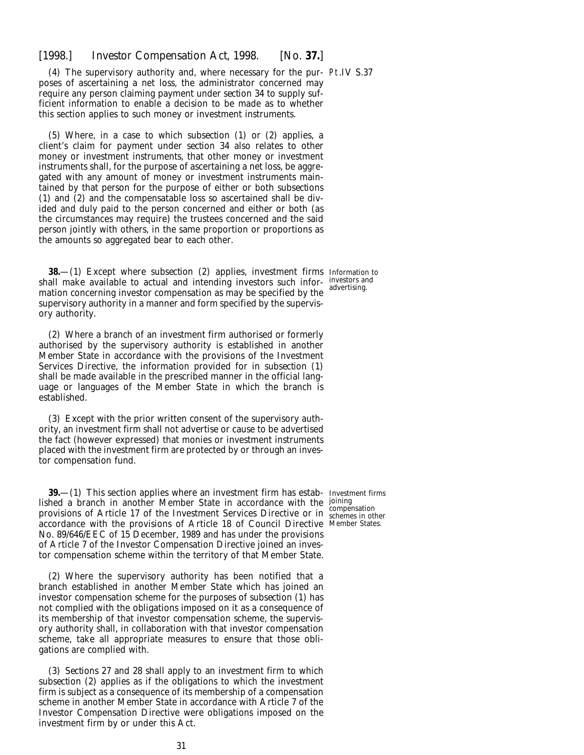<span id="page-30-0"></span>(4) The supervisory authority and, where necessary for the pur-Pt.IV S.37 poses of ascertaining a net loss, the administrator concerned may require any person claiming payment under *section 34* to supply sufficient information to enable a decision to be made as to whether this section applies to such money or investment instruments.

(5) Where, in a case to which *subsection (1)* or *(2)* applies, a client's claim for payment under *section 34* also relates to other money or investment instruments, that other money or investment instruments shall, for the purpose of ascertaining a net loss, be aggregated with any amount of money or investment instruments maintained by that person for the purpose of either or both *subsections (1)* and *(2)* and the compensatable loss so ascertained shall be divided and duly paid to the person concerned and either or both (as the circumstances may require) the trustees concerned and the said person jointly with others, in the same proportion or proportions as the amounts so aggregated bear to each other.

**38.** - (1) Except where *subsection (2)* applies, investment firms Information to shall make available to actual and intending investors such infor-investors and mation concerning investor compensation as may be specified by the supervisory authority in a manner and form specified by the supervisory authority.

(2) Where a branch of an investment firm authorised or formerly authorised by the supervisory authority is established in another Member State in accordance with the provisions of the Investment Services Directive, the information provided for in *subsection (1)* shall be made available in the prescribed manner in the official language or languages of the Member State in which the branch is established.

(3) Except with the prior written consent of the supervisory authority, an investment firm shall not advertise or cause to be advertised the fact (however expressed) that monies or investment instruments placed with the investment firm are protected by or through an investor compensation fund.

**39.**—(1) This section applies where an investment firm has estab- Investment firms lished a branch in another Member State in accordance with the joining provisions of Article 17 of the Investment Services Directive or in schemes in other accordance with the provisions of Article 18 of Council Directive Member States.No. 89/646/EEC of 15 December, 1989 and has under the provisions of Article 7 of the Investor Compensation Directive joined an investor compensation scheme within the territory of that Member State.

(2) Where the supervisory authority has been notified that a branch established in another Member State which has joined an investor compensation scheme for the purposes of *subsection (1)* has not complied with the obligations imposed on it as a consequence of its membership of that investor compensation scheme, the supervisory authority shall, in collaboration with that investor compensation scheme, take all appropriate measures to ensure that those obligations are complied with.

(3) *Sections 27* and *28* shall apply to an investment firm to which *subsection (2)* applies as if the obligations to which the investment firm is subject as a consequence of its membership of a compensation scheme in another Member State in accordance with Article 7 of the Investor Compensation Directive were obligations imposed on the investment firm by or under this Act.

advertising.

compensation

31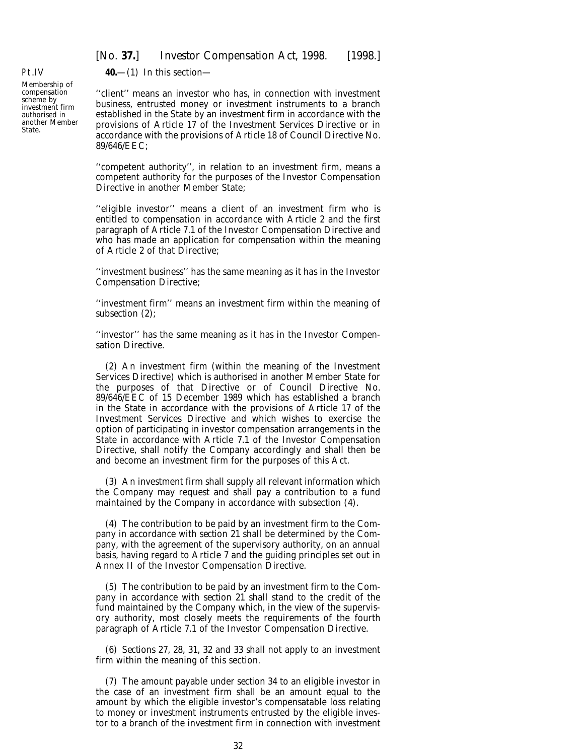**40.**—(1) In this section—

''client'' means an investor who has, in connection with investment business, entrusted money or investment instruments to a branch established in the State by an investment firm in accordance with the provisions of Article 17 of the Investment Services Directive or in accordance with the provisions of Article 18 of Council Directive No. 89/646/EEC;

''competent authority'', in relation to an investment firm, means a competent authority for the purposes of the Investor Compensation Directive in another Member State;

''eligible investor'' means a client of an investment firm who is entitled to compensation in accordance with Article 2 and the first paragraph of Article 7.1 of the Investor Compensation Directive and who has made an application for compensation within the meaning of Article 2 of that Directive;

''investment business'' has the same meaning as it has in the Investor Compensation Directive;

''investment firm'' means an investment firm within the meaning of *subsection (2)*;

''investor'' has the same meaning as it has in the Investor Compensation Directive.

(2) An investment firm (within the meaning of the Investment Services Directive) which is authorised in another Member State for the purposes of that Directive or of Council Directive No. 89/646/EEC of 15 December 1989 which has established a branch in the State in accordance with the provisions of Article 17 of the Investment Services Directive and which wishes to exercise the option of participating in investor compensation arrangements in the State in accordance with Article 7.1 of the Investor Compensation Directive, shall notify the Company accordingly and shall then be and become an investment firm for the purposes of this Act.

(3) An investment firm shall supply all relevant information which the Company may request and shall pay a contribution to a fund maintained by the Company in accordance with *subsection (4)*.

(4) The contribution to be paid by an investment firm to the Company in accordance with *section 21* shall be determined by the Company, with the agreement of the supervisory authority, on an annual basis, having regard to Article 7 and the guiding principles set out in Annex II of the Investor Compensation Directive.

(5) The contribution to be paid by an investment firm to the Company in accordance with *section 21* shall stand to the credit of the fund maintained by the Company which, in the view of the supervisory authority, most closely meets the requirements of the fourth paragraph of Article 7.1 of the Investor Compensation Directive.

(6) *Sections 27*, *28*, *31*, *32* and *33* shall not apply to an investment firm within the meaning of this section.

(7) The amount payable under *section 34* to an eligible investor in the case of an investment firm shall be an amount equal to the amount by which the eligible investor's compensatable loss relating to money or investment instruments entrusted by the eligible investor to a branch of the investment firm in connection with investment

<span id="page-31-0"></span>Pt.IV

Membership of compensation scheme by investment firm authorised in another Member State.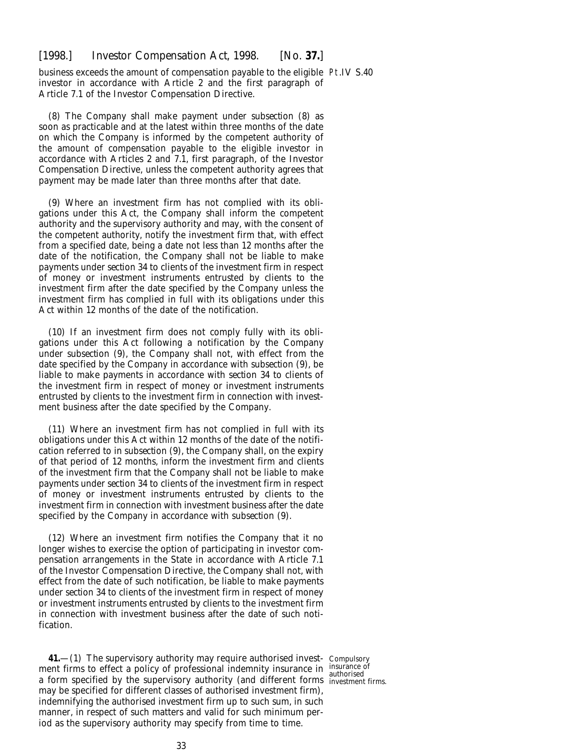<span id="page-32-0"></span>business exceeds the amount of compensation payable to the eligible Pt.IV S.40 investor in accordance with Article 2 and the first paragraph of Article 7.1 of the Investor Compensation Directive.

(8) The Company shall make payment under *subsection (8)* as soon as practicable and at the latest within three months of the date on which the Company is informed by the competent authority of the amount of compensation payable to the eligible investor in accordance with Articles 2 and 7.1, first paragraph, of the Investor Compensation Directive, unless the competent authority agrees that payment may be made later than three months after that date.

(9) Where an investment firm has not complied with its obligations under this Act, the Company shall inform the competent authority and the supervisory authority and may, with the consent of the competent authority, notify the investment firm that, with effect from a specified date, being a date not less than 12 months after the date of the notification, the Company shall not be liable to make payments under *section 34* to clients of the investment firm in respect of money or investment instruments entrusted by clients to the investment firm after the date specified by the Company unless the investment firm has complied in full with its obligations under this Act within 12 months of the date of the notification.

(10) If an investment firm does not comply fully with its obligations under this Act following a notification by the Company under *subsection (9)*, the Company shall not, with effect from the date specified by the Company in accordance with *subsection (9)*, be liable to make payments in accordance with *section 34* to clients of the investment firm in respect of money or investment instruments entrusted by clients to the investment firm in connection with investment business after the date specified by the Company.

(11) Where an investment firm has not complied in full with its obligations under this Act within 12 months of the date of the notification referred to in *subsection (9)*, the Company shall, on the expiry of that period of 12 months, inform the investment firm and clients of the investment firm that the Company shall not be liable to make payments under *section 34* to clients of the investment firm in respect of money or investment instruments entrusted by clients to the investment firm in connection with investment business after the date specified by the Company in accordance with *subsection (9)*.

(12) Where an investment firm notifies the Company that it no longer wishes to exercise the option of participating in investor compensation arrangements in the State in accordance with Article 7.1 of the Investor Compensation Directive, the Company shall not, with effect from the date of such notification, be liable to make payments under *section 34* to clients of the investment firm in respect of money or investment instruments entrusted by clients to the investment firm in connection with investment business after the date of such notification.

**41.**—(1) The supervisory authority may require authorised invest- Compulsory ment firms to effect a policy of professional indemnity insurance in  $\frac{2}{\text{subcritical}}$ a form specified by the supervisory authority (and different forms investment firms.may be specified for different classes of authorised investment firm), indemnifying the authorised investment firm up to such sum, in such manner, in respect of such matters and valid for such minimum period as the supervisory authority may specify from time to time.

authorised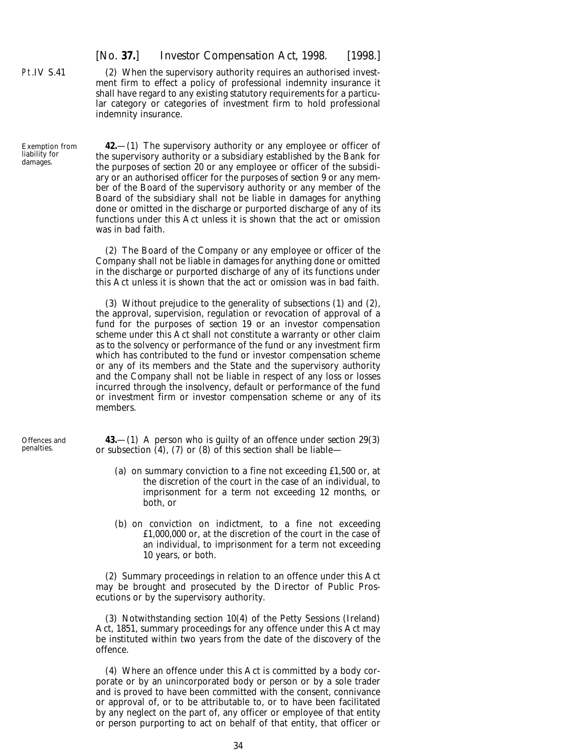(2) When the supervisory authority requires an authorised investment firm to effect a policy of professional indemnity insurance it shall have regard to any existing statutory requirements for a particular category or categories of investment firm to hold professional

<span id="page-33-0"></span>Pt.IV S.41

Exemption from liability for damages.

indemnity insurance.

**42.**—(1) The supervisory authority or any employee or officer of the supervisory authority or a subsidiary established by the Bank for the purposes of *section 20* or any employee or officer of the subsidiary or an authorised officer for the purposes of *section 9* or any member of the Board of the supervisory authority or any member of the Board of the subsidiary shall not be liable in damages for anything done or omitted in the discharge or purported discharge of any of its functions under this Act unless it is shown that the act or omission was in bad faith.

(2) The Board of the Company or any employee or officer of the Company shall not be liable in damages for anything done or omitted in the discharge or purported discharge of any of its functions under this Act unless it is shown that the act or omission was in bad faith.

(3) Without prejudice to the generality of *subsections (1)* and *(2)*, the approval, supervision, regulation or revocation of approval of a fund for the purposes of *section 19* or an investor compensation scheme under this Act shall not constitute a warranty or other claim as to the solvency or performance of the fund or any investment firm which has contributed to the fund or investor compensation scheme or any of its members and the State and the supervisory authority and the Company shall not be liable in respect of any loss or losses incurred through the insolvency, default or performance of the fund or investment firm or investor compensation scheme or any of its members.

Offences and penalties.

**43.**—(1) A person who is guilty of an offence under *section 29(3)* or subsection *(4)*, *(7)* or *(8)* of this section shall be liable—

- (*a*) on summary conviction to a fine not exceeding £1,500 or, at the discretion of the court in the case of an individual, to imprisonment for a term not exceeding 12 months, or both, or
- (*b*) on conviction on indictment, to a fine not exceeding £1,000,000 or, at the discretion of the court in the case of an individual, to imprisonment for a term not exceeding 10 years, or both.

(2) Summary proceedings in relation to an offence under this Act may be brought and prosecuted by the Director of Public Prosecutions or by the supervisory authority.

(3) Notwithstanding section 10(4) of the Petty Sessions (Ireland) Act, 1851, summary proceedings for any offence under this Act may be instituted within two years from the date of the discovery of the offence.

(4) Where an offence under this Act is committed by a body corporate or by an unincorporated body or person or by a sole trader and is proved to have been committed with the consent, connivance or approval of, or to be attributable to, or to have been facilitated by any neglect on the part of, any officer or employee of that entity or person purporting to act on behalf of that entity, that officer or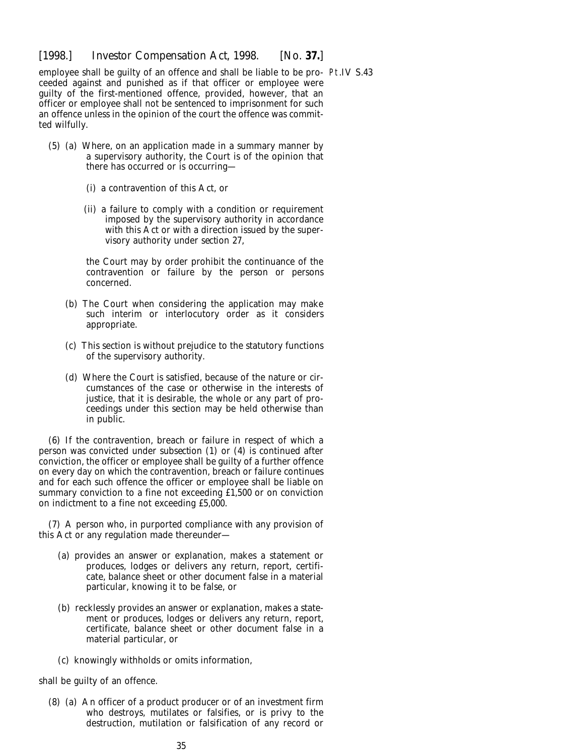employee shall be guilty of an offence and shall be liable to be pro-Pt.IV S.43ceeded against and punished as if that officer or employee were guilty of the first-mentioned offence, provided, however, that an officer or employee shall not be sentenced to imprisonment for such an offence unless in the opinion of the court the offence was committed wilfully.

- (5) (*a*) Where, on an application made in a summary manner by a supervisory authority, the Court is of the opinion that there has occurred or is occurring—
	- (i) a contravention of this Act, or
	- (ii) a failure to comply with a condition or requirement imposed by the supervisory authority in accordance with this Act or with a direction issued by the supervisory authority under *section 27*,

the Court may by order prohibit the continuance of the contravention or failure by the person or persons concerned.

- (*b*) The Court when considering the application may make such interim or interlocutory order as it considers appropriate.
- (*c*) This section is without prejudice to the statutory functions of the supervisory authority.
- (*d*) Where the Court is satisfied, because of the nature or circumstances of the case or otherwise in the interests of justice, that it is desirable, the whole or any part of proceedings under this section may be held otherwise than in public.

(6) If the contravention, breach or failure in respect of which a person was convicted under *subsection (1)* or *(4)* is continued after conviction, the officer or employee shall be guilty of a further offence on every day on which the contravention, breach or failure continues and for each such offence the officer or employee shall be liable on summary conviction to a fine not exceeding £1,500 or on conviction on indictment to a fine not exceeding £5,000.

(7) A person who, in purported compliance with any provision of this Act or any regulation made thereunder—

- (*a*) provides an answer or explanation, makes a statement or produces, lodges or delivers any return, report, certificate, balance sheet or other document false in a material particular, knowing it to be false, or
- (*b*) recklessly provides an answer or explanation, makes a statement or produces, lodges or delivers any return, report, certificate, balance sheet or other document false in a material particular, or
- (*c*) knowingly withholds or omits information,

shall be guilty of an offence.

(8) (*a*) An officer of a product producer or of an investment firm who destroys, mutilates or falsifies, or is privy to the destruction, mutilation or falsification of any record or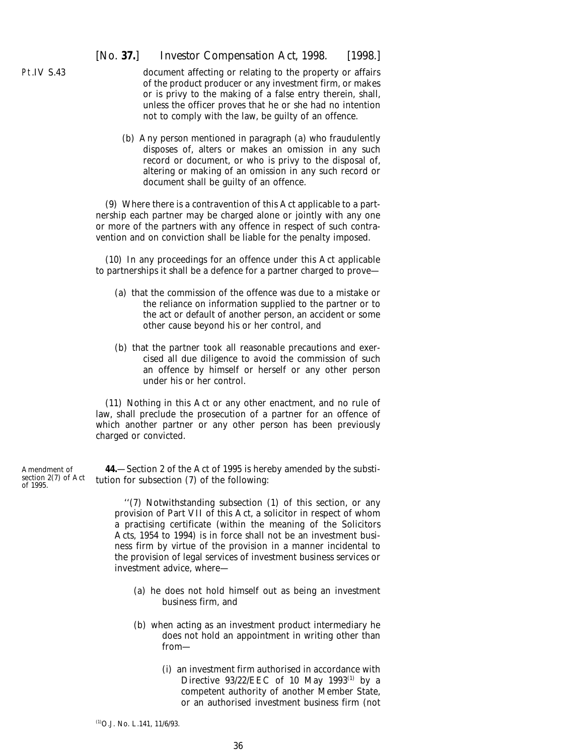document affecting or relating to the property or affairs of the product producer or any investment firm, or makes or is privy to the making of a false entry therein, shall, unless the officer proves that he or she had no intention not to comply with the law, be guilty of an offence.

(*b*) Any person mentioned in *paragraph (a)* who fraudulently disposes of, alters or makes an omission in any such record or document, or who is privy to the disposal of, altering or making of an omission in any such record or document shall be guilty of an offence.

(9) Where there is a contravention of this Act applicable to a partnership each partner may be charged alone or jointly with any one or more of the partners with any offence in respect of such contravention and on conviction shall be liable for the penalty imposed.

(10) In any proceedings for an offence under this Act applicable to partnerships it shall be a defence for a partner charged to prove—

- (*a*) that the commission of the offence was due to a mistake or the reliance on information supplied to the partner or to the act or default of another person, an accident or some other cause beyond his or her control, and
- (*b*) that the partner took all reasonable precautions and exercised all due diligence to avoid the commission of such an offence by himself or herself or any other person under his or her control.

(11) Nothing in this Act or any other enactment, and no rule of law, shall preclude the prosecution of a partner for an offence of which another partner or any other person has been previously charged or convicted.

Amendment of section 2(7) of Act of 1995.

**44.**—Section 2 of the Act of 1995 is hereby amended by the substitution for subsection (7) of the following:

''(7) Notwithstanding subsection (1) of this section, or any provision of Part VII of this Act, a solicitor in respect of whom a practising certificate (within the meaning of the Solicitors Acts, 1954 to 1994) is in force shall not be an investment business firm by virtue of the provision in a manner incidental to the provision of legal services of investment business services or investment advice, where—

- (*a*) he does not hold himself out as being an investment business firm, and
- (*b*) when acting as an investment product intermediary he does not hold an appointment in writing other than from—
	- (i) an investment firm authorised in accordance with Directive  $93/22/EEC$  of 10 May 1993<sup>(1)</sup> by a competent authority of another Member State, or an authorised investment business firm (not

<span id="page-35-0"></span>Pt.IV S.43

(1)O.J. No. L.141, 11/6/93.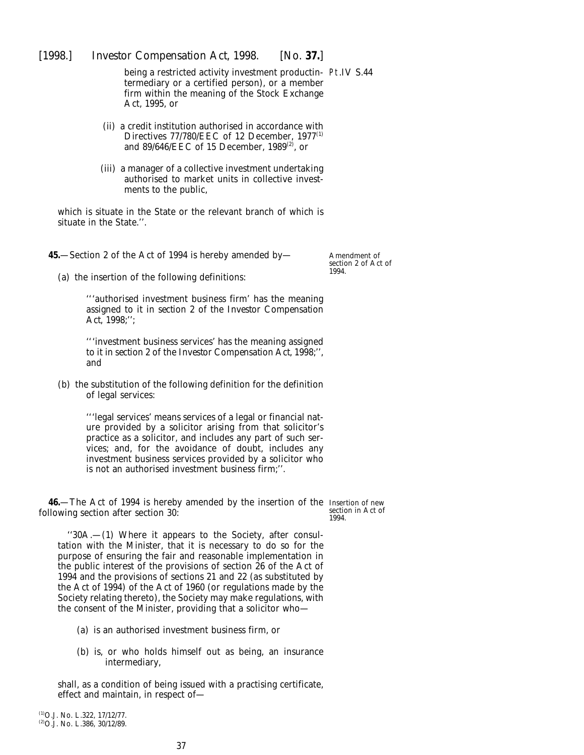[1998.] *Investor Compensation Act,* 1998. [*No.* **37.**] being a restricted activity investment productin-Pt.IV S.44 termediary or a certified person), or a member firm within the meaning of the Stock Exchange

- Act, 1995, or
- (ii) a credit institution authorised in accordance with Directives 77/780/EEC of 12 December, 1977<sup>(1)</sup> and 89/646/EEC of 15 December, 1989<sup>(2)</sup>, or
- (iii) a manager of a collective investment undertaking authorised to market units in collective investments to the public,

which is situate in the State or the relevant branch of which is situate in the State.''.

**45.**—Section 2 of the Act of 1994 is hereby amended by—

Amendment of section 2 of Act of 1994.

(*a*) the insertion of the following definitions:

'''authorised investment business firm' has the meaning assigned to it in *section 2* of the *Investor Compensation Act, 1998*;'';

'''investment business services' has the meaning assigned to it in *section 2* of the *Investor Compensation Act, 1998*;'', and

(*b*) the substitution of the following definition for the definition of legal services:

> '''legal services' means services of a legal or financial nature provided by a solicitor arising from that solicitor's practice as a solicitor, and includes any part of such services; and, for the avoidance of doubt, includes any investment business services provided by a solicitor who is not an authorised investment business firm;''.

**46.**—The Act of 1994 is hereby amended by the insertion of the Insertion of new following section after section 30:

section in Act of 1994.

''30A.—(1) Where it appears to the Society, after consultation with the Minister, that it is necessary to do so for the purpose of ensuring the fair and reasonable implementation in the public interest of the provisions of section 26 of the Act of 1994 and the provisions of sections 21 and 22 (as substituted by the Act of 1994) of the Act of 1960 (or regulations made by the Society relating thereto), the Society may make regulations, with the consent of the Minister, providing that a solicitor who—

- (*a*) is an authorised investment business firm, or
- (*b*) is, or who holds himself out as being, an insurance intermediary,

shall, as a condition of being issued with a practising certificate, effect and maintain, in respect of—

(1)O.J. No. L.322, 17/12/77. (2)O.J. No. L.386, 30/12/89.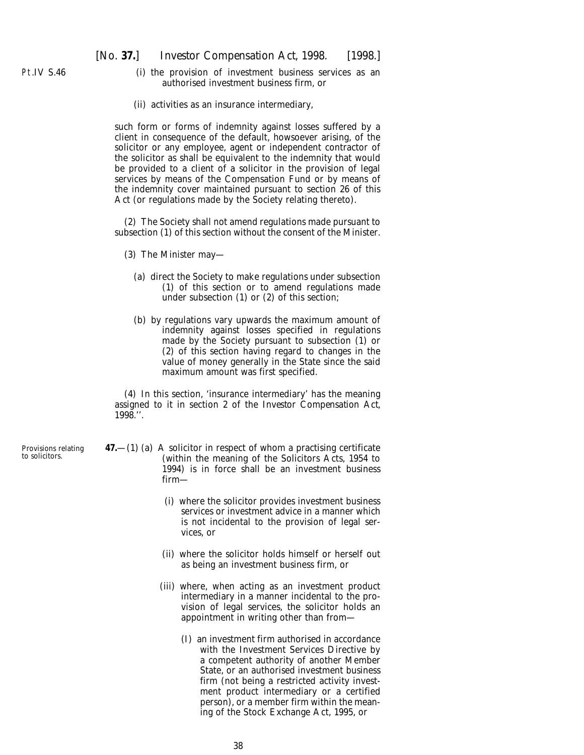- Pt.IV S.46
- (i) the provision of investment business services as an authorised investment business firm, or
- (ii) activities as an insurance intermediary,

such form or forms of indemnity against losses suffered by a client in consequence of the default, howsoever arising, of the solicitor or any employee, agent or independent contractor of the solicitor as shall be equivalent to the indemnity that would be provided to a client of a solicitor in the provision of legal services by means of the Compensation Fund or by means of the indemnity cover maintained pursuant to section 26 of this Act (or regulations made by the Society relating thereto).

(2) The Society shall not amend regulations made pursuant to subsection (1) of this section without the consent of the Minister.

- (3) The Minister may—
	- (*a*) direct the Society to make regulations under subsection (1) of this section or to amend regulations made under subsection (1) or (2) of this section;
	- (*b*) by regulations vary upwards the maximum amount of indemnity against losses specified in regulations made by the Society pursuant to subsection (1) or (2) of this section having regard to changes in the value of money generally in the State since the said maximum amount was first specified.

(4) In this section, 'insurance intermediary' has the meaning assigned to it in section 2 of the *Investor Compensation Act, 1998.*''.

- **47.**—(1) (*a*) A solicitor in respect of whom a practising certificate (within the meaning of the Solicitors Acts, 1954 to 1994) is in force shall be an investment business firm—
	- (i) where the solicitor provides investment business services or investment advice in a manner which is not incidental to the provision of legal services, or
	- (ii) where the solicitor holds himself or herself out as being an investment business firm, or
	- (iii) where, when acting as an investment product intermediary in a manner incidental to the provision of legal services, the solicitor holds an appointment in writing other than from—
		- (I) an investment firm authorised in accordance with the Investment Services Directive by a competent authority of another Member State, or an authorised investment business firm (not being a restricted activity investment product intermediary or a certified person), or a member firm within the meaning of the Stock Exchange Act, 1995, or

Provisions relating to solicitors.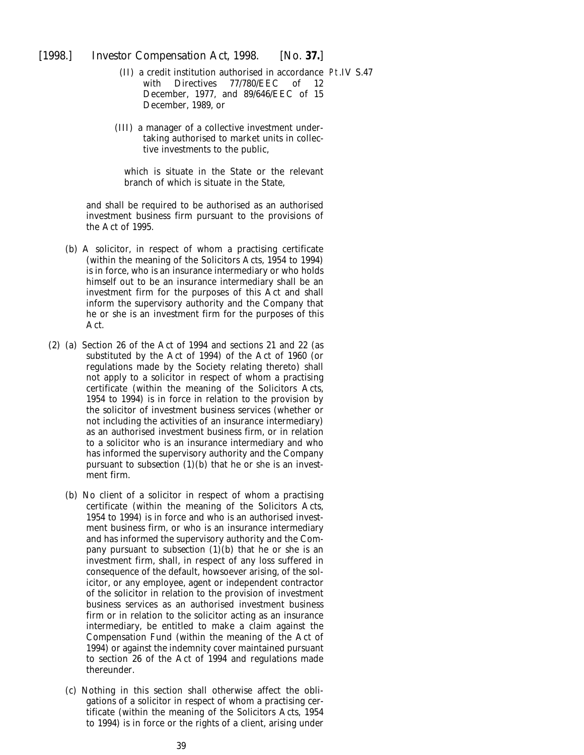- (II) a credit institution authorised in accordance Pt.IV S.47with Directives 77/780/EEC of 12 December, 1977, and 89/646/EEC of 15 December, 1989, or
- (III) a manager of a collective investment undertaking authorised to market units in collective investments to the public,

which is situate in the State or the relevant branch of which is situate in the State,

and shall be required to be authorised as an authorised investment business firm pursuant to the provisions of the Act of 1995.

- (*b*) A solicitor, in respect of whom a practising certificate (within the meaning of the Solicitors Acts, 1954 to 1994) is in force, who is an insurance intermediary or who holds himself out to be an insurance intermediary shall be an investment firm for the purposes of this Act and shall inform the supervisory authority and the Company that he or she is an investment firm for the purposes of this Act.
- (2) (*a*) Section 26 of the Act of 1994 and sections 21 and 22 (as substituted by the Act of 1994) of the Act of 1960 (or regulations made by the Society relating thereto) shall not apply to a solicitor in respect of whom a practising certificate (within the meaning of the Solicitors Acts, 1954 to 1994) is in force in relation to the provision by the solicitor of investment business services (whether or not including the activities of an insurance intermediary) as an authorised investment business firm, or in relation to a solicitor who is an insurance intermediary and who has informed the supervisory authority and the Company pursuant to *subsection*  $(1)(b)$  that he or she is an investment firm.
	- (*b*) No client of a solicitor in respect of whom a practising certificate (within the meaning of the Solicitors Acts, 1954 to 1994) is in force and who is an authorised investment business firm, or who is an insurance intermediary and has informed the supervisory authority and the Company pursuant to *subsection (1)(b)* that he or she is an investment firm, shall, in respect of any loss suffered in consequence of the default, howsoever arising, of the solicitor, or any employee, agent or independent contractor of the solicitor in relation to the provision of investment business services as an authorised investment business firm or in relation to the solicitor acting as an insurance intermediary, be entitled to make a claim against the Compensation Fund (within the meaning of the Act of 1994) or against the indemnity cover maintained pursuant to section 26 of the Act of 1994 and regulations made thereunder.
	- (*c*) Nothing in this section shall otherwise affect the obligations of a solicitor in respect of whom a practising certificate (within the meaning of the Solicitors Acts, 1954 to 1994) is in force or the rights of a client, arising under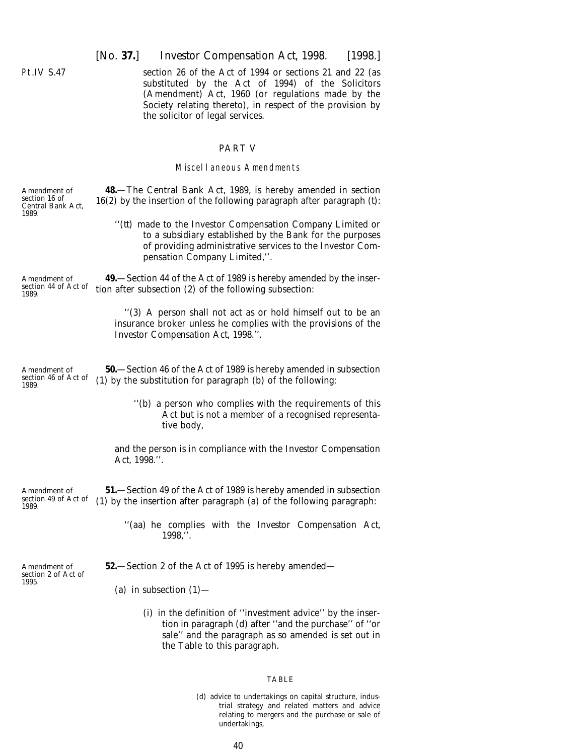Pt.IV S.47

section 26 of the Act of 1994 or sections 21 and 22 (as substituted by the Act of 1994) of the Solicitors (Amendment) Act, 1960 (or regulations made by the Society relating thereto), in respect of the provision by the solicitor of legal services.

# PART V

# Miscellaneous Amendments

Amendment of section 16 of Central Bank Act, 1989. **48.**—The Central Bank Act, 1989, is hereby amended in section 16(2) by the insertion of the following paragraph after paragraph (*t*):

> ''(*tt*) made to the Investor Compensation Company Limited or to a subsidiary established by the Bank for the purposes of providing administrative services to the Investor Compensation Company Limited,''.

Amendment of section 44 of Act of 1989. **49.**—Section 44 of the Act of 1989 is hereby amended by the insertion after subsection (2) of the following subsection:

> ''(3) A person shall not act as or hold himself out to be an insurance broker unless he complies with the provisions of the *Investor Compensation Act, 1998*.''.

Amendment of section 46 of Act of 1989. **50.**—Section 46 of the Act of 1989 is hereby amended in subsection (1) by the substitution for paragraph (*b*) of the following:

> ''(*b*) a person who complies with the requirements of this Act but is not a member of a recognised representative body,

and the person is in compliance with the *Investor Compensation Act, 1998*.''.

Amendment of section 49 of Act of 1989. **51.**—Section 49 of the Act of 1989 is hereby amended in subsection (1) by the insertion after paragraph (*a*) of the following paragraph:

> ''(*aa*) he complies with the *Investor Compensation Act, 1998*,''.

Amendment of section 2 of Act of 1995.

- **52.**—Section 2 of the Act of 1995 is hereby amended—
	- (*a*) in subsection  $(1)$ 
		- (i) in the definition of ''investment advice'' by the insertion in paragraph (*d*) after ''and the purchase'' of ''or sale'' and the paragraph as so amended is set out in the Table to this paragraph.

## TABLE

(*d*) advice to undertakings on capital structure, industrial strategy and related matters and advice relating to mergers and the purchase or sale of undertakings,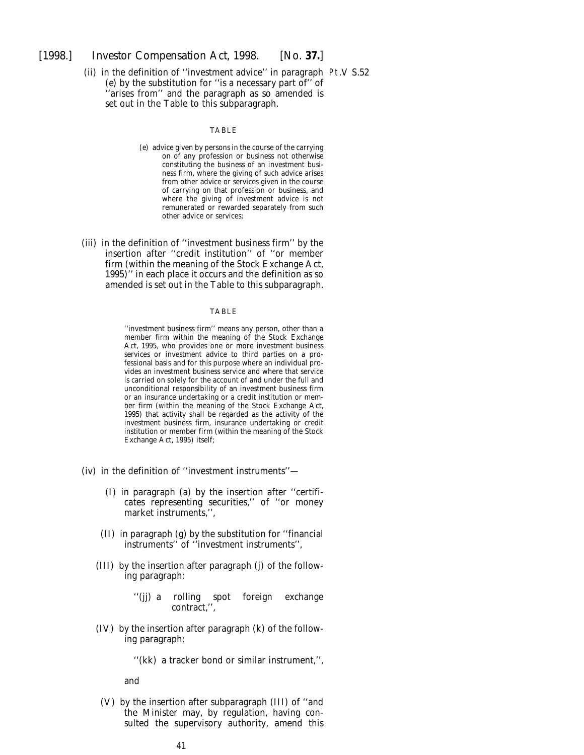(ii) in the definition of ''investment advice'' in paragraph Pt.V S.52(*e*) by the substitution for ''is a necessary part of'' of ''arises from'' and the paragraph as so amended is set out in the Table to this subparagraph.

#### TABLE

- (*e*) advice given by persons in the course of the carrying on of any profession or business not otherwise constituting the business of an investment business firm, where the giving of such advice arises from other advice or services given in the course of carrying on that profession or business, and where the giving of investment advice is not remunerated or rewarded separately from such other advice or services;
- (iii) in the definition of ''investment business firm'' by the insertion after ''credit institution'' of ''or member firm (within the meaning of the Stock Exchange Act, 1995)'' in each place it occurs and the definition as so amended is set out in the Table to this subparagraph.

#### TABLE

''investment business firm'' means any person, other than a member firm within the meaning of the Stock Exchange Act, 1995, who provides one or more investment business services or investment advice to third parties on a professional basis and for this purpose where an individual provides an investment business service and where that service is carried on solely for the account of and under the full and unconditional responsibility of an investment business firm or an insurance undertaking or a credit institution or member firm (within the meaning of the Stock Exchange Act, 1995) that activity shall be regarded as the activity of the investment business firm, insurance undertaking or credit institution or member firm (within the meaning of the Stock Exchange Act, 1995) itself;

- (iv) in the definition of ''investment instruments''—
	- (I) in paragraph (*a*) by the insertion after ''certificates representing securities,'' of ''or money market instruments,'',
	- (II) in paragraph (*g*) by the substitution for ''financial instruments'' of ''investment instruments'',
	- (III) by the insertion after paragraph (*j*) of the following paragraph:
		- ''(*jj*) a rolling spot foreign exchange contract,'',
	- (IV) by the insertion after paragraph (*k*) of the following paragraph:

''(*kk*) a tracker bond or similar instrument,'',

and

(V) by the insertion after subparagraph (III) of ''and the Minister may, by regulation, having consulted the supervisory authority, amend this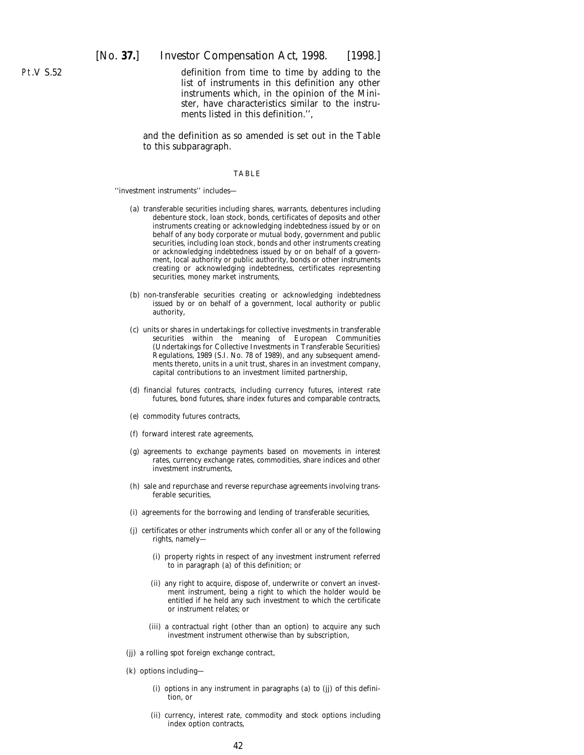definition from time to time by adding to the list of instruments in this definition any other instruments which, in the opinion of the Minister, have characteristics similar to the instruments listed in this definition.'',

and the definition as so amended is set out in the Table to this subparagraph.

#### TABLE

''investment instruments'' includes—

- (*a*) transferable securities including shares, warrants, debentures including debenture stock, loan stock, bonds, certificates of deposits and other instruments creating or acknowledging indebtedness issued by or on behalf of any body corporate or mutual body, government and public securities, including loan stock, bonds and other instruments creating or acknowledging indebtedness issued by or on behalf of a government, local authority or public authority, bonds or other instruments creating or acknowledging indebtedness, certificates representing securities, money market instruments,
- (*b*) non-transferable securities creating or acknowledging indebtedness issued by or on behalf of a government, local authority or public authority,
- (*c*) units or shares in undertakings for collective investments in transferable securities within the meaning of European Communities (Undertakings for Collective Investments in Transferable Securities) Regulations, 1989 (S.I. No. 78 of 1989), and any subsequent amendments thereto, units in a unit trust, shares in an investment company, capital contributions to an investment limited partnership,
- (*d*) financial futures contracts, including currency futures, interest rate futures, bond futures, share index futures and comparable contracts,
- (*e*) commodity futures contracts,
- (*f*) forward interest rate agreements,
- (*g*) agreements to exchange payments based on movements in interest rates, currency exchange rates, commodities, share indices and other investment instruments,
- (*h*) sale and repurchase and reverse repurchase agreements involving transferable securities,
- (*i*) agreements for the borrowing and lending of transferable securities,
- (*j*) certificates or other instruments which confer all or any of the following rights, namely—
	- (i) property rights in respect of any investment instrument referred to in *paragraph* (*a*) of this definition; or
	- (ii) any right to acquire, dispose of, underwrite or convert an investment instrument, being a right to which the holder would be entitled if he held any such investment to which the certificate or instrument relates; or
	- (iii) a contractual right (other than an option) to acquire any such investment instrument otherwise than by subscription,
- (*jj*) a rolling spot foreign exchange contract,
- (*k*) options including—
	- (i) options in any instrument in paragraphs (*a*) to (*jj*) of this definition, or
	- (ii) currency, interest rate, commodity and stock options including index option contracts,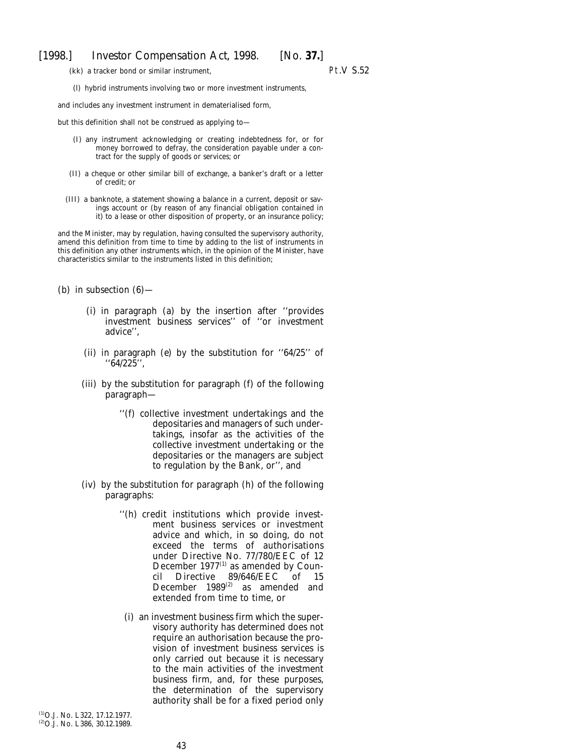(*kk*) a tracker bond or similar instrument,

Pt.V S.52

(*l*) hybrid instruments involving two or more investment instruments,

and includes any investment instrument in dematerialised form,

but this definition shall not be construed as applying to—

- (I) any instrument acknowledging or creating indebtedness for, or for money borrowed to defray, the consideration payable under a contract for the supply of goods or services; or
- (II) a cheque or other similar bill of exchange, a banker's draft or a letter of credit; or
- (III) a banknote, a statement showing a balance in a current, deposit or savings account or (by reason of any financial obligation contained in it) to a lease or other disposition of property, or an insurance policy;

and the Minister, may by regulation, having consulted the supervisory authority, amend this definition from time to time by adding to the list of instruments in this definition any other instruments which, in the opinion of the Minister, have characteristics similar to the instruments listed in this definition;

(*b*) in subsection  $(6)$ —

- (i) in paragraph (*a*) by the insertion after ''provides investment business services'' of ''or investment advice'',
- (ii) in paragraph (*e*) by the substitution for ''64/25'' of ''64/225'',
- (iii) by the substitution for paragraph (*f*) of the following paragraph—
	- ''(*f*) collective investment undertakings and the depositaries and managers of such undertakings, insofar as the activities of the collective investment undertaking or the depositaries or the managers are subject to regulation by the Bank, or'', and
- (iv) by the substitution for paragraph (*h*) of the following paragraphs:
	- ''(*h*) credit institutions which provide investment business services or investment advice and which, in so doing, do not exceed the terms of authorisations under Directive No. 77/780/EEC of 12 December 1977<sup>(1)</sup> as amended by Coun-<br>cil Directive  $89/646/EEC$  of 15 cil Directive 89/646/EEC of 15 December 1989<sup>(2)</sup> as amended and extended from time to time, or
		- (*i*) an investment business firm which the supervisory authority has determined does not require an authorisation because the provision of investment business services is only carried out because it is necessary to the main activities of the investment business firm, and, for these purposes, the determination of the supervisory authority shall be for a fixed period only

(1)O.J. No. L322, 17.12.1977. (2)O.J. No. L386, 30.12.1989.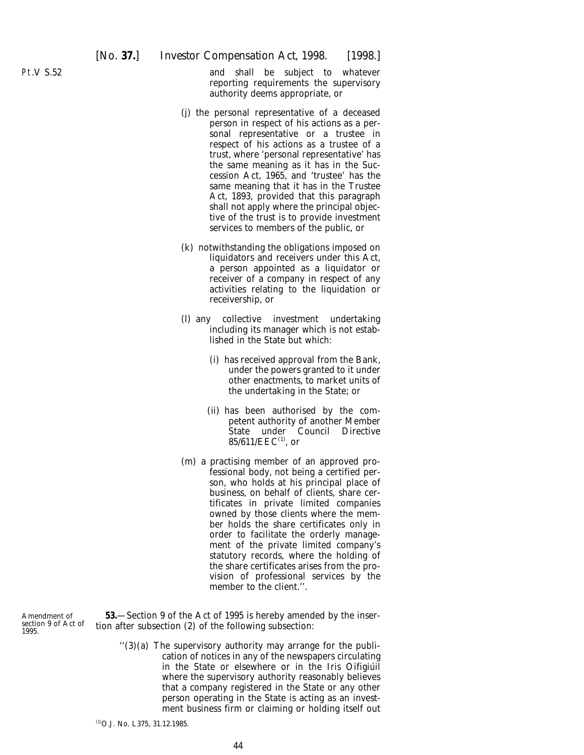Pt.V S.52

and shall be subject to whatever reporting requirements the supervisory authority deems appropriate, or

- (*j*) the personal representative of a deceased person in respect of his actions as a personal representative or a trustee in respect of his actions as a trustee of a trust, where 'personal representative' has the same meaning as it has in the Succession Act, 1965, and 'trustee' has the same meaning that it has in the Trustee Act, 1893, provided that this paragraph shall not apply where the principal objective of the trust is to provide investment services to members of the public, or
- (*k*) notwithstanding the obligations imposed on liquidators and receivers under this Act, a person appointed as a liquidator or receiver of a company in respect of any activities relating to the liquidation or receivership, or
- (*l*) any collective investment undertaking including its manager which is not established in the State but which:
	- (i) has received approval from the Bank, under the powers granted to it under other enactments, to market units of the undertaking in the State; or
	- (ii) has been authorised by the competent authority of another Member State under Council Directive 85/611/ $EEC^{(1)}$ , or
- (*m*) a practising member of an approved professional body, not being a certified person, who holds at his principal place of business, on behalf of clients, share certificates in private limited companies owned by those clients where the member holds the share certificates only in order to facilitate the orderly management of the private limited company's statutory records, where the holding of the share certificates arises from the provision of professional services by the member to the client.".

Amendment of section 9 of Act of 1995.

**53.**—Section 9 of the Act of 1995 is hereby amended by the insertion after subsection (2) of the following subsection:

''(3)(*a*) The supervisory authority may arrange for the publication of notices in any of the newspapers circulating in the State or elsewhere or in the *Iris Oifigiúil* where the supervisory authority reasonably believes that a company registered in the State or any other person operating in the State is acting as an investment business firm or claiming or holding itself out

(1)O.J. No. L375, 31.12.1985.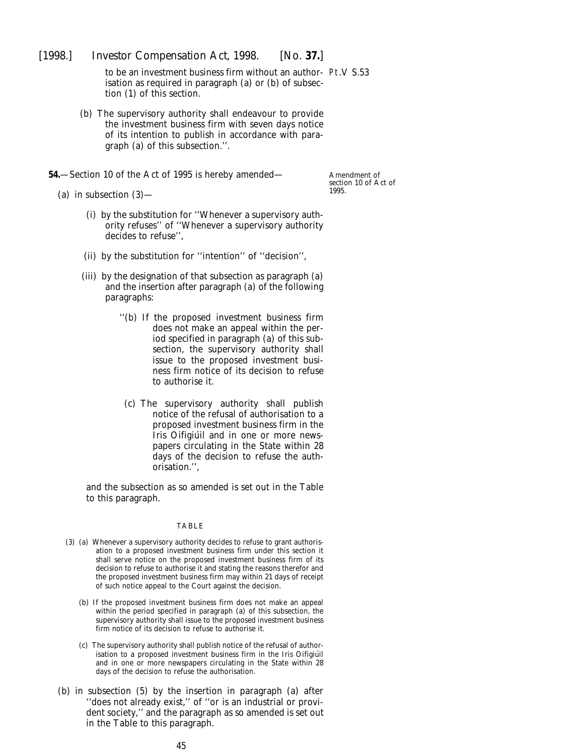to be an investment business firm without an author-Pt.V S.53 isation as required in paragraph (*a*) or (*b*) of subsection (1) of this section.

(*b*) The supervisory authority shall endeavour to provide the investment business firm with seven days notice of its intention to publish in accordance with paragraph (*a*) of this subsection.''.

**54.**—Section 10 of the Act of 1995 is hereby amended—

(*a*) in subsection (3)—

- (i) by the substitution for ''Whenever a supervisory authority refuses'' of ''Whenever a supervisory authority decides to refuse'',
- (ii) by the substitution for ''intention'' of ''decision'',
- (iii) by the designation of that subsection as paragraph (*a*) and the insertion after paragraph (*a*) of the following paragraphs:
	- ''(*b*) If the proposed investment business firm does not make an appeal within the period specified in paragraph (*a*) of this subsection, the supervisory authority shall issue to the proposed investment business firm notice of its decision to refuse to authorise it.
		- (*c*) The supervisory authority shall publish notice of the refusal of authorisation to a proposed investment business firm in the *Iris Oifigiu´il* and in one or more newspapers circulating in the State within 28 days of the decision to refuse the authorisation.'',

and the subsection as so amended is set out in the Table to this paragraph.

#### TABLE

- (3) (*a*) Whenever a supervisory authority decides to refuse to grant authorisation to a proposed investment business firm under this section it shall serve notice on the proposed investment business firm of its decision to refuse to authorise it and stating the reasons therefor and the proposed investment business firm may within 21 days of receipt of such notice appeal to the Court against the decision.
	- (*b*) If the proposed investment business firm does not make an appeal within the period specified in paragraph (*a*) of this subsection, the supervisory authority shall issue to the proposed investment business firm notice of its decision to refuse to authorise it.
	- (*c*) The supervisory authority shall publish notice of the refusal of authorisation to a proposed investment business firm in the *Iris Oifigiúil* and in one or more newspapers circulating in the State within 28 days of the decision to refuse the authorisation.
- (*b*) in subsection (5) by the insertion in paragraph (*a*) after ''does not already exist,'' of ''or is an industrial or provident society,'' and the paragraph as so amended is set out in the Table to this paragraph.

Amendment of section 10 of Act of 1995.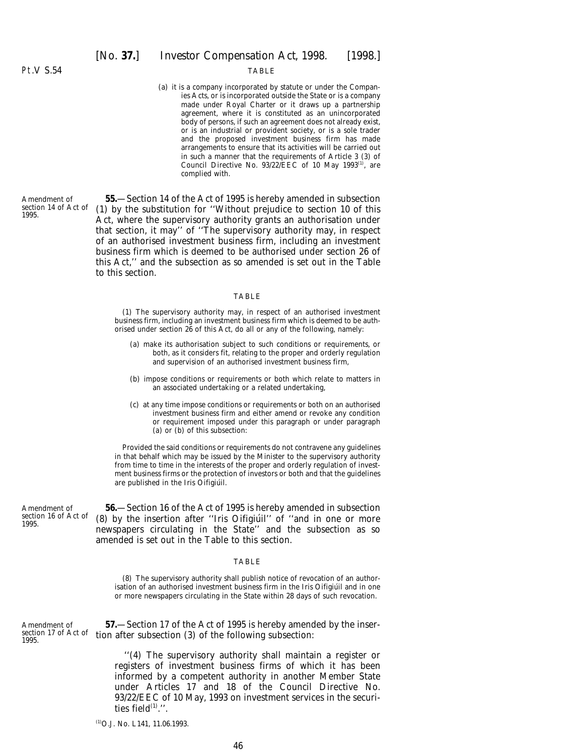#### TABLE

(*a*) it is a company incorporated by statute or under the Companies Acts, or is incorporated outside the State or is a company made under Royal Charter or it draws up a partnership agreement, where it is constituted as an unincorporated body of persons, if such an agreement does not already exist, or is an industrial or provident society, or is a sole trader and the proposed investment business firm has made arrangements to ensure that its activities will be carried out in such a manner that the requirements of Article 3 (3) of Council Directive No. 93/22/EEC of 10 May 1993<sup>(1)</sup>, are complied with.

Amendment of section 14 of Act of 1995.

**55.**—Section 14 of the Act of 1995 is hereby amended in subsection (1) by the substitution for ''Without prejudice to section 10 of this Act, where the supervisory authority grants an authorisation under that section, it may'' of ''The supervisory authority may, in respect of an authorised investment business firm, including an investment business firm which is deemed to be authorised under section 26 of this Act,'' and the subsection as so amended is set out in the Table to this section.

#### TABLE

(1) The supervisory authority may, in respect of an authorised investment business firm, including an investment business firm which is deemed to be authorised under section 26 of this Act, do all or any of the following, namely:

- (*a*) make its authorisation subject to such conditions or requirements, or both, as it considers fit, relating to the proper and orderly regulation and supervision of an authorised investment business firm,
- (*b*) impose conditions or requirements or both which relate to matters in an associated undertaking or a related undertaking,
- (*c*) at any time impose conditions or requirements or both on an authorised investment business firm and either amend or revoke any condition or requirement imposed under this paragraph or under paragraph (*a*) or (*b*) of this subsection:

Provided the said conditions or requirements do not contravene any guidelines in that behalf which may be issued by the Minister to the supervisory authority from time to time in the interests of the proper and orderly regulation of investment business firms or the protection of investors or both and that the guidelines are published in the *Iris Oifigiu´il*.

**56.**—Section 16 of the Act of 1995 is hereby amended in subsection (8) by the insertion after ''*Iris Oifigiu´il*'' of ''and in one or more newspapers circulating in the State'' and the subsection as so amended is set out in the Table to this section.

## TABLE

(8) The supervisory authority shall publish notice of revocation of an authorisation of an authorised investment business firm in the *Iris Oifigiúil* and in one or more newspapers circulating in the State within 28 days of such revocation.

Amendment of section 17 of Act of 1995.

Amendment of section 16 of Act of

1995.

**57.**—Section 17 of the Act of 1995 is hereby amended by the insertion after subsection (3) of the following subsection:

''(4) The supervisory authority shall maintain a register or registers of investment business firms of which it has been informed by a competent authority in another Member State under Articles 17 and 18 of the Council Directive No. 93/22/EEC of 10 May, 1993 on investment services in the securities field $(1)$ .".

(1)O.J. No. L141, 11.06.1993.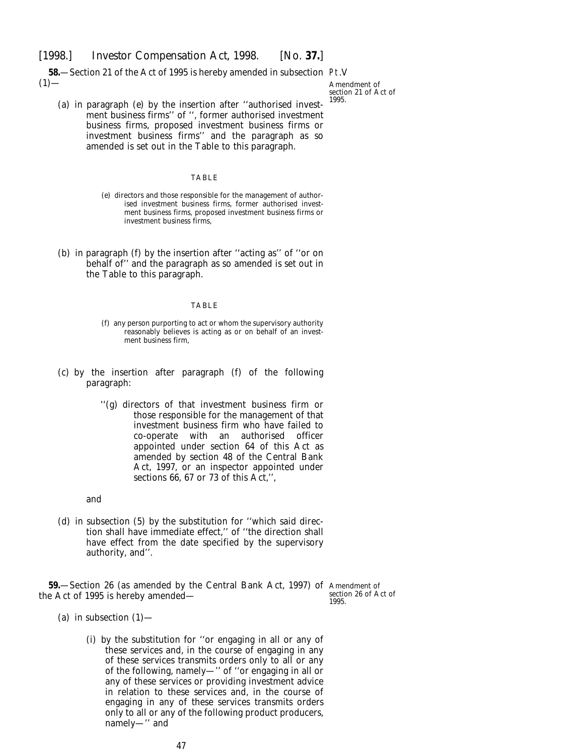**58.**—Section 21 of the Act of 1995 is hereby amended in subsection Pt.V  $(1)$ —

Amendment of section 21 of Act of 1995.

(*a*) in paragraph (*e*) by the insertion after ''authorised investment business firms'' of '', former authorised investment business firms, proposed investment business firms or investment business firms'' and the paragraph as so amended is set out in the Table to this paragraph.

### TABLE

- (*e*) directors and those responsible for the management of authorised investment business firms, former authorised investment business firms, proposed investment business firms or investment business firms,
- (*b*) in paragraph (*f*) by the insertion after ''acting as'' of ''or on behalf of'' and the paragraph as so amended is set out in the Table to this paragraph.

### TABLE

- (*f*) any person purporting to act or whom the supervisory authority reasonably believes is acting as or on behalf of an investment business firm,
- (*c*) by the insertion after paragraph (*f*) of the following paragraph:
	- ''(*g*) directors of that investment business firm or those responsible for the management of that investment business firm who have failed to co-operate with an authorised officer appointed under section 64 of this Act as amended by section 48 of the Central Bank Act, 1997, or an inspector appointed under sections 66, 67 or 73 of this Act,'',

and

(*d*) in subsection (5) by the substitution for ''which said direction shall have immediate effect,'' of ''the direction shall have effect from the date specified by the supervisory authority, and''.

**59.**—Section 26 (as amended by the Central Bank Act, 1997) of Amendment of the Act of 1995 is hereby amended—

section 26 of Act of 1995.

- (*a*) in subsection  $(1)$ 
	- (i) by the substitution for ''or engaging in all or any of these services and, in the course of engaging in any of these services transmits orders only to all or any of the following, namely—'' of ''or engaging in all or any of these services or providing investment advice in relation to these services and, in the course of engaging in any of these services transmits orders only to all or any of the following product producers, namely—'' and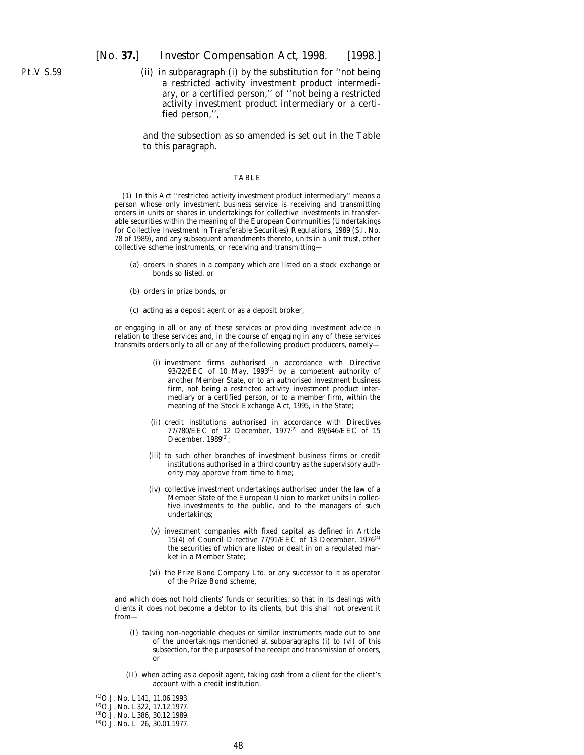(ii) in subparagraph (i) by the substitution for ''not being a restricted activity investment product intermediary, or a certified person,'' of ''not being a restricted activity investment product intermediary or a certified person,'',

and the subsection as so amended is set out in the Table to this paragraph.

#### TABLE

(1) In this Act ''restricted activity investment product intermediary'' means a person whose only investment business service is receiving and transmitting orders in units or shares in undertakings for collective investments in transferable securities within the meaning of the European Communities (Undertakings for Collective Investment in Transferable Securities) Regulations, 1989 (S.I. No. 78 of 1989), and any subsequent amendments thereto, units in a unit trust, other collective scheme instruments, or receiving and transmitting—

- (*a*) orders in shares in a company which are listed on a stock exchange or bonds so listed, or
- (*b*) orders in prize bonds, or
- (*c*) acting as a deposit agent or as a deposit broker,

or engaging in all or any of these services or providing investment advice in relation to these services and, in the course of engaging in any of these services transmits orders only to all or any of the following product producers, namely—

- (i) investment firms authorised in accordance with Directive  $93/22/EEC$  of 10 May,  $1993<sup>(1)</sup>$  by a competent authority of another Member State, or to an authorised investment business firm, not being a restricted activity investment product intermediary or a certified person, or to a member firm, within the meaning of the Stock Exchange Act, 1995, in the State;
- (ii) credit institutions authorised in accordance with Directives 77/780/EEC of 12 December, 1977<sup>(2)</sup> and 89/646/EEC of 15 December, 1989<sup>(3)</sup>;
- (iii) to such other branches of investment business firms or credit institutions authorised in a third country as the supervisory authority may approve from time to time;
- (iv) collective investment undertakings authorised under the law of a Member State of the European Union to market units in collective investments to the public, and to the managers of such undertakings;
- (v) investment companies with fixed capital as defined in Article 15(4) of Council Directive 77/91/EEC of 13 December, 1976<sup>(4)</sup> the securities of which are listed or dealt in on a regulated market in a Member State;
- (vi) the Prize Bond Company Ltd. or any successor to it as operator of the Prize Bond scheme,

and which does not hold clients' funds or securities, so that in its dealings with clients it does not become a debtor to its clients, but this shall not prevent it from—

- (I) taking non-negotiable cheques or similar instruments made out to one of the undertakings mentioned at subparagraphs (i) to (vi) of this subsection, for the purposes of the receipt and transmission of orders, or
- (II) when acting as a deposit agent, taking cash from a client for the client's account with a credit institution.

(1)O.J. No. L141, 11.06.1993. (2)O.J. No. L322, 17.12.1977. (3)O.J. No. L386, 30.12.1989. (4)O.J. No. L 26, 30.01.1977.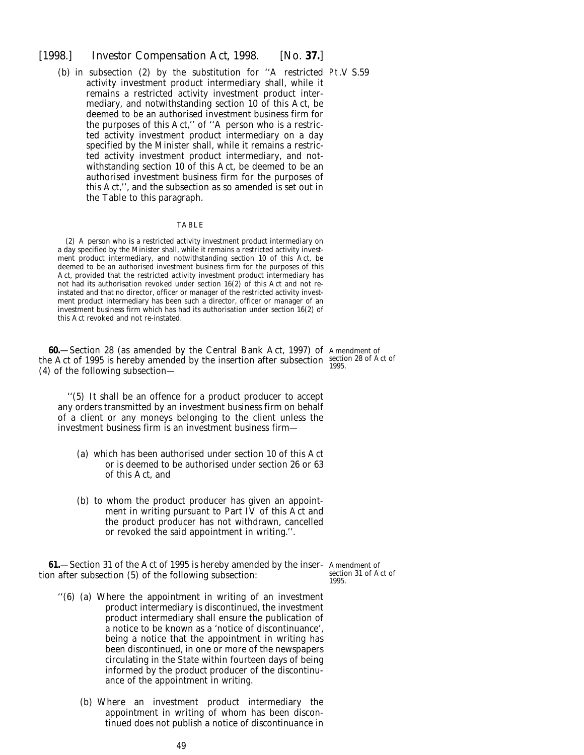(*b*) in subsection (2) by the substitution for ''A restricted Pt.V S.59 activity investment product intermediary shall, while it remains a restricted activity investment product intermediary, and notwithstanding section 10 of this Act, be deemed to be an authorised investment business firm for the purposes of this Act,'' of ''A person who is a restricted activity investment product intermediary on a day specified by the Minister shall, while it remains a restricted activity investment product intermediary, and notwithstanding section 10 of this Act, be deemed to be an authorised investment business firm for the purposes of this Act,'', and the subsection as so amended is set out in the Table to this paragraph.

#### TABLE

(2) A person who is a restricted activity investment product intermediary on a day specified by the Minister shall, while it remains a restricted activity investment product intermediary, and notwithstanding section 10 of this Act, be deemed to be an authorised investment business firm for the purposes of this Act, provided that the restricted activity investment product intermediary has not had its authorisation revoked under section 16(2) of this Act and not reinstated and that no director, officer or manager of the restricted activity investment product intermediary has been such a director, officer or manager of an investment business firm which has had its authorisation under section 16(2) of this Act revoked and not re-instated.

**60.**—Section 28 (as amended by the Central Bank Act, 1997) of Amendment of the Act of 1995 is hereby amended by the insertion after subsection  $\frac{\text{section 28 of Act of}}{1995}$ (4) of the following subsection—

''(5) It shall be an offence for a product producer to accept any orders transmitted by an investment business firm on behalf of a client or any moneys belonging to the client unless the investment business firm is an investment business firm—

- (*a*) which has been authorised under section 10 of this Act or is deemed to be authorised under section 26 or 63 of this Act, and
- (*b*) to whom the product producer has given an appointment in writing pursuant to Part IV of this Act and the product producer has not withdrawn, cancelled or revoked the said appointment in writing.''.

**61.**—Section 31 of the Act of 1995 is hereby amended by the insertion after subsection (5) of the following subsection:

Amendment of section 31 of Act of 1995.

- ''(6) (*a*) Where the appointment in writing of an investment product intermediary is discontinued, the investment product intermediary shall ensure the publication of a notice to be known as a 'notice of discontinuance', being a notice that the appointment in writing has been discontinued, in one or more of the newspapers circulating in the State within fourteen days of being informed by the product producer of the discontinuance of the appointment in writing.
	- (*b*) Where an investment product intermediary the appointment in writing of whom has been discontinued does not publish a notice of discontinuance in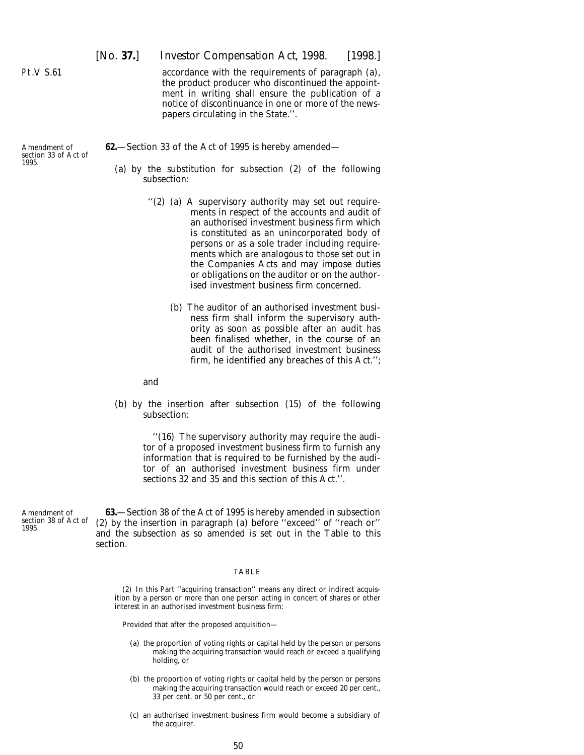Pt.V S.61

Amendment of section 33 of Act of

1995.

accordance with the requirements of paragraph (*a*), the product producer who discontinued the appointment in writing shall ensure the publication of a notice of discontinuance in one or more of the newspapers circulating in the State.''.

**62.**—Section 33 of the Act of 1995 is hereby amended—

- (*a*) by the substitution for subsection (2) of the following subsection:
	- ''(2) (*a*) A supervisory authority may set out requirements in respect of the accounts and audit of an authorised investment business firm which is constituted as an unincorporated body of persons or as a sole trader including requirements which are analogous to those set out in the Companies Acts and may impose duties or obligations on the auditor or on the authorised investment business firm concerned.
		- (*b*) The auditor of an authorised investment business firm shall inform the supervisory authority as soon as possible after an audit has been finalised whether, in the course of an audit of the authorised investment business firm, he identified any breaches of this Act.'';

### and

(*b*) by the insertion after subsection (15) of the following subsection:

> ''(16) The supervisory authority may require the auditor of a proposed investment business firm to furnish any information that is required to be furnished by the auditor of an authorised investment business firm under sections 32 and 35 and this section of this Act.''.

Amendment of section 38 of Act of 1995.

**63.**—Section 38 of the Act of 1995 is hereby amended in subsection (2) by the insertion in paragraph (*a*) before ''exceed'' of ''reach or'' and the subsection as so amended is set out in the Table to this section.

#### TABLE

(2) In this Part ''acquiring transaction'' means any direct or indirect acquisition by a person or more than one person acting in concert of shares or other interest in an authorised investment business firm:

Provided that after the proposed acquisition—

- (*a*) the proportion of voting rights or capital held by the person or persons making the acquiring transaction would reach or exceed a qualifying holding, or
- (*b*) the proportion of voting rights or capital held by the person or persons making the acquiring transaction would reach or exceed 20 per cent., 33 per cent. or 50 per cent., or
- (*c*) an authorised investment business firm would become a subsidiary of the acquirer.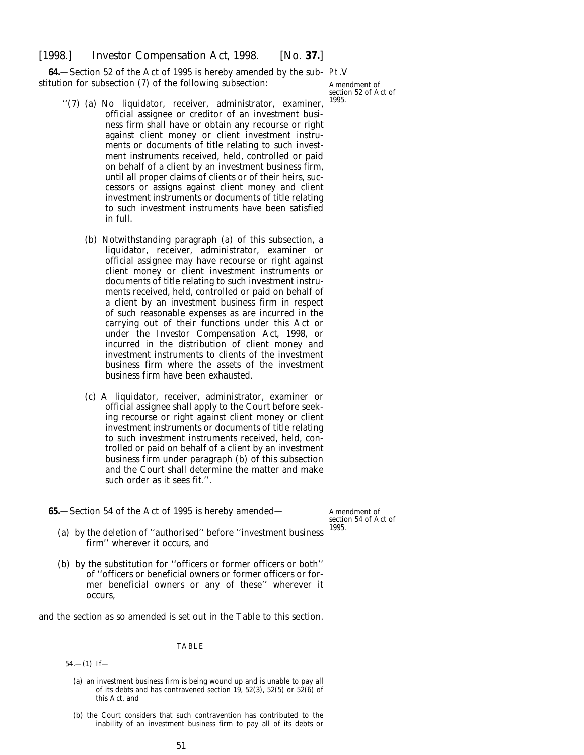**64.** Section 52 of the Act of 1995 is hereby amended by the sub- Pt.V stitution for subsection (7) of the following subsection:

Amendment of section 52 of Act of 1995.

- ''(7) (*a*) No liquidator, receiver, administrator, examiner, official assignee or creditor of an investment business firm shall have or obtain any recourse or right against client money or client investment instruments or documents of title relating to such investment instruments received, held, controlled or paid on behalf of a client by an investment business firm, until all proper claims of clients or of their heirs, successors or assigns against client money and client investment instruments or documents of title relating to such investment instruments have been satisfied in full.
	- (*b*) Notwithstanding *paragraph (a)* of this subsection, a liquidator, receiver, administrator, examiner or official assignee may have recourse or right against client money or client investment instruments or documents of title relating to such investment instruments received, held, controlled or paid on behalf of a client by an investment business firm in respect of such reasonable expenses as are incurred in the carrying out of their functions under this Act or under the *Investor Compensation Act, 1998*, or incurred in the distribution of client money and investment instruments to clients of the investment business firm where the assets of the investment business firm have been exhausted.
	- (*c*) A liquidator, receiver, administrator, examiner or official assignee shall apply to the Court before seeking recourse or right against client money or client investment instruments or documents of title relating to such investment instruments received, held, controlled or paid on behalf of a client by an investment business firm under paragraph (*b*) of this subsection and the Court shall determine the matter and make such order as it sees fit.''.

**65.**—Section 54 of the Act of 1995 is hereby amended—

Amendment of section 54 of Act of 1995.

- (*a*) by the deletion of ''authorised'' before ''investment business firm'' wherever it occurs, and
- (*b*) by the substitution for ''officers or former officers or both'' of ''officers or beneficial owners or former officers or former beneficial owners or any of these'' wherever it occurs,

and the section as so amended is set out in the Table to this section.

#### TABLE

 $54- (1)$  If-

- (*a*) an investment business firm is being wound up and is unable to pay all of its debts and has contravened section 19, 52(3), 52(5) or  $52(6)$  of this Act, and
- (*b*) the Court considers that such contravention has contributed to the inability of an investment business firm to pay all of its debts or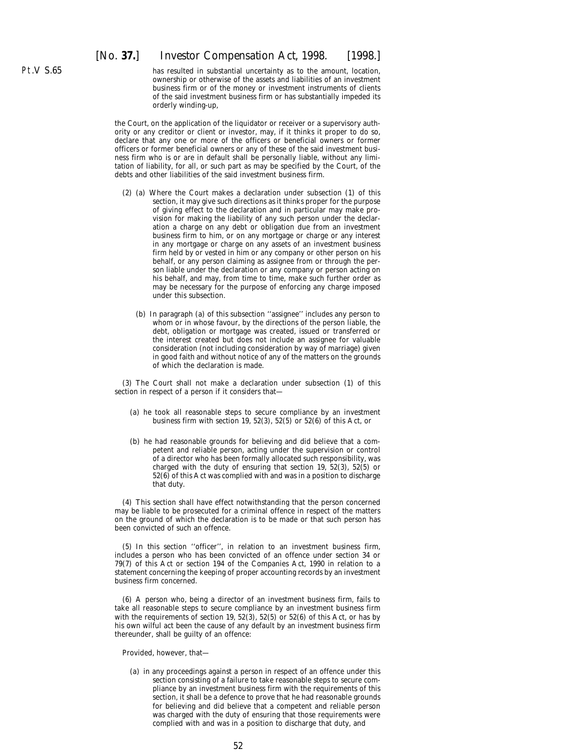has resulted in substantial uncertainty as to the amount, location, ownership or otherwise of the assets and liabilities of an investment business firm or of the money or investment instruments of clients of the said investment business firm or has substantially impeded its orderly winding-up,

the Court, on the application of the liquidator or receiver or a supervisory authority or any creditor or client or investor, may, if it thinks it proper to do so, declare that any one or more of the officers or beneficial owners or former officers or former beneficial owners or any of these of the said investment business firm who is or are in default shall be personally liable, without any limitation of liability, for all, or such part as may be specified by the Court, of the debts and other liabilities of the said investment business firm.

- (2) (*a*) Where the Court makes a declaration under subsection (1) of this section, it may give such directions as it thinks proper for the purpose of giving effect to the declaration and in particular may make provision for making the liability of any such person under the declaration a charge on any debt or obligation due from an investment business firm to him, or on any mortgage or charge or any interest in any mortgage or charge on any assets of an investment business firm held by or vested in him or any company or other person on his behalf, or any person claiming as assignee from or through the person liable under the declaration or any company or person acting on his behalf, and may, from time to time, make such further order as may be necessary for the purpose of enforcing any charge imposed under this subsection.
	- (*b*) In paragraph (*a*) of this subsection ''assignee'' includes any person to whom or in whose favour, by the directions of the person liable, the debt, obligation or mortgage was created, issued or transferred or the interest created but does not include an assignee for valuable consideration (not including consideration by way of marriage) given in good faith and without notice of any of the matters on the grounds of which the declaration is made.

(3) The Court shall not make a declaration under subsection (1) of this section in respect of a person if it considers that—

- (*a*) he took all reasonable steps to secure compliance by an investment business firm with section 19, 52(3), 52(5) or 52(6) of this Act, or
- (*b*) he had reasonable grounds for believing and did believe that a competent and reliable person, acting under the supervision or control of a director who has been formally allocated such responsibility, was charged with the duty of ensuring that section 19, 52(3), 52(5) or 52(6) of this Act was complied with and was in a position to discharge that duty.

(4) This section shall have effect notwithstanding that the person concerned may be liable to be prosecuted for a criminal offence in respect of the matters on the ground of which the declaration is to be made or that such person has been convicted of such an offence.

(5) In this section ''officer'', in relation to an investment business firm, includes a person who has been convicted of an offence under section 34 or 79(7) of this Act or section 194 of the Companies Act, 1990 in relation to a statement concerning the keeping of proper accounting records by an investment business firm concerned.

(6) A person who, being a director of an investment business firm, fails to take all reasonable steps to secure compliance by an investment business firm with the requirements of section 19, 52(3), 52(5) or 52(6) of this Act, or has by his own wilful act been the cause of any default by an investment business firm thereunder, shall be guilty of an offence:

Provided, however, that—

(*a*) in any proceedings against a person in respect of an offence under this section consisting of a failure to take reasonable steps to secure compliance by an investment business firm with the requirements of this section, it shall be a defence to prove that he had reasonable grounds for believing and did believe that a competent and reliable person was charged with the duty of ensuring that those requirements were complied with and was in a position to discharge that duty, and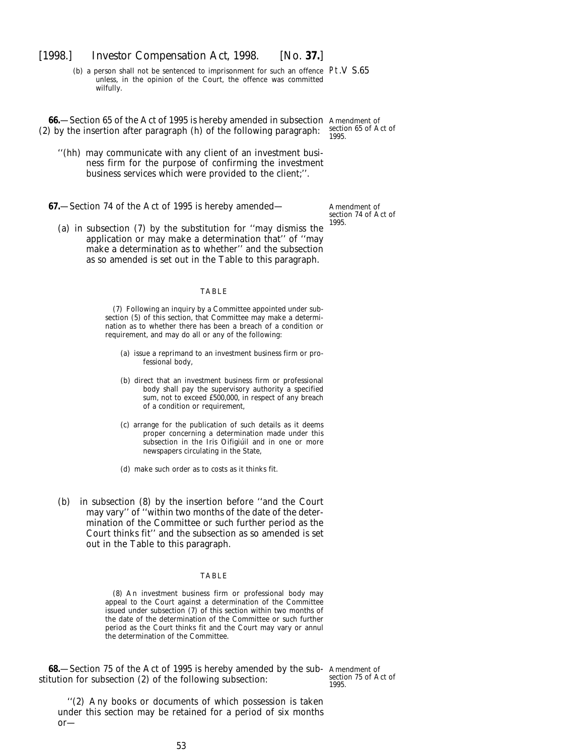(b) a person shall not be sentenced to imprisonment for such an offence Pt.V S.65 unless, in the opinion of the Court, the offence was committed wilfully.

**66.**—Section 65 of the Act of 1995 is hereby amended in subsection Amendment of (2) by the insertion after paragraph (*h*) of the following paragraph: section 65 of Act of 1995.

''(*hh*) may communicate with any client of an investment business firm for the purpose of confirming the investment business services which were provided to the client;''.

**67.**—Section 74 of the Act of 1995 is hereby amended—

Amendment of section 74 of Act of 1995.

(*a*) in subsection (7) by the substitution for ''may dismiss the application or may make a determination that'' of ''may make a determination as to whether'' and the subsection as so amended is set out in the Table to this paragraph.

#### TABLE

(7) Following an inquiry by a Committee appointed under subsection (5) of this section, that Committee may make a determination as to whether there has been a breach of a condition or requirement, and may do all or any of the following:

- (*a*) issue a reprimand to an investment business firm or professional body,
- (*b*) direct that an investment business firm or professional body shall pay the supervisory authority a specified sum, not to exceed £500,000, in respect of any breach of a condition or requirement,
- (*c*) arrange for the publication of such details as it deems proper concerning a determination made under this subsection in the *Iris Oifigiúil* and in one or more newspapers circulating in the State,
- (*d*) make such order as to costs as it thinks fit.
- (*b*) in subsection (8) by the insertion before ''and the Court may vary'' of ''within two months of the date of the determination of the Committee or such further period as the Court thinks fit'' and the subsection as so amended is set out in the Table to this paragraph.

### TABLE

(8) An investment business firm or professional body may appeal to the Court against a determination of the Committee issued under subsection (7) of this section within two months of the date of the determination of the Committee or such further period as the Court thinks fit and the Court may vary or annul the determination of the Committee.

**68.**—Section 75 of the Act of 1995 is hereby amended by the sub-Amendment of stitution for subsection (2) of the following subsection:

section 75 of Act of 1995.

''(2) Any books or documents of which possession is taken under this section may be retained for a period of six months or—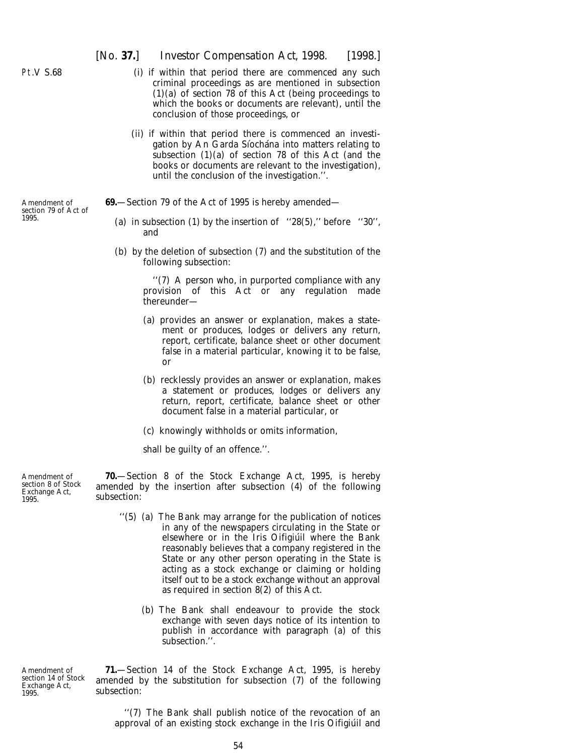Amendment of section 79 of Act of

1995.

- (i) if within that period there are commenced any such criminal proceedings as are mentioned in subsection (1)(*a*) of section 78 of this Act (being proceedings to which the books or documents are relevant), until the conclusion of those proceedings, or
- (ii) if within that period there is commenced an investigation by An Garda Síochána into matters relating to subsection (1)(*a*) of section 78 of this Act (and the books or documents are relevant to the investigation), until the conclusion of the investigation.''.

**69.**—Section 79 of the Act of 1995 is hereby amended—

- (*a*) in subsection (1) by the insertion of ''28(5),'' before ''30'', and
- (*b*) by the deletion of subsection (7) and the substitution of the following subsection:

''(7) A person who, in purported compliance with any provision of this Act or any regulation made thereunder—

- (*a*) provides an answer or explanation, makes a statement or produces, lodges or delivers any return, report, certificate, balance sheet or other document false in a material particular, knowing it to be false, or
- (*b*) recklessly provides an answer or explanation, makes a statement or produces, lodges or delivers any return, report, certificate, balance sheet or other document false in a material particular, or
- (*c*) knowingly withholds or omits information,

shall be guilty of an offence.''.

**70.**—Section 8 of the Stock Exchange Act, 1995, is hereby amended by the insertion after subsection (4) of the following subsection:

- ''(5) (*a*) The Bank may arrange for the publication of notices in any of the newspapers circulating in the State or elsewhere or in the *Iris Oifigiúil* where the Bank reasonably believes that a company registered in the State or any other person operating in the State is acting as a stock exchange or claiming or holding itself out to be a stock exchange without an approval as required in section 8(2) of this Act.
	- (*b*) The Bank shall endeavour to provide the stock exchange with seven days notice of its intention to publish in accordance with paragraph (*a*) of this subsection.''.

Amendment of section 14 of Stock Exchange Act, 1995.

**71.**—Section 14 of the Stock Exchange Act, 1995, is hereby amended by the substitution for subsection (7) of the following subsection:

''(7) The Bank shall publish notice of the revocation of an approval of an existing stock exchange in the *Iris Oifigiúil* and

Amendment of section 8 of Stock Exchange Act, 1995.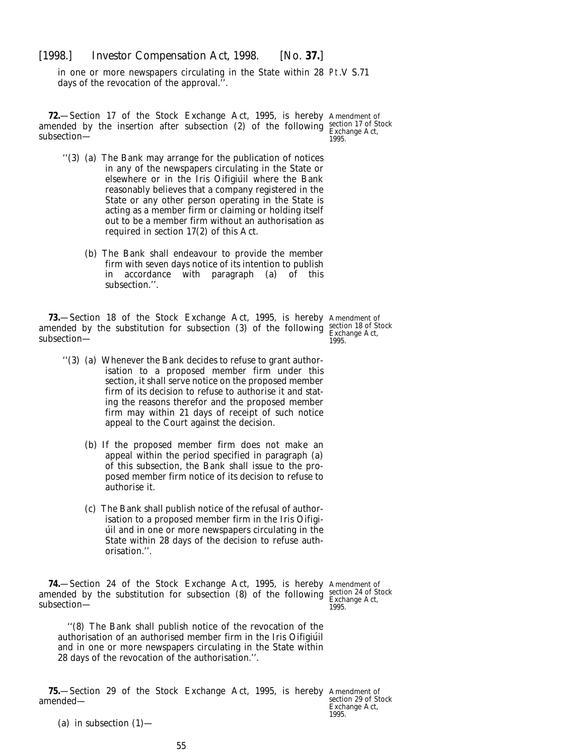in one or more newspapers circulating in the State within 28 Pt.V S.71 days of the revocation of the approval.''.

**72.**—Section 17 of the Stock Exchange Act, 1995, is hereby Amendment of amended by the insertion after subsection  $(2)$  of the following section 17 of Stock<br>subsection subsection—

1995.

- ''(3) (*a*) The Bank may arrange for the publication of notices in any of the newspapers circulating in the State or elsewhere or in the *Iris Oifigiúil* where the Bank reasonably believes that a company registered in the State or any other person operating in the State is acting as a member firm or claiming or holding itself out to be a member firm without an authorisation as required in section 17(2) of this Act.
	- (*b*) The Bank shall endeavour to provide the member firm with seven days notice of its intention to publish in accordance with paragraph (*a*) of this subsection.''.

**73.**—Section 18 of the Stock Exchange Act, 1995, is hereby Amendment of amended by the substitution for subsection  $(3)$  of the following section 18 of Stock<br>subsection subsection—

- 1995.
- ''(3) (*a*) Whenever the Bank decides to refuse to grant authorisation to a proposed member firm under this section, it shall serve notice on the proposed member firm of its decision to refuse to authorise it and stating the reasons therefor and the proposed member firm may within 21 days of receipt of such notice appeal to the Court against the decision.
	- (*b*) If the proposed member firm does not make an appeal within the period specified in paragraph (*a*) of this subsection, the Bank shall issue to the proposed member firm notice of its decision to refuse to authorise it.
	- (*c*) The Bank shall publish notice of the refusal of authorisation to a proposed member firm in the *Iris Oifigiu<sup>il*</sup> and in one or more newspapers circulating in the State within 28 days of the decision to refuse authorisation.''.

**74.**—Section 24 of the Stock Exchange Act, 1995, is hereby Amendment of amended by the substitution for subsection  $(8)$  of the following section 24 of Stock subsection—

1995.

''(8) The Bank shall publish notice of the revocation of the authorisation of an authorised member firm in the *Iris Oifigiúil* and in one or more newspapers circulating in the State within 28 days of the revocation of the authorisation.''.

**75.**—Section 29 of the Stock Exchange Act, 1995, is hereby Amendment of amended—

section 29 of Stock Exchange Act, 1995.

(*a*) in subsection  $(1)$ —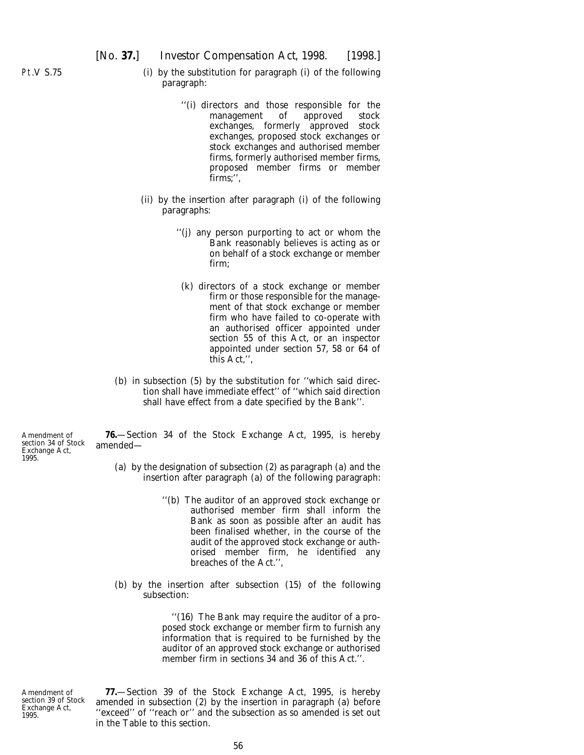- (i) by the substitution for paragraph (*i*) of the following paragraph:
	- ''(*i*) directors and those responsible for the management of approved stock exchanges, formerly approved stock exchanges, proposed stock exchanges or stock exchanges and authorised member firms, formerly authorised member firms, proposed member firms or member firms;'',
- (ii) by the insertion after paragraph (*i*) of the following paragraphs:
	- ''(*j*) any person purporting to act or whom the Bank reasonably believes is acting as or on behalf of a stock exchange or member firm;
		- (*k*) directors of a stock exchange or member firm or those responsible for the management of that stock exchange or member firm who have failed to co-operate with an authorised officer appointed under section 55 of this Act, or an inspector appointed under section 57, 58 or 64 of this Act,'',
- (*b*) in subsection (5) by the substitution for ''which said direction shall have immediate effect'' of ''which said direction shall have effect from a date specified by the Bank''.

Amendment of section 34 of Stock Exchange Act, **76.**—Section 34 of the Stock Exchange Act, 1995, is hereby amended—

- (*a*) by the designation of subsection (2) as paragraph (*a*) and the insertion after paragraph (*a*) of the following paragraph:
	- ''(*b*) The auditor of an approved stock exchange or authorised member firm shall inform the Bank as soon as possible after an audit has been finalised whether, in the course of the audit of the approved stock exchange or authorised member firm, he identified any breaches of the Act.'',
- (*b*) by the insertion after subsection (15) of the following subsection:

''(16) The Bank may require the auditor of a proposed stock exchange or member firm to furnish any information that is required to be furnished by the auditor of an approved stock exchange or authorised member firm in sections 34 and 36 of this Act.''.

Amendment of section 39 of Stock Exchange Act, 1995.

1995.

**77.**—Section 39 of the Stock Exchange Act, 1995, is hereby amended in subsection (2) by the insertion in paragraph (*a*) before "exceed" of "reach or" and the subsection as so amended is set out in the Table to this section.

Pt.V S.75

56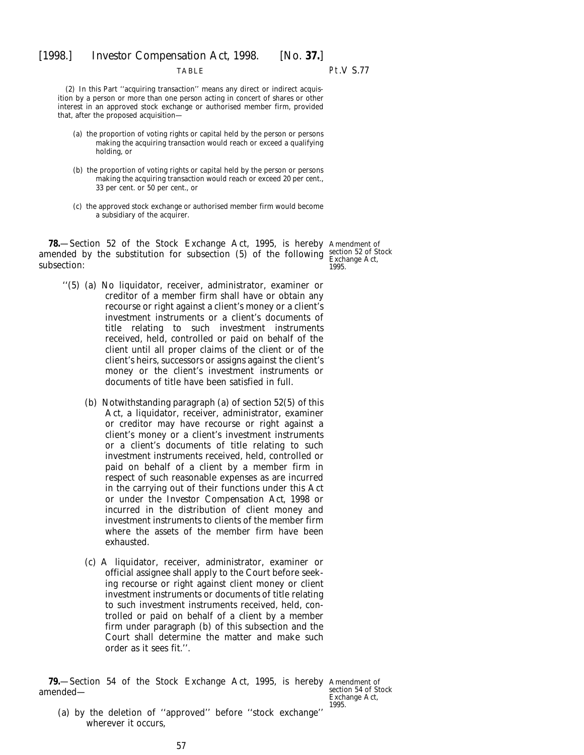TABLE

Pt.V S.77

(2) In this Part ''acquiring transaction'' means any direct or indirect acquisition by a person or more than one person acting in concert of shares or other interest in an approved stock exchange or authorised member firm, provided that, after the proposed acquisition—

- (*a*) the proportion of voting rights or capital held by the person or persons making the acquiring transaction would reach or exceed a qualifying holding, or
- (*b*) the proportion of voting rights or capital held by the person or persons making the acquiring transaction would reach or exceed 20 per cent., 33 per cent. or 50 per cent., or
- (*c*) the approved stock exchange or authorised member firm would become a subsidiary of the acquirer.

**78.**—Section 52 of the Stock Exchange Act, 1995, is hereby Amendment of amended by the substitution for subsection (5) of the following section 52 of Stock subsection:

- ''(5) (*a*) No liquidator, receiver, administrator, examiner or creditor of a member firm shall have or obtain any recourse or right against a client's money or a client's investment instruments or a client's documents of title relating to such investment instruments received, held, controlled or paid on behalf of the client until all proper claims of the client or of the client's heirs, successors or assigns against the client's money or the client's investment instruments or documents of title have been satisfied in full.
	- (*b*) Notwithstanding paragraph (*a*) of section 52(5) of this Act, a liquidator, receiver, administrator, examiner or creditor may have recourse or right against a client's money or a client's investment instruments or a client's documents of title relating to such investment instruments received, held, controlled or paid on behalf of a client by a member firm in respect of such reasonable expenses as are incurred in the carrying out of their functions under this Act or under the *Investor Compensation Act, 1998* or incurred in the distribution of client money and investment instruments to clients of the member firm where the assets of the member firm have been exhausted.
	- (*c*) A liquidator, receiver, administrator, examiner or official assignee shall apply to the Court before seeking recourse or right against client money or client investment instruments or documents of title relating to such investment instruments received, held, controlled or paid on behalf of a client by a member firm under paragraph (*b*) of this subsection and the Court shall determine the matter and make such order as it sees fit.''.

**79.**—Section 54 of the Stock Exchange Act, 1995, is hereby Amendment of amended—

section 54 of Stock Exchange Act, 1995.

(*a*) by the deletion of ''approved'' before ''stock exchange'' wherever it occurs,

Exchange Act, 1995.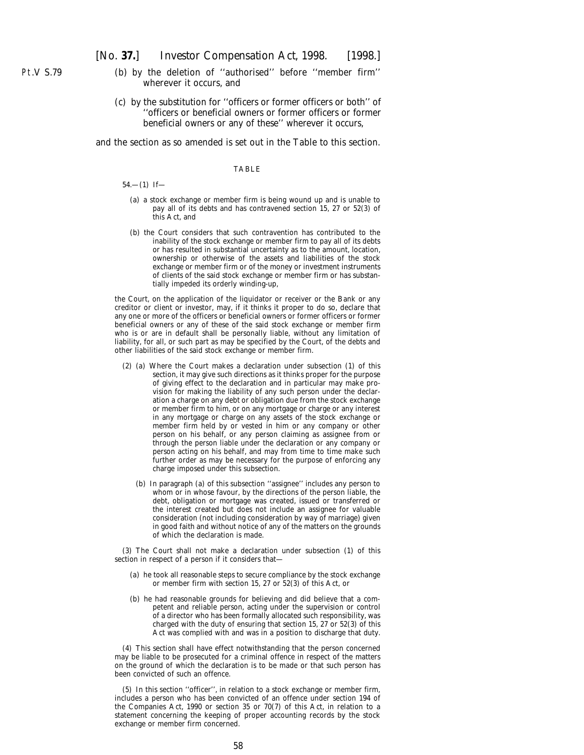Pt.V S.79

- (*b*) by the deletion of ''authorised'' before ''member firm'' wherever it occurs, and
- (*c*) by the substitution for ''officers or former officers or both'' of ''officers or beneficial owners or former officers or former beneficial owners or any of these'' wherever it occurs,

and the section as so amended is set out in the Table to this section.

### TABLE

 $54- (1)$  If-

- (*a*) a stock exchange or member firm is being wound up and is unable to pay all of its debts and has contravened section 15, 27 or 52(3) of this Act, and
- (*b*) the Court considers that such contravention has contributed to the inability of the stock exchange or member firm to pay all of its debts or has resulted in substantial uncertainty as to the amount, location, ownership or otherwise of the assets and liabilities of the stock exchange or member firm or of the money or investment instruments of clients of the said stock exchange or member firm or has substantially impeded its orderly winding-up,

the Court, on the application of the liquidator or receiver or the Bank or any creditor or client or investor, may, if it thinks it proper to do so, declare that any one or more of the officers or beneficial owners or former officers or former beneficial owners or any of these of the said stock exchange or member firm who is or are in default shall be personally liable, without any limitation of liability, for all, or such part as may be specified by the Court, of the debts and other liabilities of the said stock exchange or member firm.

- (2) (*a*) Where the Court makes a declaration under subsection (1) of this section, it may give such directions as it thinks proper for the purpose of giving effect to the declaration and in particular may make provision for making the liability of any such person under the declaration a charge on any debt or obligation due from the stock exchange or member firm to him, or on any mortgage or charge or any interest in any mortgage or charge on any assets of the stock exchange or member firm held by or vested in him or any company or other person on his behalf, or any person claiming as assignee from or through the person liable under the declaration or any company or person acting on his behalf, and may from time to time make such further order as may be necessary for the purpose of enforcing any charge imposed under this subsection.
	- (*b*) In paragraph (*a*) of this subsection ''assignee'' includes any person to whom or in whose favour, by the directions of the person liable, the debt, obligation or mortgage was created, issued or transferred or the interest created but does not include an assignee for valuable consideration (not including consideration by way of marriage) given in good faith and without notice of any of the matters on the grounds of which the declaration is made.

(3) The Court shall not make a declaration under subsection (1) of this section in respect of a person if it considers that—

- (*a*) he took all reasonable steps to secure compliance by the stock exchange or member firm with section 15, 27 or 52(3) of this Act, or
- (*b*) he had reasonable grounds for believing and did believe that a competent and reliable person, acting under the supervision or control of a director who has been formally allocated such responsibility, was charged with the duty of ensuring that section 15, 27 or 52(3) of this Act was complied with and was in a position to discharge that duty.

(4) This section shall have effect notwithstanding that the person concerned may be liable to be prosecuted for a criminal offence in respect of the matters on the ground of which the declaration is to be made or that such person has been convicted of such an offence.

(5) In this section ''officer'', in relation to a stock exchange or member firm, includes a person who has been convicted of an offence under section 194 of the Companies Act, 1990 or section 35 or 70(7) of this Act, in relation to a statement concerning the keeping of proper accounting records by the stock exchange or member firm concerned.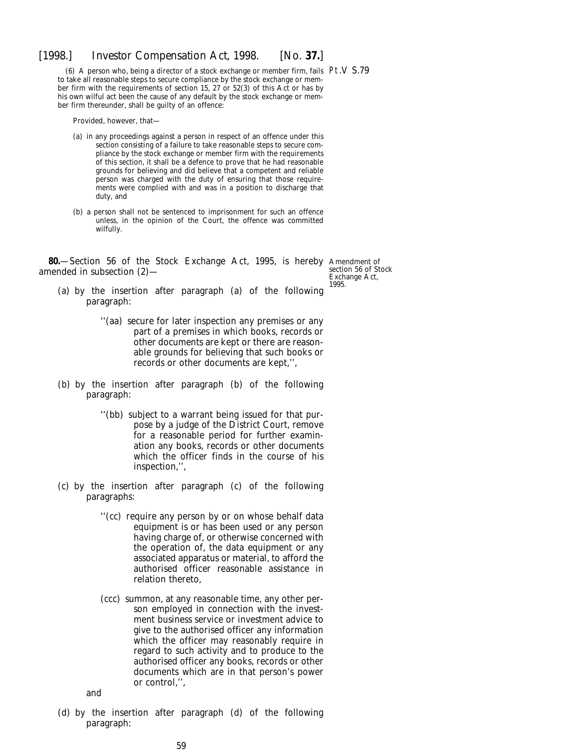(6) A person who, being a director of a stock exchange or member firm, fails Pt.V S.79 to take all reasonable steps to secure compliance by the stock exchange or member firm with the requirements of section 15, 27 or 52(3) of this Act or has by his own wilful act been the cause of any default by the stock exchange or member firm thereunder, shall be guilty of an offence:

Provided, however, that—

- (*a*) in any proceedings against a person in respect of an offence under this section consisting of a failure to take reasonable steps to secure compliance by the stock exchange or member firm with the requirements of this section, it shall be a defence to prove that he had reasonable grounds for believing and did believe that a competent and reliable person was charged with the duty of ensuring that those requirements were complied with and was in a position to discharge that duty, and
- (*b*) a person shall not be sentenced to imprisonment for such an offence unless, in the opinion of the Court, the offence was committed wilfully.

**80.**—Section 56 of the Stock Exchange Act, 1995, is hereby Amendment of amended in subsection (2)—

section 56 of Stock Exchange Act, 1995.

- (*a*) by the insertion after paragraph (*a*) of the following paragraph:
	- ''(*aa*) secure for later inspection any premises or any part of a premises in which books, records or other documents are kept or there are reasonable grounds for believing that such books or records or other documents are kept,'',
- (*b*) by the insertion after paragraph (*b*) of the following paragraph:
	- ''(*bb*) subject to a warrant being issued for that purpose by a judge of the District Court, remove for a reasonable period for further examination any books, records or other documents which the officer finds in the course of his inspection,'',
- (*c*) by the insertion after paragraph (*c*) of the following paragraphs:
	- ''(*cc*) require any person by or on whose behalf data equipment is or has been used or any person having charge of, or otherwise concerned with the operation of, the data equipment or any associated apparatus or material, to afford the authorised officer reasonable assistance in relation thereto,
	- (*ccc*) summon, at any reasonable time, any other person employed in connection with the investment business service or investment advice to give to the authorised officer any information which the officer may reasonably require in regard to such activity and to produce to the authorised officer any books, records or other documents which are in that person's power or control,'',

and

(*d*) by the insertion after paragraph (*d*) of the following paragraph: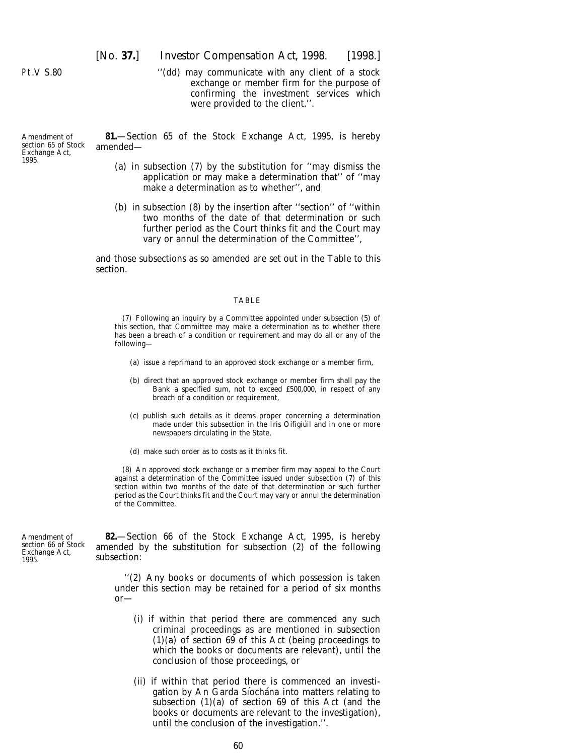''(*dd*) may communicate with any client of a stock exchange or member firm for the purpose of confirming the investment services which were provided to the client.''.

Amendment of section 65 of Stock Exchange Act, 1995. **81.**—Section 65 of the Stock Exchange Act, 1995, is hereby amended—

- (*a*) in subsection (7) by the substitution for ''may dismiss the application or may make a determination that'' of ''may make a determination as to whether'', and
- (*b*) in subsection (8) by the insertion after ''section'' of ''within two months of the date of that determination or such further period as the Court thinks fit and the Court may vary or annul the determination of the Committee'',

and those subsections as so amended are set out in the Table to this section.

#### TABLE

(7) Following an inquiry by a Committee appointed under subsection (5) of this section, that Committee may make a determination as to whether there has been a breach of a condition or requirement and may do all or any of the following—

- (*a*) issue a reprimand to an approved stock exchange or a member firm,
- (*b*) direct that an approved stock exchange or member firm shall pay the Bank a specified sum, not to exceed £500,000, in respect of any breach of a condition or requirement,
- (*c*) publish such details as it deems proper concerning a determination made under this subsection in the *Iris Oifigiúil* and in one or more newspapers circulating in the State,
- (*d*) make such order as to costs as it thinks fit.

(8) An approved stock exchange or a member firm may appeal to the Court against a determination of the Committee issued under subsection (7) of this section within two months of the date of that determination or such further period as the Court thinks fit and the Court may vary or annul the determination of the Committee.

**82.**—Section 66 of the Stock Exchange Act, 1995, is hereby amended by the substitution for subsection (2) of the following subsection:

> ''(2) Any books or documents of which possession is taken under this section may be retained for a period of six months or—

- (i) if within that period there are commenced any such criminal proceedings as are mentioned in subsection (1)(*a*) of section 69 of this Act (being proceedings to which the books or documents are relevant), until the conclusion of those proceedings, or
- (ii) if within that period there is commenced an investigation by An Garda Síochána into matters relating to subsection (1)(*a*) of section 69 of this Act (and the books or documents are relevant to the investigation), until the conclusion of the investigation.''.

Amendment of section 66 of Stock Exchange Act, 1995.

Pt.V S.80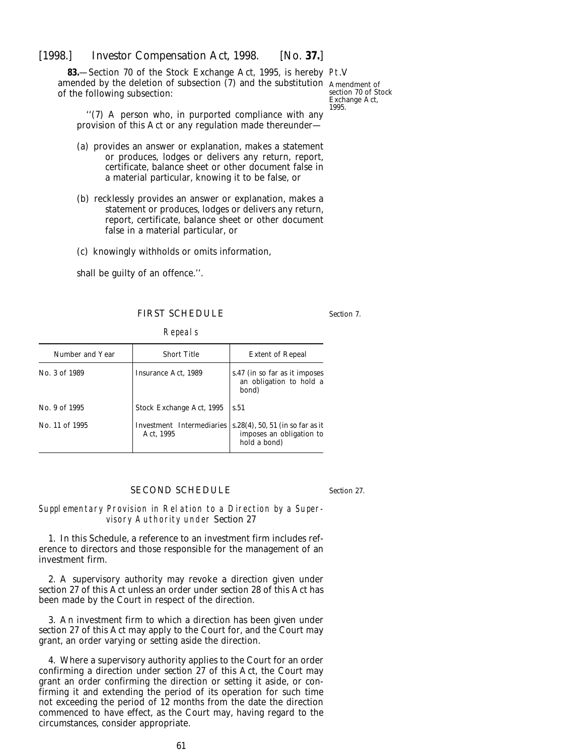**83.**—Section 70 of the Stock Exchange Act, 1995, is hereby Pt.V amended by the deletion of subsection (7) and the substitution Amendment of of the following subsection:

section 70 of Stock Exchange Act, 1995.

''(7) A person who, in purported compliance with any provision of this Act or any regulation made thereunder—

- (*a*) provides an answer or explanation, makes a statement or produces, lodges or delivers any return, report, certificate, balance sheet or other document false in a material particular, knowing it to be false, or
- (*b*) recklessly provides an answer or explanation, makes a statement or produces, lodges or delivers any return, report, certificate, balance sheet or other document false in a material particular, or
- (*c*) knowingly withholds or omits information,

shall be guilty of an offence.''.

# FIRST SCHEDULE

*Section 7*.

## Repeals

| Number and Year | <b>Short Title</b>                     | <b>Extent of Repeal</b>                                                         |
|-----------------|----------------------------------------|---------------------------------------------------------------------------------|
| No. 3 of 1989   | Insurance Act, 1989                    | s.47 (in so far as it imposes<br>an obligation to hold a<br>bond)               |
| No. 9 of 1995   | Stock Exchange Act, 1995               | s.51                                                                            |
| No. 11 of 1995  | Investment Intermediaries<br>Act, 1995 | $s.28(4)$ , 50, 51 (in so far as it<br>imposes an obligation to<br>hold a bond) |

# SECOND SCHEDULE

*Section 27*.

## Supplementary Provision in Relation to a Direction by a Supervisory Authority under *Section 27*

1. In this Schedule, a reference to an investment firm includes reference to directors and those responsible for the management of an investment firm.

2. A supervisory authority may revoke a direction given under *section 27* of this Act unless an order under *section 28* of this Act has been made by the Court in respect of the direction.

3. An investment firm to which a direction has been given under *section 27* of this Act may apply to the Court for, and the Court may grant, an order varying or setting aside the direction.

4. Where a supervisory authority applies to the Court for an order confirming a direction under *section 27* of this Act, the Court may grant an order confirming the direction or setting it aside, or confirming it and extending the period of its operation for such time not exceeding the period of 12 months from the date the direction commenced to have effect, as the Court may, having regard to the circumstances, consider appropriate.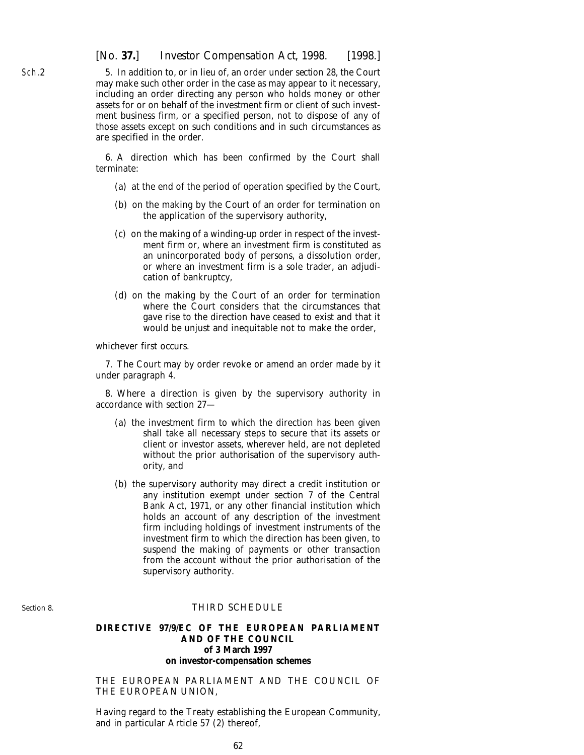5. In addition to, or in lieu of, an order under *section 28*, the Court may make such other order in the case as may appear to it necessary, including an order directing any person who holds money or other assets for or on behalf of the investment firm or client of such investment business firm, or a specified person, not to dispose of any of those assets except on such conditions and in such circumstances as are specified in the order.

6. A direction which has been confirmed by the Court shall terminate:

- (*a*) at the end of the period of operation specified by the Court,
- (*b*) on the making by the Court of an order for termination on the application of the supervisory authority,
- (*c*) on the making of a winding-up order in respect of the investment firm or, where an investment firm is constituted as an unincorporated body of persons, a dissolution order, or where an investment firm is a sole trader, an adjudication of bankruptcy,
- (*d*) on the making by the Court of an order for termination where the Court considers that the circumstances that gave rise to the direction have ceased to exist and that it would be unjust and inequitable not to make the order,

whichever first occurs.

7. The Court may by order revoke or amend an order made by it under *paragraph 4*.

8. Where a direction is given by the supervisory authority in accordance with *section 27*—

- (*a*) the investment firm to which the direction has been given shall take all necessary steps to secure that its assets or client or investor assets, wherever held, are not depleted without the prior authorisation of the supervisory authority, and
- (*b*) the supervisory authority may direct a credit institution or any institution exempt under section 7 of the Central Bank Act, 1971, or any other financial institution which holds an account of any description of the investment firm including holdings of investment instruments of the investment firm to which the direction has been given, to suspend the making of payments or other transaction from the account without the prior authorisation of the supervisory authority.

#### *Section 8*.

# THIRD SCHEDULE

# **DIRECTIVE 97/9/EC OF THE EUROPEAN PARLIAMENT AND OF THE COUNCIL of 3 March 1997 on investor-compensation schemes**

THE EUROPEAN PARLIAMENT AND THE COUNCIL OF THE EUROPEAN UNION,

Having regard to the Treaty establishing the European Community, and in particular Article 57 (2) thereof,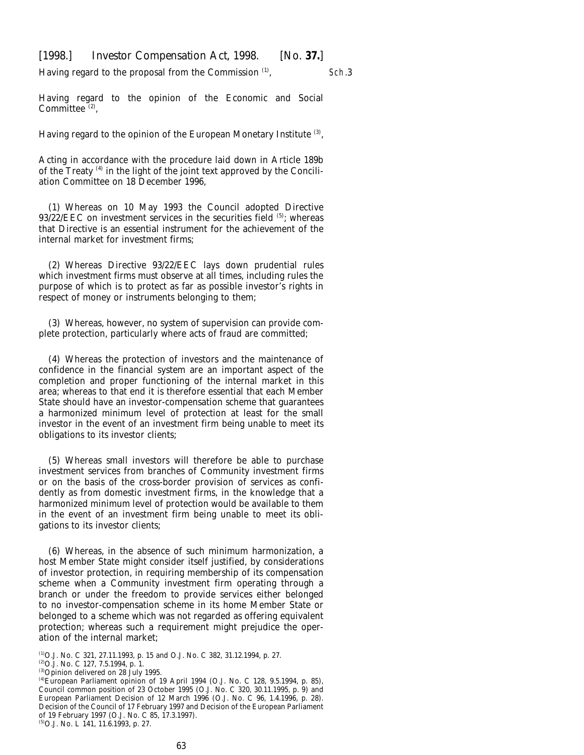Having regard to the proposal from the Commission<sup>(1)</sup>,

Sch.3

Having regard to the opinion of the Economic and Social Committee $^{(2)}$ ,

Having regard to the opinion of the European Monetary Institute  $(3)$ ,

Acting in accordance with the procedure laid down in Article 189b of the Treaty<sup>(4)</sup> in the light of the joint text approved by the Conciliation Committee on 18 December 1996,

(1) Whereas on 10 May 1993 the Council adopted Directive  $93/22/EEC$  on investment services in the securities field  $^{(5)}$ ; whereas that Directive is an essential instrument for the achievement of the internal market for investment firms;

(2) Whereas Directive 93/22/EEC lays down prudential rules which investment firms must observe at all times, including rules the purpose of which is to protect as far as possible investor's rights in respect of money or instruments belonging to them;

(3) Whereas, however, no system of supervision can provide complete protection, particularly where acts of fraud are committed;

(4) Whereas the protection of investors and the maintenance of confidence in the financial system are an important aspect of the completion and proper functioning of the internal market in this area; whereas to that end it is therefore essential that each Member State should have an investor-compensation scheme that guarantees a harmonized minimum level of protection at least for the small investor in the event of an investment firm being unable to meet its obligations to its investor clients;

(5) Whereas small investors will therefore be able to purchase investment services from branches of Community investment firms or on the basis of the cross-border provision of services as confidently as from domestic investment firms, in the knowledge that a harmonized minimum level of protection would be available to them in the event of an investment firm being unable to meet its obligations to its investor clients;

(6) Whereas, in the absence of such minimum harmonization, a host Member State might consider itself justified, by considerations of investor protection, in requiring membership of its compensation scheme when a Community investment firm operating through a branch or under the freedom to provide services either belonged to no investor-compensation scheme in its home Member State or belonged to a scheme which was not regarded as offering equivalent protection; whereas such a requirement might prejudice the operation of the internal market;

<sup>(1)</sup>O.J. No. C 321, 27.11.1993, p. 15 and O.J. No. C 382, 31.12.1994, p. 27.

<sup>(2)</sup>O.J. No. C 127, 7.5.1994, p. 1.

<sup>(3)</sup>Opinion delivered on 28 July 1995.

<sup>(4)</sup>European Parliament opinion of 19 April 1994 (O.J. No. C 128, 9.5.1994, p. 85), Council common position of 23 October 1995 (O.J. No. C 320, 30.11.1995, p. 9) and European Parliament Decision of 12 March 1996 (O.J. No. C 96, 1.4.1996, p. 28). Decision of the Council of 17 February 1997 and Decision of the European Parliament of 19 February 1997 (O.J. No. C 85, 17.3.1997). (5)O.J. No. L 141, 11.6.1993, p. 27.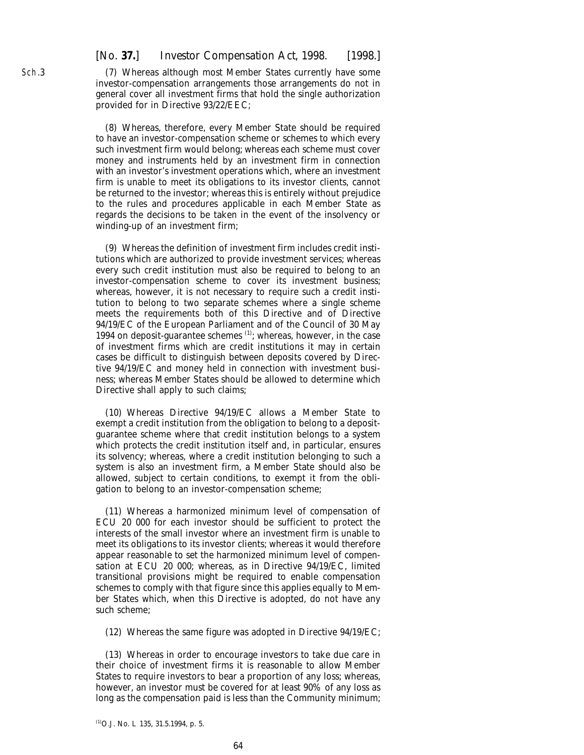(7) Whereas although most Member States currently have some investor-compensation arrangements those arrangements do not in general cover all investment firms that hold the single authorization provided for in Directive 93/22/EEC;

(8) Whereas, therefore, every Member State should be required to have an investor-compensation scheme or schemes to which every such investment firm would belong; whereas each scheme must cover money and instruments held by an investment firm in connection with an investor's investment operations which, where an investment firm is unable to meet its obligations to its investor clients, cannot be returned to the investor; whereas this is entirely without prejudice to the rules and procedures applicable in each Member State as regards the decisions to be taken in the event of the insolvency or winding-up of an investment firm;

(9) Whereas the definition of investment firm includes credit institutions which are authorized to provide investment services; whereas every such credit institution must also be required to belong to an investor-compensation scheme to cover its investment business; whereas, however, it is not necessary to require such a credit institution to belong to two separate schemes where a single scheme meets the requirements both of this Directive and of Directive 94/19/EC of the European Parliament and of the Council of 30 May 1994 on deposit-guarantee schemes<sup>(1)</sup>; whereas, however, in the case of investment firms which are credit institutions it may in certain cases be difficult to distinguish between deposits covered by Directive 94/19/EC and money held in connection with investment business; whereas Member States should be allowed to determine which Directive shall apply to such claims;

(10) Whereas Directive 94/19/EC allows a Member State to exempt a credit institution from the obligation to belong to a depositguarantee scheme where that credit institution belongs to a system which protects the credit institution itself and, in particular, ensures its solvency; whereas, where a credit institution belonging to such a system is also an investment firm, a Member State should also be allowed, subject to certain conditions, to exempt it from the obligation to belong to an investor-compensation scheme;

(11) Whereas a harmonized minimum level of compensation of ECU 20 000 for each investor should be sufficient to protect the interests of the small investor where an investment firm is unable to meet its obligations to its investor clients; whereas it would therefore appear reasonable to set the harmonized minimum level of compensation at ECU 20 000; whereas, as in Directive 94/19/EC, limited transitional provisions might be required to enable compensation schemes to comply with that figure since this applies equally to Member States which, when this Directive is adopted, do not have any such scheme;

(12) Whereas the same figure was adopted in Directive 94/19/EC;

(13) Whereas in order to encourage investors to take due care in their choice of investment firms it is reasonable to allow Member States to require investors to bear a proportion of any loss; whereas, however, an investor must be covered for at least 90% of any loss as long as the compensation paid is less than the Community minimum;

Sch.3

<sup>(1)</sup>O.J. No. L 135, 31.5.1994, p. 5.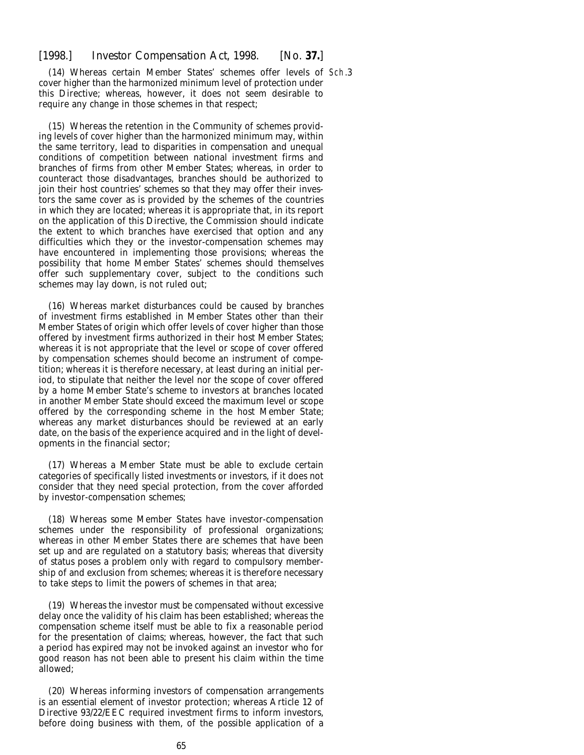(14) Whereas certain Member States' schemes offer levels of Sch.3cover higher than the harmonized minimum level of protection under this Directive; whereas, however, it does not seem desirable to require any change in those schemes in that respect;

(15) Whereas the retention in the Community of schemes providing levels of cover higher than the harmonized minimum may, within the same territory, lead to disparities in compensation and unequal conditions of competition between national investment firms and branches of firms from other Member States; whereas, in order to counteract those disadvantages, branches should be authorized to join their host countries' schemes so that they may offer their investors the same cover as is provided by the schemes of the countries in which they are located; whereas it is appropriate that, in its report on the application of this Directive, the Commission should indicate the extent to which branches have exercised that option and any difficulties which they or the investor-compensation schemes may have encountered in implementing those provisions; whereas the possibility that home Member States' schemes should themselves offer such supplementary cover, subject to the conditions such schemes may lay down, is not ruled out;

(16) Whereas market disturbances could be caused by branches of investment firms established in Member States other than their Member States of origin which offer levels of cover higher than those offered by investment firms authorized in their host Member States; whereas it is not appropriate that the level or scope of cover offered by compensation schemes should become an instrument of competition; whereas it is therefore necessary, at least during an initial period, to stipulate that neither the level nor the scope of cover offered by a home Member State's scheme to investors at branches located in another Member State should exceed the maximum level or scope offered by the corresponding scheme in the host Member State; whereas any market disturbances should be reviewed at an early date, on the basis of the experience acquired and in the light of developments in the financial sector;

(17) Whereas a Member State must be able to exclude certain categories of specifically listed investments or investors, if it does not consider that they need special protection, from the cover afforded by investor-compensation schemes;

(18) Whereas some Member States have investor-compensation schemes under the responsibility of professional organizations; whereas in other Member States there are schemes that have been set up and are regulated on a statutory basis; whereas that diversity of status poses a problem only with regard to compulsory membership of and exclusion from schemes; whereas it is therefore necessary to take steps to limit the powers of schemes in that area;

(19) Whereas the investor must be compensated without excessive delay once the validity of his claim has been established; whereas the compensation scheme itself must be able to fix a reasonable period for the presentation of claims; whereas, however, the fact that such a period has expired may not be invoked against an investor who for good reason has not been able to present his claim within the time allowed;

(20) Whereas informing investors of compensation arrangements is an essential element of investor protection; whereas Article 12 of Directive 93/22/EEC required investment firms to inform investors, before doing business with them, of the possible application of a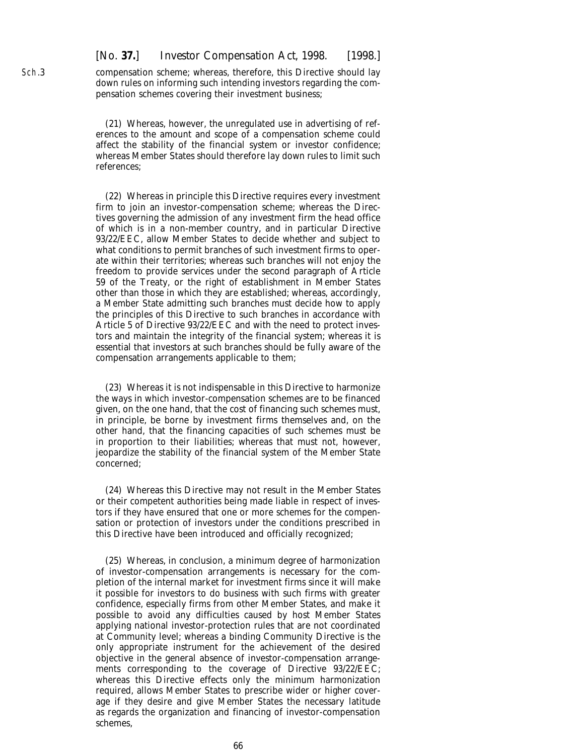compensation scheme; whereas, therefore, this Directive should lay down rules on informing such intending investors regarding the compensation schemes covering their investment business;

(21) Whereas, however, the unregulated use in advertising of references to the amount and scope of a compensation scheme could affect the stability of the financial system or investor confidence; whereas Member States should therefore lay down rules to limit such references;

(22) Whereas in principle this Directive requires every investment firm to join an investor-compensation scheme; whereas the Directives governing the admission of any investment firm the head office of which is in a non-member country, and in particular Directive 93/22/EEC, allow Member States to decide whether and subject to what conditions to permit branches of such investment firms to operate within their territories; whereas such branches will not enjoy the freedom to provide services under the second paragraph of Article 59 of the Treaty, or the right of establishment in Member States other than those in which they are established; whereas, accordingly, a Member State admitting such branches must decide how to apply the principles of this Directive to such branches in accordance with Article 5 of Directive 93/22/EEC and with the need to protect investors and maintain the integrity of the financial system; whereas it is essential that investors at such branches should be fully aware of the compensation arrangements applicable to them;

(23) Whereas it is not indispensable in this Directive to harmonize the ways in which investor-compensation schemes are to be financed given, on the one hand, that the cost of financing such schemes must, in principle, be borne by investment firms themselves and, on the other hand, that the financing capacities of such schemes must be in proportion to their liabilities; whereas that must not, however, jeopardize the stability of the financial system of the Member State concerned;

(24) Whereas this Directive may not result in the Member States or their competent authorities being made liable in respect of investors if they have ensured that one or more schemes for the compensation or protection of investors under the conditions prescribed in this Directive have been introduced and officially recognized;

(25) Whereas, in conclusion, a minimum degree of harmonization of investor-compensation arrangements is necessary for the completion of the internal market for investment firms since it will make it possible for investors to do business with such firms with greater confidence, especially firms from other Member States, and make it possible to avoid any difficulties caused by host Member States applying national investor-protection rules that are not coordinated at Community level; whereas a binding Community Directive is the only appropriate instrument for the achievement of the desired objective in the general absence of investor-compensation arrangements corresponding to the coverage of Directive 93/22/EEC; whereas this Directive effects only the minimum harmonization required, allows Member States to prescribe wider or higher coverage if they desire and give Member States the necessary latitude as regards the organization and financing of investor-compensation schemes,

Sch.3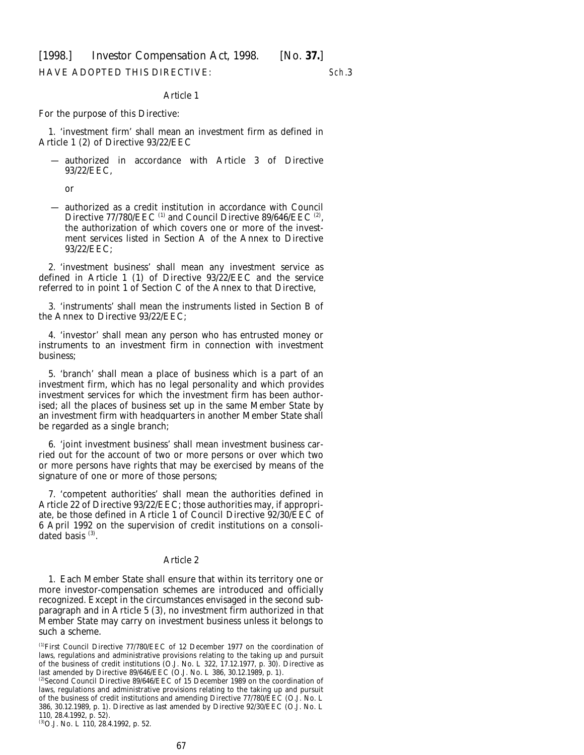### *Article 1*

For the purpose of this Directive:

1. 'investment firm' shall mean an investment firm as defined in Article 1 (2) of Directive 93/22/EEC

— authorized in accordance with Article 3 of Directive 93/22/EEC,

— authorized as a credit institution in accordance with Council Directive 77/780/EEC<sup>(1)</sup> and Council Directive 89/646/EEC<sup>(2)</sup>, the authorization of which covers one or more of the investment services listed in Section A of the Annex to Directive 93/22/EEC;

2. 'investment business' shall mean any investment service as defined in Article 1 (1) of Directive 93/22/EEC and the service referred to in point 1 of Section C of the Annex to that Directive,

3. 'instruments' shall mean the instruments listed in Section B of the Annex to Directive 93/22/EEC;

4. 'investor' shall mean any person who has entrusted money or instruments to an investment firm in connection with investment business;

5. 'branch' shall mean a place of business which is a part of an investment firm, which has no legal personality and which provides investment services for which the investment firm has been authorised; all the places of business set up in the same Member State by an investment firm with headquarters in another Member State shall be regarded as a single branch;

6. 'joint investment business' shall mean investment business carried out for the account of two or more persons or over which two or more persons have rights that may be exercised by means of the signature of one or more of those persons;

7. 'competent authorities' shall mean the authorities defined in Article 22 of Directive 93/22/EEC; those authorities may, if appropriate, be those defined in Article 1 of Council Directive 92/30/EEC of 6 April 1992 on the supervision of credit institutions on a consolidated basis  $(3)$ .

## *Article 2*

1. Each Member State shall ensure that within its territory one or more investor-compensation schemes are introduced and officially recognized. Except in the circumstances envisaged in the second subparagraph and in Article 5 (3), no investment firm authorized in that Member State may carry on investment business unless it belongs to such a scheme.

(3)O.J. No. L 110, 28.4.1992, p. 52.

or

<sup>(1)</sup>First Council Directive 77/780/EEC of 12 December 1977 on the coordination of laws, regulations and administrative provisions relating to the taking up and pursuit of the business of credit institutions (O.J. No. L 322, 17.12.1977, p. 30). Directive as last amended by Directive 89/646/EEC (O.J. No. L 386, 30.12.1989, p. 1).

<sup>(2)</sup>Second Council Directive 89/646/EEC of 15 December 1989 on the coordination of laws, regulations and administrative provisions relating to the taking up and pursuit of the business of credit institutions and amending Directive 77/780/EEC (O.J. No. L 386, 30.12.1989, p. 1). Directive as last amended by Directive 92/30/EEC (O.J. No. L 110, 28.4.1992, p. 52).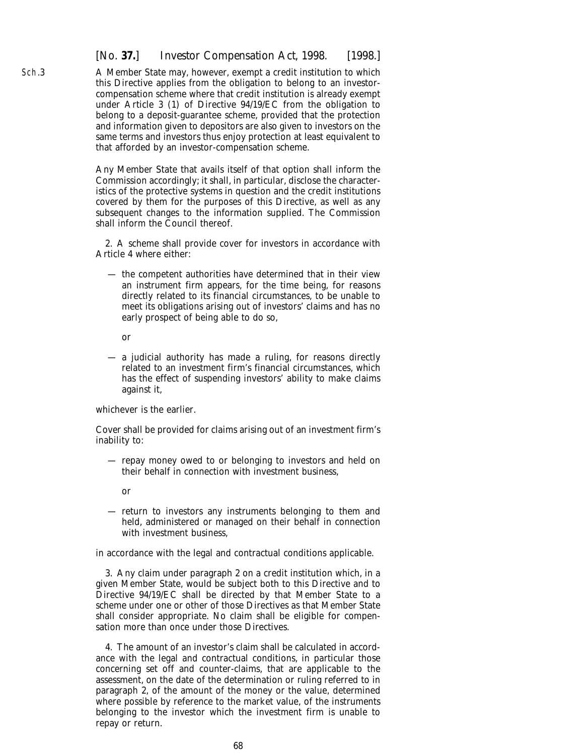# [*No.* **37.**] *Investor Compensation Act,* 1998. [1998.]

Sch.3 A Member State may, however, exempt a credit institution to which this Directive applies from the obligation to belong to an investorcompensation scheme where that credit institution is already exempt under Article 3 (1) of Directive 94/19/EC from the obligation to belong to a deposit-guarantee scheme, provided that the protection and information given to depositors are also given to investors on the same terms and investors thus enjoy protection at least equivalent to that afforded by an investor-compensation scheme.

> Any Member State that avails itself of that option shall inform the Commission accordingly; it shall, in particular, disclose the characteristics of the protective systems in question and the credit institutions covered by them for the purposes of this Directive, as well as any subsequent changes to the information supplied. The Commission shall inform the Council thereof.

> 2. A scheme shall provide cover for investors in accordance with Article 4 where either:

- the competent authorities have determined that in their view an instrument firm appears, for the time being, for reasons directly related to its financial circumstances, to be unable to meet its obligations arising out of investors' claims and has no early prospect of being able to do so,
	- or
- a judicial authority has made a ruling, for reasons directly related to an investment firm's financial circumstances, which has the effect of suspending investors' ability to make claims against it,

whichever is the earlier.

Cover shall be provided for claims arising out of an investment firm's inability to:

repay money owed to or belonging to investors and held on their behalf in connection with investment business,

or

— return to investors any instruments belonging to them and held, administered or managed on their behalf in connection with investment business,

in accordance with the legal and contractual conditions applicable.

3. Any claim under paragraph 2 on a credit institution which, in a given Member State, would be subject both to this Directive and to Directive 94/19/EC shall be directed by that Member State to a scheme under one or other of those Directives as that Member State shall consider appropriate. No claim shall be eligible for compensation more than once under those Directives.

4. The amount of an investor's claim shall be calculated in accordance with the legal and contractual conditions, in particular those concerning set off and counter-claims, that are applicable to the assessment, on the date of the determination or ruling referred to in paragraph 2, of the amount of the money or the value, determined where possible by reference to the market value, of the instruments belonging to the investor which the investment firm is unable to repay or return.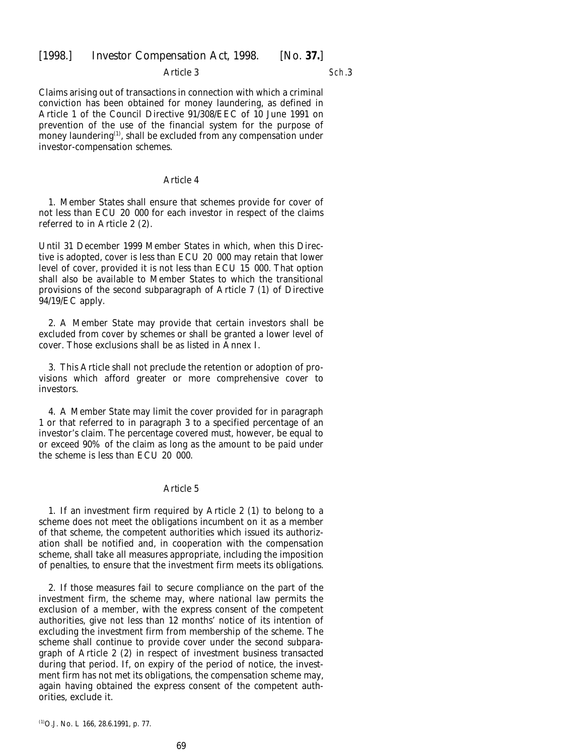## *Article 3*

Sch.3

Claims arising out of transactions in connection with which a criminal conviction has been obtained for money laundering, as defined in Article 1 of the Council Directive 91/308/EEC of 10 June 1991 on prevention of the use of the financial system for the purpose of money laundering<sup>(1)</sup>, shall be excluded from any compensation under investor-compensation schemes.

# *Article 4*

1. Member States shall ensure that schemes provide for cover of not less than ECU 20 000 for each investor in respect of the claims referred to in Article 2 (2).

Until 31 December 1999 Member States in which, when this Directive is adopted, cover is less than ECU 20 000 may retain that lower level of cover, provided it is not less than ECU 15 000. That option shall also be available to Member States to which the transitional provisions of the second subparagraph of Article 7 (1) of Directive 94/19/EC apply.

2. A Member State may provide that certain investors shall be excluded from cover by schemes or shall be granted a lower level of cover. Those exclusions shall be as listed in Annex I.

3. This Article shall not preclude the retention or adoption of provisions which afford greater or more comprehensive cover to investors.

4. A Member State may limit the cover provided for in paragraph 1 or that referred to in paragraph 3 to a specified percentage of an investor's claim. The percentage covered must, however, be equal to or exceed 90% of the claim as long as the amount to be paid under the scheme is less than ECU 20 000.

## *Article 5*

1. If an investment firm required by Article 2 (1) to belong to a scheme does not meet the obligations incumbent on it as a member of that scheme, the competent authorities which issued its authorization shall be notified and, in cooperation with the compensation scheme, shall take all measures appropriate, including the imposition of penalties, to ensure that the investment firm meets its obligations.

2. If those measures fail to secure compliance on the part of the investment firm, the scheme may, where national law permits the exclusion of a member, with the express consent of the competent authorities, give not less than 12 months' notice of its intention of excluding the investment firm from membership of the scheme. The scheme shall continue to provide cover under the second subparagraph of Article 2 (2) in respect of investment business transacted during that period. If, on expiry of the period of notice, the investment firm has not met its obligations, the compensation scheme may, again having obtained the express consent of the competent authorities, exclude it.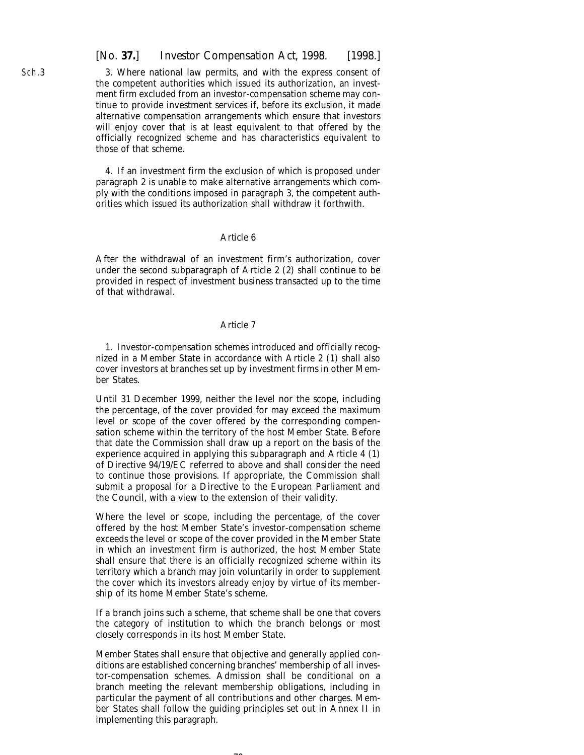# [*No.* **37.**] *Investor Compensation Act,* 1998. [1998.]

3. Where national law permits, and with the express consent of the competent authorities which issued its authorization, an investment firm excluded from an investor-compensation scheme may continue to provide investment services if, before its exclusion, it made alternative compensation arrangements which ensure that investors will enjoy cover that is at least equivalent to that offered by the officially recognized scheme and has characteristics equivalent to those of that scheme.

4. If an investment firm the exclusion of which is proposed under paragraph 2 is unable to make alternative arrangements which comply with the conditions imposed in paragraph 3, the competent authorities which issued its authorization shall withdraw it forthwith.

# *Article 6*

After the withdrawal of an investment firm's authorization, cover under the second subparagraph of Article 2 (2) shall continue to be provided in respect of investment business transacted up to the time of that withdrawal.

# *Article 7*

1. Investor-compensation schemes introduced and officially recognized in a Member State in accordance with Article 2 (1) shall also cover investors at branches set up by investment firms in other Member States.

Until 31 December 1999, neither the level nor the scope, including the percentage, of the cover provided for may exceed the maximum level or scope of the cover offered by the corresponding compensation scheme within the territory of the host Member State. Before that date the Commission shall draw up a report on the basis of the experience acquired in applying this subparagraph and Article 4 (1) of Directive 94/19/EC referred to above and shall consider the need to continue those provisions. If appropriate, the Commission shall submit a proposal for a Directive to the European Parliament and the Council, with a view to the extension of their validity.

Where the level or scope, including the percentage, of the cover offered by the host Member State's investor-compensation scheme exceeds the level or scope of the cover provided in the Member State in which an investment firm is authorized, the host Member State shall ensure that there is an officially recognized scheme within its territory which a branch may join voluntarily in order to supplement the cover which its investors already enjoy by virtue of its membership of its home Member State's scheme.

If a branch joins such a scheme, that scheme shall be one that covers the category of institution to which the branch belongs or most closely corresponds in its host Member State.

Member States shall ensure that objective and generally applied conditions are established concerning branches' membership of all investor-compensation schemes. Admission shall be conditional on a branch meeting the relevant membership obligations, including in particular the payment of all contributions and other charges. Member States shall follow the guiding principles set out in Annex II in implementing this paragraph.

 $\sim$ 

Sch.3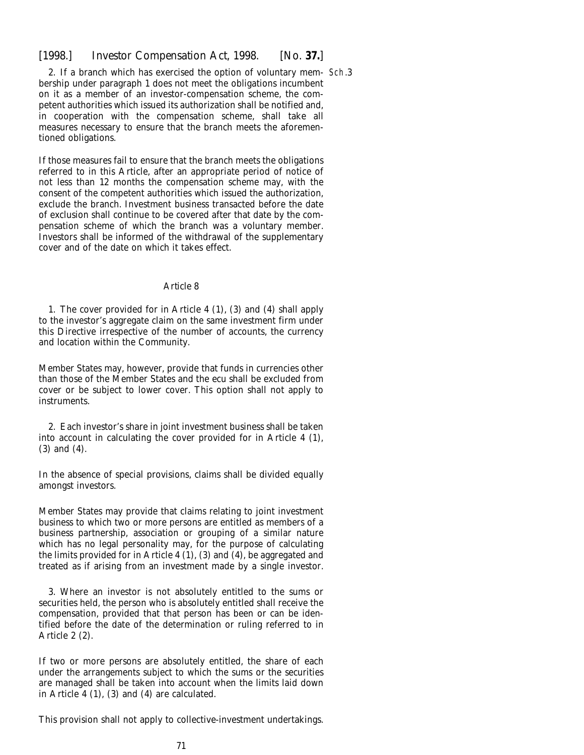2. If a branch which has exercised the option of voluntary mem-Sch.3bership under paragraph 1 does not meet the obligations incumbent on it as a member of an investor-compensation scheme, the competent authorities which issued its authorization shall be notified and, in cooperation with the compensation scheme, shall take all measures necessary to ensure that the branch meets the aforementioned obligations.

If those measures fail to ensure that the branch meets the obligations referred to in this Article, after an appropriate period of notice of not less than 12 months the compensation scheme may, with the consent of the competent authorities which issued the authorization, exclude the branch. Investment business transacted before the date of exclusion shall continue to be covered after that date by the compensation scheme of which the branch was a voluntary member. Investors shall be informed of the withdrawal of the supplementary cover and of the date on which it takes effect.

# *Article 8*

1. The cover provided for in Article 4 (1), (3) and (4) shall apply to the investor's aggregate claim on the same investment firm under this Directive irrespective of the number of accounts, the currency and location within the Community.

Member States may, however, provide that funds in currencies other than those of the Member States and the ecu shall be excluded from cover or be subject to lower cover. This option shall not apply to instruments.

2. Each investor's share in joint investment business shall be taken into account in calculating the cover provided for in Article 4 (1), (3) and (4).

In the absence of special provisions, claims shall be divided equally amongst investors.

Member States may provide that claims relating to joint investment business to which two or more persons are entitled as members of a business partnership, association or grouping of a similar nature which has no legal personality may, for the purpose of calculating the limits provided for in Article 4 (1), (3) and (4), be aggregated and treated as if arising from an investment made by a single investor.

3. Where an investor is not absolutely entitled to the sums or securities held, the person who is absolutely entitled shall receive the compensation, provided that that person has been or can be identified before the date of the determination or ruling referred to in Article 2 (2).

If two or more persons are absolutely entitled, the share of each under the arrangements subject to which the sums or the securities are managed shall be taken into account when the limits laid down in Article 4 (1), (3) and (4) are calculated.

This provision shall not apply to collective-investment undertakings.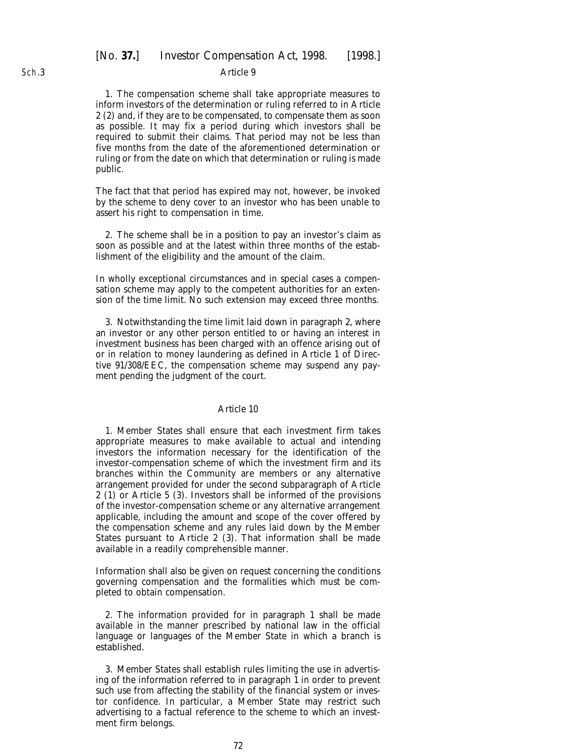#### *Article 9*

1. The compensation scheme shall take appropriate measures to inform investors of the determination or ruling referred to in Article 2 (2) and, if they are to be compensated, to compensate them as soon as possible. It may fix a period during which investors shall be required to submit their claims. That period may not be less than five months from the date of the aforementioned determination or ruling or from the date on which that determination or ruling is made public.

The fact that that period has expired may not, however, be invoked by the scheme to deny cover to an investor who has been unable to assert his right to compensation in time.

2. The scheme shall be in a position to pay an investor's claim as soon as possible and at the latest within three months of the establishment of the eligibility and the amount of the claim.

In wholly exceptional circumstances and in special cases a compensation scheme may apply to the competent authorities for an extension of the time limit. No such extension may exceed three months.

3. Notwithstanding the time limit laid down in paragraph 2, where an investor or any other person entitled to or having an interest in investment business has been charged with an offence arising out of or in relation to money laundering as defined in Article 1 of Directive 91/308/EEC, the compensation scheme may suspend any payment pending the judgment of the court.

# *Article 10*

1. Member States shall ensure that each investment firm takes appropriate measures to make available to actual and intending investors the information necessary for the identification of the investor-compensation scheme of which the investment firm and its branches within the Community are members or any alternative arrangement provided for under the second subparagraph of Article 2 (1) or Article 5 (3). Investors shall be informed of the provisions of the investor-compensation scheme or any alternative arrangement applicable, including the amount and scope of the cover offered by the compensation scheme and any rules laid down by the Member States pursuant to Article 2 (3). That information shall be made available in a readily comprehensible manner.

Information shall also be given on request concerning the conditions governing compensation and the formalities which must be completed to obtain compensation.

2. The information provided for in paragraph 1 shall be made available in the manner prescribed by national law in the official language or languages of the Member State in which a branch is established.

3. Member States shall establish rules limiting the use in advertising of the information referred to in paragraph 1 in order to prevent such use from affecting the stability of the financial system or investor confidence. In particular, a Member State may restrict such advertising to a factual reference to the scheme to which an investment firm belongs.

Sch.3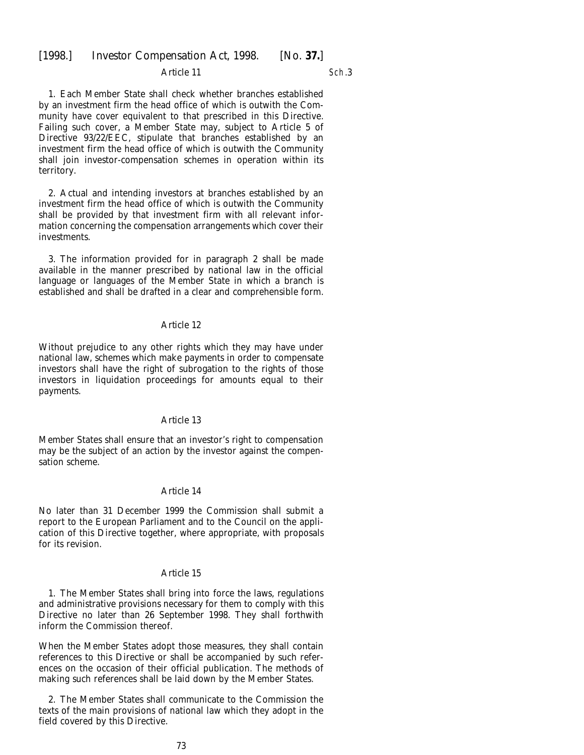### *Article 11*

Sch.3

1. Each Member State shall check whether branches established by an investment firm the head office of which is outwith the Community have cover equivalent to that prescribed in this Directive. Failing such cover, a Member State may, subject to Article 5 of Directive 93/22/EEC, stipulate that branches established by an investment firm the head office of which is outwith the Community shall join investor-compensation schemes in operation within its territory.

2. Actual and intending investors at branches established by an investment firm the head office of which is outwith the Community shall be provided by that investment firm with all relevant information concerning the compensation arrangements which cover their investments.

3. The information provided for in paragraph 2 shall be made available in the manner prescribed by national law in the official language or languages of the Member State in which a branch is established and shall be drafted in a clear and comprehensible form.

## *Article 12*

Without prejudice to any other rights which they may have under national law, schemes which make payments in order to compensate investors shall have the right of subrogation to the rights of those investors in liquidation proceedings for amounts equal to their payments.

### *Article 13*

Member States shall ensure that an investor's right to compensation may be the subject of an action by the investor against the compensation scheme.

### *Article 14*

No later than 31 December 1999 the Commission shall submit a report to the European Parliament and to the Council on the application of this Directive together, where appropriate, with proposals for its revision.

## *Article 15*

1. The Member States shall bring into force the laws, regulations and administrative provisions necessary for them to comply with this Directive no later than 26 September 1998. They shall forthwith inform the Commission thereof.

When the Member States adopt those measures, they shall contain references to this Directive or shall be accompanied by such references on the occasion of their official publication. The methods of making such references shall be laid down by the Member States.

2. The Member States shall communicate to the Commission the texts of the main provisions of national law which they adopt in the field covered by this Directive.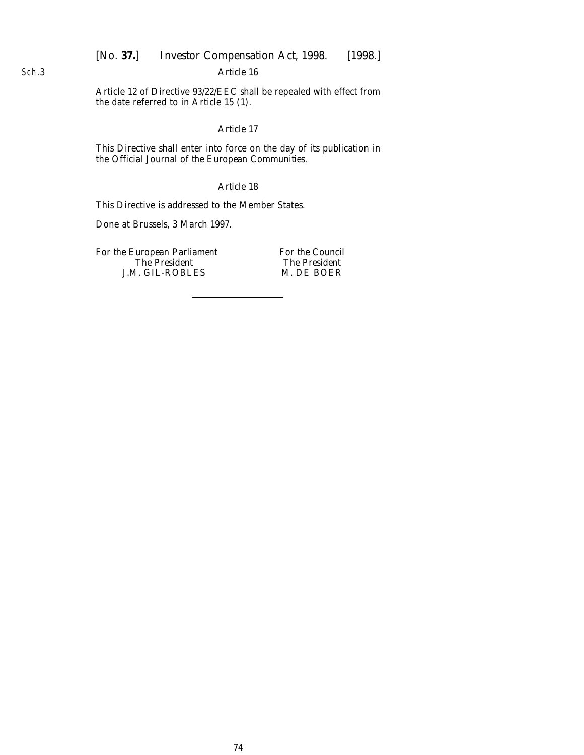*Article 16*

Article 12 of Directive 93/22/EEC shall be repealed with effect from the date referred to in Article 15 (1).

## *Article 17*

This Directive shall enter into force on the day of its publication in the *Official Journal of the European Communities.*

# *Article 18*

This Directive is addressed to the Member States.

Done at Brussels, 3 March 1997.

*For the European Parliament For the Council The President The President* J.M. GIL-ROBLES

Sch.3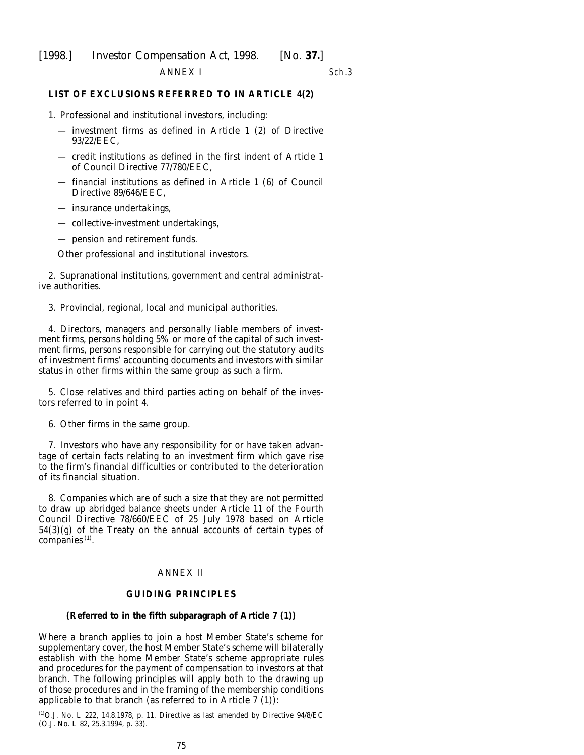## **LIST OF EXCLUSIONS REFERRED TO IN ARTICLE 4(2)**

- 1. Professional and institutional investors, including:
	- investment firms as defined in Article 1 (2) of Directive 93/22/EEC,
	- credit institutions as defined in the first indent of Article 1 of Council Directive 77/780/EEC,
	- financial institutions as defined in Article 1 (6) of Council Directive 89/646/EEC,
	- insurance undertakings,
	- collective-investment undertakings,
	- pension and retirement funds.

Other professional and institutional investors.

2. Supranational institutions, government and central administrative authorities.

3. Provincial, regional, local and municipal authorities.

4. Directors, managers and personally liable members of investment firms, persons holding 5% or more of the capital of such investment firms, persons responsible for carrying out the statutory audits of investment firms' accounting documents and investors with similar status in other firms within the same group as such a firm.

5. Close relatives and third parties acting on behalf of the investors referred to in point 4.

6. Other firms in the same group.

7. Investors who have any responsibility for or have taken advantage of certain facts relating to an investment firm which gave rise to the firm's financial difficulties or contributed to the deterioration of its financial situation.

8. Companies which are of such a size that they are not permitted to draw up abridged balance sheets under Article 11 of the Fourth Council Directive 78/660/EEC of 25 July 1978 based on Article  $54(3)(g)$  of the Treaty on the annual accounts of certain types of companies<sup>(1)</sup>.

# *ANNEX II*

### **GUIDING PRINCIPLES**

## **(Referred to in the fifth subparagraph of Article 7 (1))**

Where a branch applies to join a host Member State's scheme for supplementary cover, the host Member State's scheme will bilaterally establish with the home Member State's scheme appropriate rules and procedures for the payment of compensation to investors at that branch. The following principles will apply both to the drawing up of those procedures and in the framing of the membership conditions applicable to that branch (as referred to in Article 7  $(1)$ ):

 $(1)$ O.J. No. L 222, 14.8.1978, p. 11. Directive as last amended by Directive  $94/8/EC$ (O.J. No. L 82, 25.3.1994, p. 33).

Sch.3